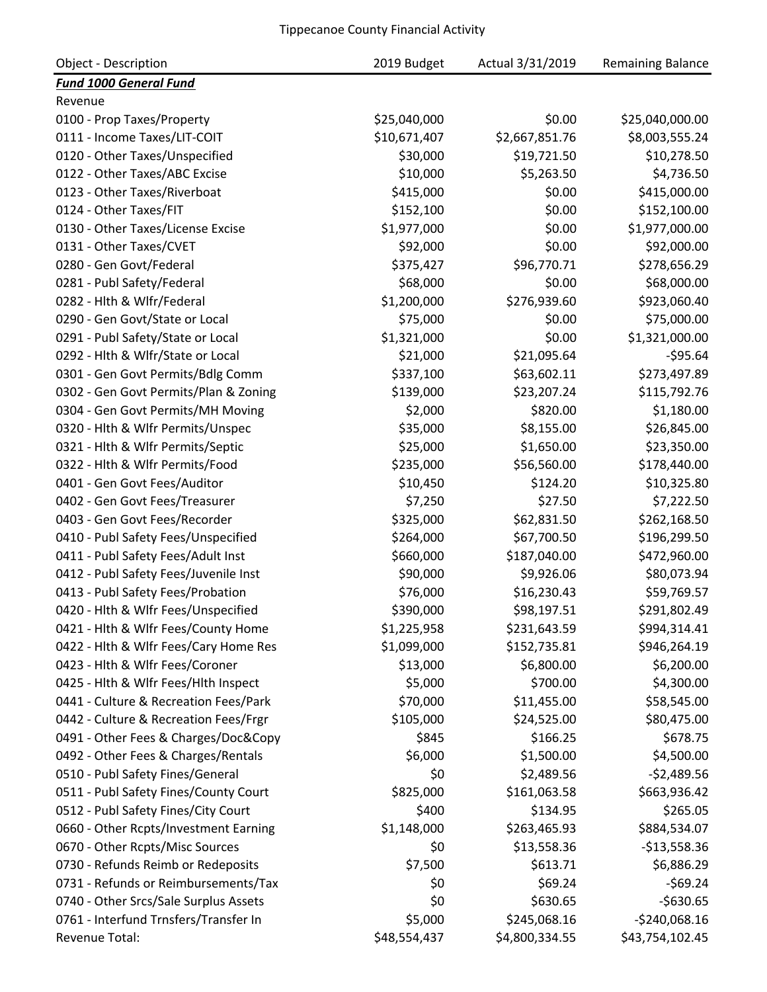| <b>Object - Description</b>           | 2019 Budget  | Actual 3/31/2019 | <b>Remaining Balance</b> |
|---------------------------------------|--------------|------------------|--------------------------|
| <b>Fund 1000 General Fund</b>         |              |                  |                          |
| Revenue                               |              |                  |                          |
| 0100 - Prop Taxes/Property            | \$25,040,000 | \$0.00           | \$25,040,000.00          |
| 0111 - Income Taxes/LIT-COIT          | \$10,671,407 | \$2,667,851.76   | \$8,003,555.24           |
| 0120 - Other Taxes/Unspecified        | \$30,000     | \$19,721.50      | \$10,278.50              |
| 0122 - Other Taxes/ABC Excise         | \$10,000     | \$5,263.50       | \$4,736.50               |
| 0123 - Other Taxes/Riverboat          | \$415,000    | \$0.00           | \$415,000.00             |
| 0124 - Other Taxes/FIT                | \$152,100    | \$0.00           | \$152,100.00             |
| 0130 - Other Taxes/License Excise     | \$1,977,000  | \$0.00           | \$1,977,000.00           |
| 0131 - Other Taxes/CVET               | \$92,000     | \$0.00           | \$92,000.00              |
| 0280 - Gen Govt/Federal               | \$375,427    | \$96,770.71      | \$278,656.29             |
| 0281 - Publ Safety/Federal            | \$68,000     | \$0.00           | \$68,000.00              |
| 0282 - Hlth & Wlfr/Federal            | \$1,200,000  | \$276,939.60     | \$923,060.40             |
| 0290 - Gen Govt/State or Local        | \$75,000     | \$0.00           | \$75,000.00              |
| 0291 - Publ Safety/State or Local     | \$1,321,000  | \$0.00           | \$1,321,000.00           |
| 0292 - Hlth & Wlfr/State or Local     | \$21,000     | \$21,095.64      | $-595.64$                |
| 0301 - Gen Govt Permits/Bdlg Comm     | \$337,100    | \$63,602.11      | \$273,497.89             |
| 0302 - Gen Govt Permits/Plan & Zoning | \$139,000    | \$23,207.24      | \$115,792.76             |
| 0304 - Gen Govt Permits/MH Moving     | \$2,000      | \$820.00         | \$1,180.00               |
| 0320 - Hlth & Wlfr Permits/Unspec     | \$35,000     | \$8,155.00       | \$26,845.00              |
| 0321 - Hlth & Wlfr Permits/Septic     | \$25,000     | \$1,650.00       | \$23,350.00              |
| 0322 - Hlth & Wlfr Permits/Food       | \$235,000    | \$56,560.00      | \$178,440.00             |
| 0401 - Gen Govt Fees/Auditor          | \$10,450     | \$124.20         | \$10,325.80              |
| 0402 - Gen Govt Fees/Treasurer        | \$7,250      | \$27.50          | \$7,222.50               |
| 0403 - Gen Govt Fees/Recorder         | \$325,000    | \$62,831.50      | \$262,168.50             |
| 0410 - Publ Safety Fees/Unspecified   | \$264,000    | \$67,700.50      | \$196,299.50             |
| 0411 - Publ Safety Fees/Adult Inst    | \$660,000    | \$187,040.00     | \$472,960.00             |
| 0412 - Publ Safety Fees/Juvenile Inst | \$90,000     | \$9,926.06       | \$80,073.94              |
| 0413 - Publ Safety Fees/Probation     | \$76,000     | \$16,230.43      | \$59,769.57              |
| 0420 - Hlth & Wlfr Fees/Unspecified   | \$390,000    | \$98,197.51      | \$291,802.49             |
| 0421 - Hlth & Wlfr Fees/County Home   | \$1,225,958  | \$231,643.59     | \$994,314.41             |
| 0422 - Hlth & Wlfr Fees/Cary Home Res | \$1,099,000  | \$152,735.81     | \$946,264.19             |
| 0423 - Hlth & Wlfr Fees/Coroner       | \$13,000     | \$6,800.00       | \$6,200.00               |
| 0425 - Hith & Wifr Fees/Hith Inspect  | \$5,000      | \$700.00         | \$4,300.00               |
| 0441 - Culture & Recreation Fees/Park | \$70,000     | \$11,455.00      | \$58,545.00              |
| 0442 - Culture & Recreation Fees/Frgr | \$105,000    | \$24,525.00      | \$80,475.00              |
| 0491 - Other Fees & Charges/Doc&Copy  | \$845        | \$166.25         | \$678.75                 |
| 0492 - Other Fees & Charges/Rentals   | \$6,000      | \$1,500.00       | \$4,500.00               |
| 0510 - Publ Safety Fines/General      | \$0          | \$2,489.56       | $-52,489.56$             |
| 0511 - Publ Safety Fines/County Court | \$825,000    | \$161,063.58     | \$663,936.42             |
| 0512 - Publ Safety Fines/City Court   | \$400        | \$134.95         | \$265.05                 |
| 0660 - Other Rcpts/Investment Earning | \$1,148,000  | \$263,465.93     | \$884,534.07             |
| 0670 - Other Rcpts/Misc Sources       | \$0          | \$13,558.36      | $-$13,558.36$            |
| 0730 - Refunds Reimb or Redeposits    | \$7,500      | \$613.71         | \$6,886.29               |
| 0731 - Refunds or Reimbursements/Tax  | \$0          | \$69.24          | $-569.24$                |
| 0740 - Other Srcs/Sale Surplus Assets | \$0          | \$630.65         | $-$630.65$               |
| 0761 - Interfund Trnsfers/Transfer In | \$5,000      | \$245,068.16     | $-$240,068.16$           |
| Revenue Total:                        | \$48,554,437 | \$4,800,334.55   | \$43,754,102.45          |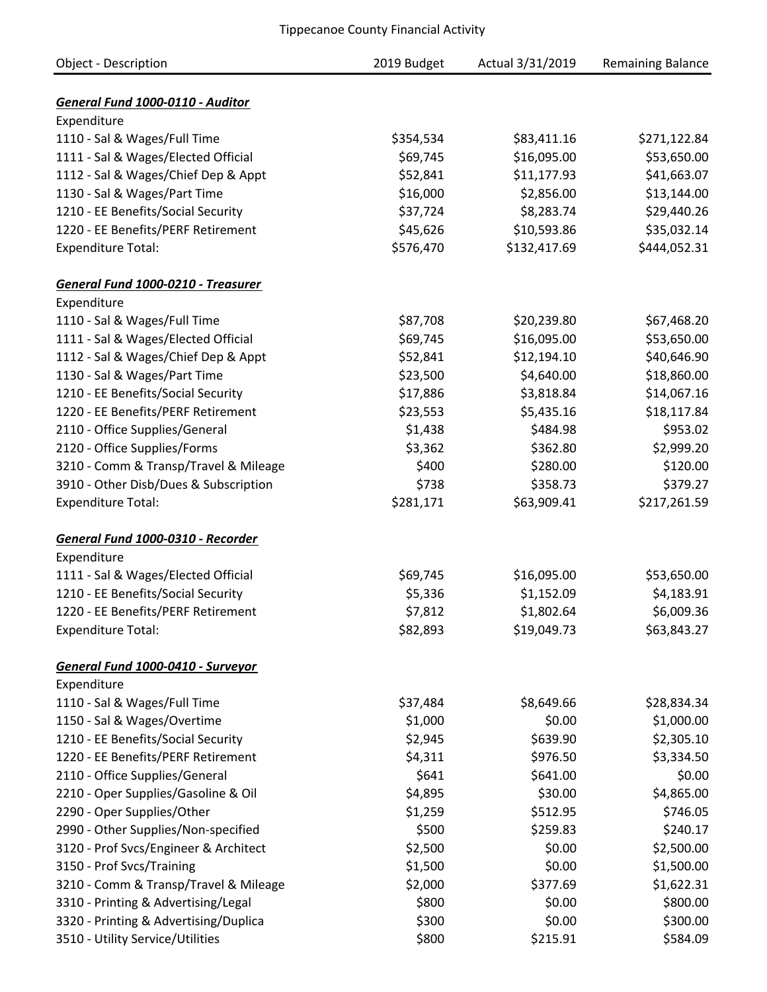| Object - Description                  | 2019 Budget | Actual 3/31/2019 | <b>Remaining Balance</b> |
|---------------------------------------|-------------|------------------|--------------------------|
|                                       |             |                  |                          |
| General Fund 1000-0110 - Auditor      |             |                  |                          |
| Expenditure                           |             |                  |                          |
| 1110 - Sal & Wages/Full Time          | \$354,534   | \$83,411.16      | \$271,122.84             |
| 1111 - Sal & Wages/Elected Official   | \$69,745    | \$16,095.00      | \$53,650.00              |
| 1112 - Sal & Wages/Chief Dep & Appt   | \$52,841    | \$11,177.93      | \$41,663.07              |
| 1130 - Sal & Wages/Part Time          | \$16,000    | \$2,856.00       | \$13,144.00              |
| 1210 - EE Benefits/Social Security    | \$37,724    | \$8,283.74       | \$29,440.26              |
| 1220 - EE Benefits/PERF Retirement    | \$45,626    | \$10,593.86      | \$35,032.14              |
| <b>Expenditure Total:</b>             | \$576,470   | \$132,417.69     | \$444,052.31             |
| General Fund 1000-0210 - Treasurer    |             |                  |                          |
| Expenditure                           |             |                  |                          |
| 1110 - Sal & Wages/Full Time          | \$87,708    | \$20,239.80      | \$67,468.20              |
| 1111 - Sal & Wages/Elected Official   | \$69,745    | \$16,095.00      | \$53,650.00              |
| 1112 - Sal & Wages/Chief Dep & Appt   | \$52,841    | \$12,194.10      | \$40,646.90              |
| 1130 - Sal & Wages/Part Time          | \$23,500    | \$4,640.00       | \$18,860.00              |
| 1210 - EE Benefits/Social Security    | \$17,886    | \$3,818.84       | \$14,067.16              |
| 1220 - EE Benefits/PERF Retirement    | \$23,553    | \$5,435.16       | \$18,117.84              |
| 2110 - Office Supplies/General        | \$1,438     | \$484.98         | \$953.02                 |
| 2120 - Office Supplies/Forms          | \$3,362     | \$362.80         | \$2,999.20               |
| 3210 - Comm & Transp/Travel & Mileage | \$400       | \$280.00         | \$120.00                 |
| 3910 - Other Disb/Dues & Subscription | \$738       | \$358.73         | \$379.27                 |
|                                       | \$281,171   | \$63,909.41      | \$217,261.59             |
| <b>Expenditure Total:</b>             |             |                  |                          |
| General Fund 1000-0310 - Recorder     |             |                  |                          |
| Expenditure                           |             |                  |                          |
| 1111 - Sal & Wages/Elected Official   | \$69,745    | \$16,095.00      | \$53,650.00              |
| 1210 - EE Benefits/Social Security    | \$5,336     | \$1,152.09       | \$4,183.91               |
| 1220 - EE Benefits/PERF Retirement    | \$7,812     | \$1,802.64       | \$6,009.36               |
| <b>Expenditure Total:</b>             | \$82,893    | \$19,049.73      | \$63,843.27              |
| General Fund 1000-0410 - Surveyor     |             |                  |                          |
| Expenditure                           |             |                  |                          |
| 1110 - Sal & Wages/Full Time          | \$37,484    | \$8,649.66       | \$28,834.34              |
| 1150 - Sal & Wages/Overtime           | \$1,000     | \$0.00           | \$1,000.00               |
| 1210 - EE Benefits/Social Security    | \$2,945     | \$639.90         | \$2,305.10               |
| 1220 - EE Benefits/PERF Retirement    | \$4,311     | \$976.50         | \$3,334.50               |
| 2110 - Office Supplies/General        | \$641       | \$641.00         | \$0.00                   |
| 2210 - Oper Supplies/Gasoline & Oil   | \$4,895     | \$30.00          | \$4,865.00               |
|                                       |             |                  |                          |
| 2290 - Oper Supplies/Other            | \$1,259     | \$512.95         | \$746.05                 |
| 2990 - Other Supplies/Non-specified   | \$500       | \$259.83         | \$240.17                 |
| 3120 - Prof Svcs/Engineer & Architect | \$2,500     | \$0.00           | \$2,500.00               |
| 3150 - Prof Svcs/Training             | \$1,500     | \$0.00           | \$1,500.00               |
| 3210 - Comm & Transp/Travel & Mileage | \$2,000     | \$377.69         | \$1,622.31               |
| 3310 - Printing & Advertising/Legal   | \$800       | \$0.00           | \$800.00                 |
| 3320 - Printing & Advertising/Duplica | \$300       | \$0.00           | \$300.00                 |
| 3510 - Utility Service/Utilities      | \$800       | \$215.91         | \$584.09                 |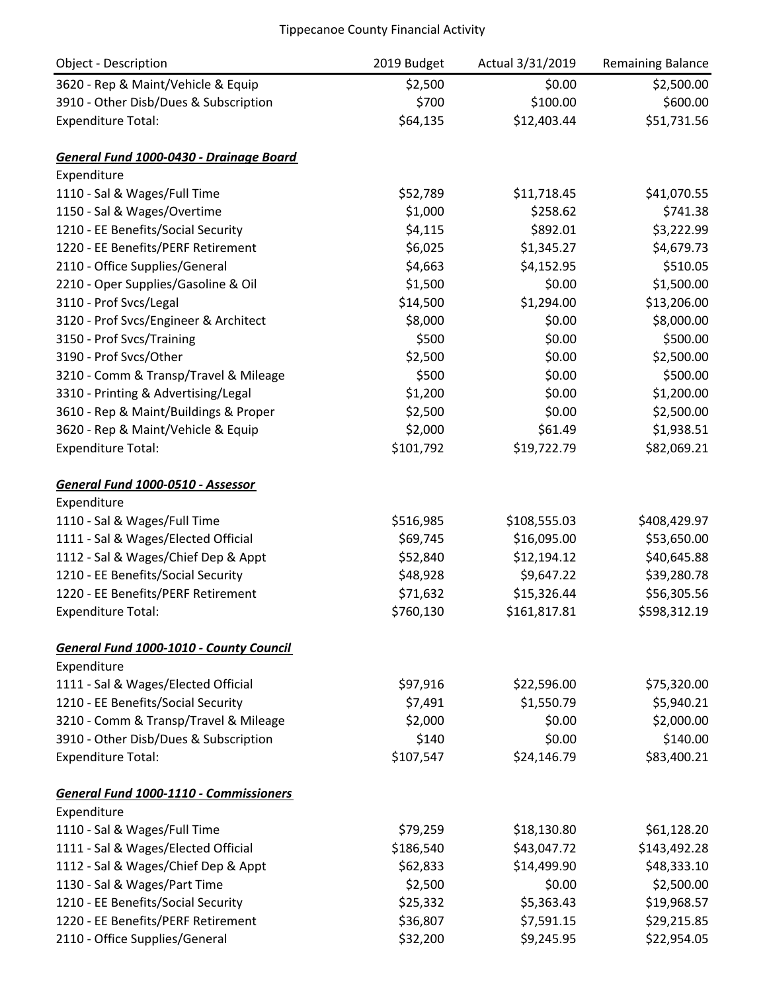| Object - Description                    | 2019 Budget | Actual 3/31/2019 | Remaining Balance |
|-----------------------------------------|-------------|------------------|-------------------|
| 3620 - Rep & Maint/Vehicle & Equip      | \$2,500     | \$0.00           | \$2,500.00        |
| 3910 - Other Disb/Dues & Subscription   | \$700       | \$100.00         | \$600.00          |
| <b>Expenditure Total:</b>               | \$64,135    | \$12,403.44      | \$51,731.56       |
| General Fund 1000-0430 - Drainage Board |             |                  |                   |
| Expenditure                             |             |                  |                   |
| 1110 - Sal & Wages/Full Time            | \$52,789    | \$11,718.45      | \$41,070.55       |
| 1150 - Sal & Wages/Overtime             | \$1,000     | \$258.62         | \$741.38          |
| 1210 - EE Benefits/Social Security      | \$4,115     | \$892.01         | \$3,222.99        |
| 1220 - EE Benefits/PERF Retirement      | \$6,025     | \$1,345.27       | \$4,679.73        |
| 2110 - Office Supplies/General          | \$4,663     | \$4,152.95       | \$510.05          |
| 2210 - Oper Supplies/Gasoline & Oil     | \$1,500     | \$0.00           | \$1,500.00        |
| 3110 - Prof Svcs/Legal                  | \$14,500    | \$1,294.00       | \$13,206.00       |
| 3120 - Prof Svcs/Engineer & Architect   | \$8,000     | \$0.00           | \$8,000.00        |
| 3150 - Prof Svcs/Training               | \$500       | \$0.00           | \$500.00          |
| 3190 - Prof Svcs/Other                  | \$2,500     | \$0.00           | \$2,500.00        |
| 3210 - Comm & Transp/Travel & Mileage   | \$500       | \$0.00           | \$500.00          |
| 3310 - Printing & Advertising/Legal     | \$1,200     | \$0.00           | \$1,200.00        |
| 3610 - Rep & Maint/Buildings & Proper   | \$2,500     | \$0.00           | \$2,500.00        |
| 3620 - Rep & Maint/Vehicle & Equip      | \$2,000     | \$61.49          | \$1,938.51        |
| <b>Expenditure Total:</b>               | \$101,792   | \$19,722.79      | \$82,069.21       |
| General Fund 1000-0510 - Assessor       |             |                  |                   |
| Expenditure                             |             |                  |                   |
| 1110 - Sal & Wages/Full Time            | \$516,985   | \$108,555.03     | \$408,429.97      |
| 1111 - Sal & Wages/Elected Official     | \$69,745    | \$16,095.00      | \$53,650.00       |
| 1112 - Sal & Wages/Chief Dep & Appt     | \$52,840    | \$12,194.12      | \$40,645.88       |
| 1210 - EE Benefits/Social Security      | \$48,928    | \$9,647.22       | \$39,280.78       |
| 1220 - EE Benefits/PERF Retirement      | \$71,632    | \$15,326.44      | \$56,305.56       |
| <b>Expenditure Total:</b>               | \$760,130   | \$161,817.81     | \$598,312.19      |
| General Fund 1000-1010 - County Council |             |                  |                   |
| Expenditure                             |             |                  |                   |
| 1111 - Sal & Wages/Elected Official     | \$97,916    | \$22,596.00      | \$75,320.00       |
| 1210 - EE Benefits/Social Security      | \$7,491     | \$1,550.79       | \$5,940.21        |
| 3210 - Comm & Transp/Travel & Mileage   | \$2,000     | \$0.00           | \$2,000.00        |
| 3910 - Other Disb/Dues & Subscription   | \$140       | \$0.00           | \$140.00          |
| <b>Expenditure Total:</b>               | \$107,547   | \$24,146.79      | \$83,400.21       |
| General Fund 1000-1110 - Commissioners  |             |                  |                   |
| Expenditure                             |             |                  |                   |
| 1110 - Sal & Wages/Full Time            | \$79,259    | \$18,130.80      | \$61,128.20       |
| 1111 - Sal & Wages/Elected Official     | \$186,540   | \$43,047.72      | \$143,492.28      |
| 1112 - Sal & Wages/Chief Dep & Appt     | \$62,833    | \$14,499.90      | \$48,333.10       |
| 1130 - Sal & Wages/Part Time            | \$2,500     | \$0.00           | \$2,500.00        |
| 1210 - EE Benefits/Social Security      | \$25,332    | \$5,363.43       | \$19,968.57       |
| 1220 - EE Benefits/PERF Retirement      | \$36,807    | \$7,591.15       | \$29,215.85       |
| 2110 - Office Supplies/General          | \$32,200    | \$9,245.95       | \$22,954.05       |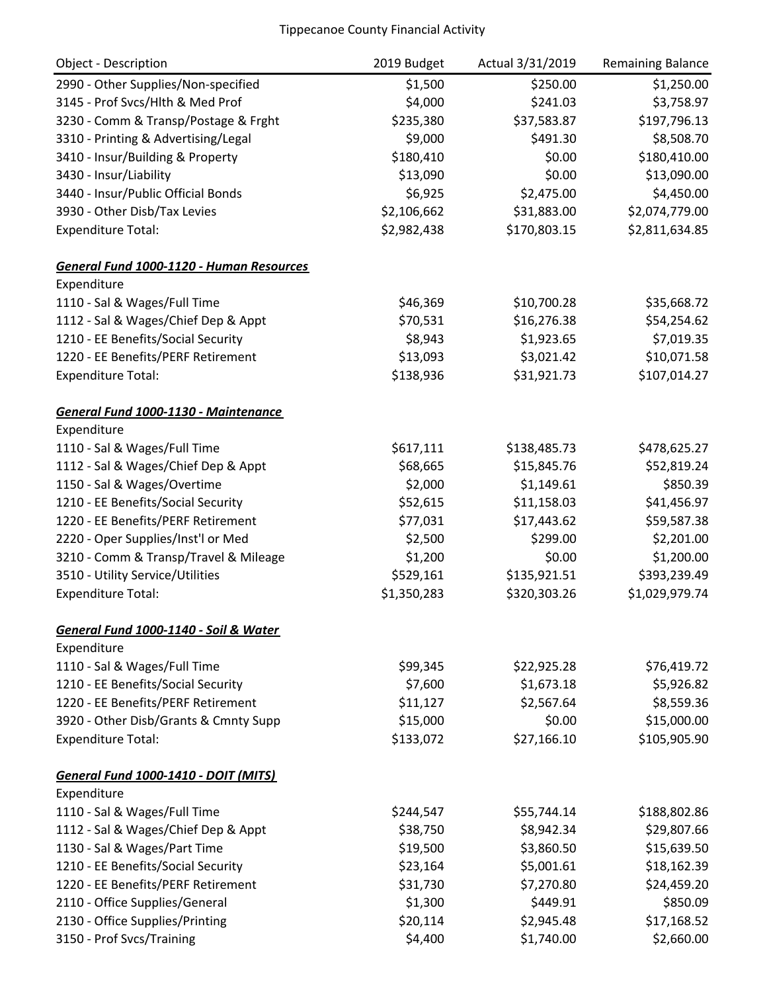| <b>Object - Description</b>                 | 2019 Budget | Actual 3/31/2019 | Remaining Balance |
|---------------------------------------------|-------------|------------------|-------------------|
| 2990 - Other Supplies/Non-specified         | \$1,500     | \$250.00         | \$1,250.00        |
| 3145 - Prof Svcs/Hlth & Med Prof            | \$4,000     | \$241.03         | \$3,758.97        |
| 3230 - Comm & Transp/Postage & Frght        | \$235,380   | \$37,583.87      | \$197,796.13      |
| 3310 - Printing & Advertising/Legal         | \$9,000     | \$491.30         | \$8,508.70        |
| 3410 - Insur/Building & Property            | \$180,410   | \$0.00           | \$180,410.00      |
| 3430 - Insur/Liability                      | \$13,090    | \$0.00           | \$13,090.00       |
| 3440 - Insur/Public Official Bonds          | \$6,925     | \$2,475.00       | \$4,450.00        |
| 3930 - Other Disb/Tax Levies                | \$2,106,662 | \$31,883.00      | \$2,074,779.00    |
| <b>Expenditure Total:</b>                   | \$2,982,438 | \$170,803.15     | \$2,811,634.85    |
| General Fund 1000-1120 - Human Resources    |             |                  |                   |
| Expenditure                                 |             |                  |                   |
| 1110 - Sal & Wages/Full Time                | \$46,369    | \$10,700.28      | \$35,668.72       |
| 1112 - Sal & Wages/Chief Dep & Appt         | \$70,531    | \$16,276.38      | \$54,254.62       |
| 1210 - EE Benefits/Social Security          | \$8,943     | \$1,923.65       | \$7,019.35        |
| 1220 - EE Benefits/PERF Retirement          | \$13,093    | \$3,021.42       | \$10,071.58       |
| <b>Expenditure Total:</b>                   | \$138,936   | \$31,921.73      | \$107,014.27      |
| General Fund 1000-1130 - Maintenance        |             |                  |                   |
| Expenditure                                 |             |                  |                   |
| 1110 - Sal & Wages/Full Time                | \$617,111   | \$138,485.73     | \$478,625.27      |
| 1112 - Sal & Wages/Chief Dep & Appt         | \$68,665    | \$15,845.76      | \$52,819.24       |
| 1150 - Sal & Wages/Overtime                 | \$2,000     | \$1,149.61       | \$850.39          |
| 1210 - EE Benefits/Social Security          | \$52,615    | \$11,158.03      | \$41,456.97       |
| 1220 - EE Benefits/PERF Retirement          | \$77,031    | \$17,443.62      | \$59,587.38       |
| 2220 - Oper Supplies/Inst'l or Med          | \$2,500     | \$299.00         | \$2,201.00        |
| 3210 - Comm & Transp/Travel & Mileage       | \$1,200     | \$0.00           | \$1,200.00        |
| 3510 - Utility Service/Utilities            | \$529,161   | \$135,921.51     | \$393,239.49      |
| <b>Expenditure Total:</b>                   | \$1,350,283 | \$320,303.26     | \$1,029,979.74    |
| General Fund 1000-1140 - Soil & Water       |             |                  |                   |
| Expenditure                                 |             |                  |                   |
| 1110 - Sal & Wages/Full Time                | \$99,345    | \$22,925.28      | \$76,419.72       |
| 1210 - EE Benefits/Social Security          | \$7,600     | \$1,673.18       | \$5,926.82        |
| 1220 - EE Benefits/PERF Retirement          | \$11,127    | \$2,567.64       | \$8,559.36        |
| 3920 - Other Disb/Grants & Cmnty Supp       | \$15,000    | \$0.00           | \$15,000.00       |
| <b>Expenditure Total:</b>                   | \$133,072   | \$27,166.10      | \$105,905.90      |
| <b>General Fund 1000-1410 - DOIT (MITS)</b> |             |                  |                   |
| Expenditure                                 |             |                  |                   |
| 1110 - Sal & Wages/Full Time                | \$244,547   | \$55,744.14      | \$188,802.86      |
| 1112 - Sal & Wages/Chief Dep & Appt         | \$38,750    | \$8,942.34       | \$29,807.66       |
| 1130 - Sal & Wages/Part Time                | \$19,500    | \$3,860.50       | \$15,639.50       |
| 1210 - EE Benefits/Social Security          | \$23,164    | \$5,001.61       | \$18,162.39       |
| 1220 - EE Benefits/PERF Retirement          | \$31,730    | \$7,270.80       | \$24,459.20       |
| 2110 - Office Supplies/General              | \$1,300     | \$449.91         | \$850.09          |
| 2130 - Office Supplies/Printing             | \$20,114    | \$2,945.48       | \$17,168.52       |
| 3150 - Prof Svcs/Training                   | \$4,400     | \$1,740.00       | \$2,660.00        |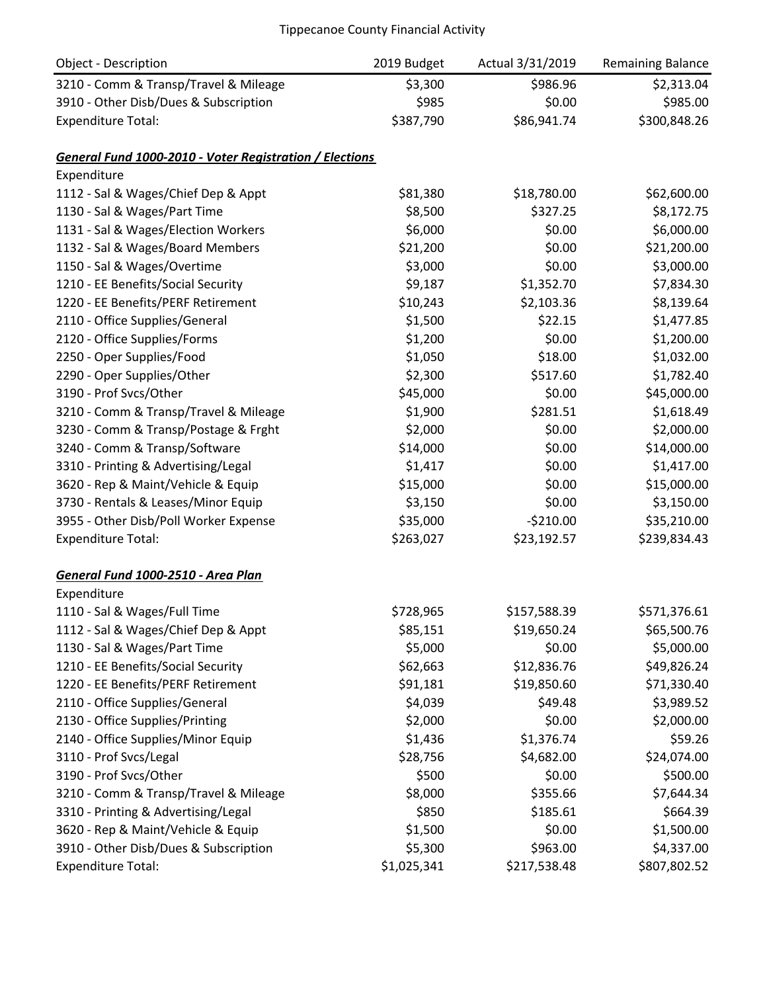| <b>Object - Description</b>                             | 2019 Budget | Actual 3/31/2019 | <b>Remaining Balance</b> |
|---------------------------------------------------------|-------------|------------------|--------------------------|
| 3210 - Comm & Transp/Travel & Mileage                   | \$3,300     | \$986.96         | \$2,313.04               |
| 3910 - Other Disb/Dues & Subscription                   | \$985       | \$0.00           | \$985.00                 |
| <b>Expenditure Total:</b>                               | \$387,790   | \$86,941.74      | \$300,848.26             |
| General Fund 1000-2010 - Voter Registration / Elections |             |                  |                          |
| Expenditure                                             |             |                  |                          |
| 1112 - Sal & Wages/Chief Dep & Appt                     | \$81,380    | \$18,780.00      | \$62,600.00              |
| 1130 - Sal & Wages/Part Time                            | \$8,500     | \$327.25         | \$8,172.75               |
| 1131 - Sal & Wages/Election Workers                     | \$6,000     | \$0.00           | \$6,000.00               |
| 1132 - Sal & Wages/Board Members                        | \$21,200    | \$0.00           | \$21,200.00              |
| 1150 - Sal & Wages/Overtime                             | \$3,000     | \$0.00           | \$3,000.00               |
| 1210 - EE Benefits/Social Security                      | \$9,187     | \$1,352.70       | \$7,834.30               |
| 1220 - EE Benefits/PERF Retirement                      | \$10,243    | \$2,103.36       | \$8,139.64               |
| 2110 - Office Supplies/General                          | \$1,500     | \$22.15          | \$1,477.85               |
| 2120 - Office Supplies/Forms                            | \$1,200     | \$0.00           | \$1,200.00               |
| 2250 - Oper Supplies/Food                               | \$1,050     | \$18.00          | \$1,032.00               |
| 2290 - Oper Supplies/Other                              | \$2,300     | \$517.60         | \$1,782.40               |
| 3190 - Prof Svcs/Other                                  | \$45,000    | \$0.00           | \$45,000.00              |
| 3210 - Comm & Transp/Travel & Mileage                   | \$1,900     | \$281.51         | \$1,618.49               |
| 3230 - Comm & Transp/Postage & Frght                    | \$2,000     | \$0.00           | \$2,000.00               |
| 3240 - Comm & Transp/Software                           | \$14,000    | \$0.00           | \$14,000.00              |
| 3310 - Printing & Advertising/Legal                     | \$1,417     | \$0.00           | \$1,417.00               |
| 3620 - Rep & Maint/Vehicle & Equip                      | \$15,000    | \$0.00           | \$15,000.00              |
| 3730 - Rentals & Leases/Minor Equip                     | \$3,150     | \$0.00           | \$3,150.00               |
| 3955 - Other Disb/Poll Worker Expense                   | \$35,000    | $-5210.00$       | \$35,210.00              |
| <b>Expenditure Total:</b>                               | \$263,027   | \$23,192.57      | \$239,834.43             |
| General Fund 1000-2510 - Area Plan                      |             |                  |                          |
| Expenditure                                             |             |                  |                          |
| 1110 - Sal & Wages/Full Time                            | \$728,965   | \$157,588.39     | \$571,376.61             |
| 1112 - Sal & Wages/Chief Dep & Appt                     | \$85,151    | \$19,650.24      | \$65,500.76              |
| 1130 - Sal & Wages/Part Time                            | \$5,000     | \$0.00           | \$5,000.00               |
| 1210 - EE Benefits/Social Security                      | \$62,663    | \$12,836.76      | \$49,826.24              |
| 1220 - EE Benefits/PERF Retirement                      | \$91,181    | \$19,850.60      | \$71,330.40              |
| 2110 - Office Supplies/General                          | \$4,039     | \$49.48          | \$3,989.52               |
| 2130 - Office Supplies/Printing                         | \$2,000     | \$0.00           | \$2,000.00               |
| 2140 - Office Supplies/Minor Equip                      | \$1,436     | \$1,376.74       | \$59.26                  |
| 3110 - Prof Svcs/Legal                                  | \$28,756    | \$4,682.00       | \$24,074.00              |
| 3190 - Prof Svcs/Other                                  | \$500       | \$0.00           | \$500.00                 |
| 3210 - Comm & Transp/Travel & Mileage                   | \$8,000     | \$355.66         | \$7,644.34               |
| 3310 - Printing & Advertising/Legal                     | \$850       | \$185.61         | \$664.39                 |
| 3620 - Rep & Maint/Vehicle & Equip                      | \$1,500     | \$0.00           | \$1,500.00               |
| 3910 - Other Disb/Dues & Subscription                   | \$5,300     | \$963.00         | \$4,337.00               |
| <b>Expenditure Total:</b>                               | \$1,025,341 | \$217,538.48     | \$807,802.52             |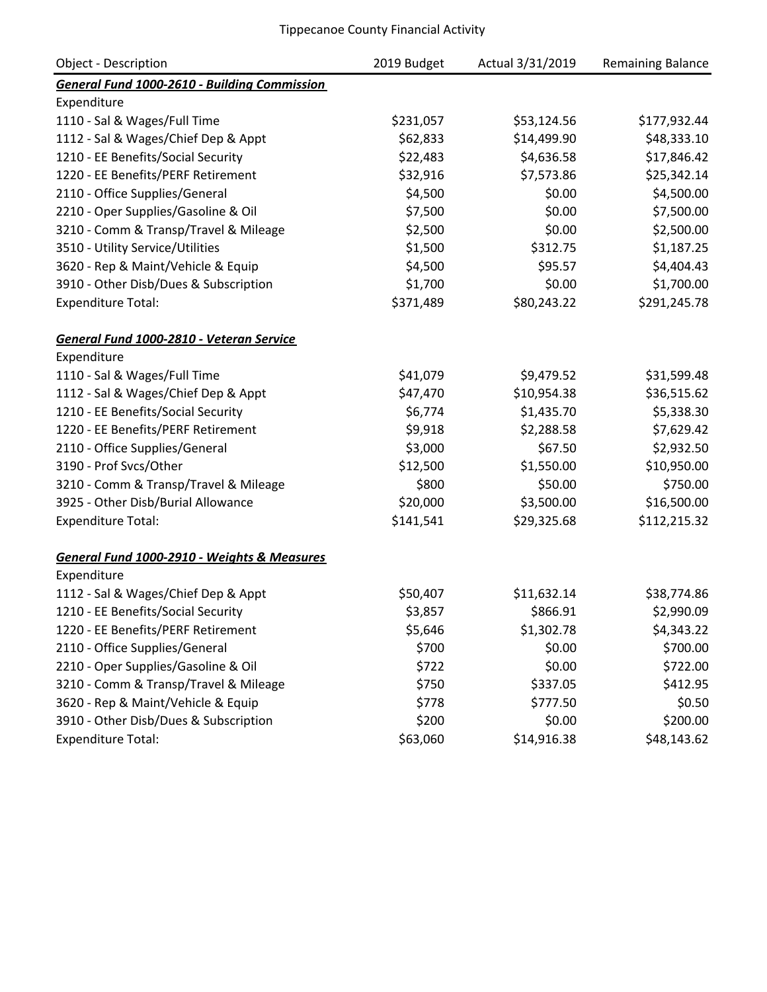| <b>Object - Description</b>                         | 2019 Budget | Actual 3/31/2019 | Remaining Balance |
|-----------------------------------------------------|-------------|------------------|-------------------|
| <b>General Fund 1000-2610 - Building Commission</b> |             |                  |                   |
| Expenditure                                         |             |                  |                   |
| 1110 - Sal & Wages/Full Time                        | \$231,057   | \$53,124.56      | \$177,932.44      |
| 1112 - Sal & Wages/Chief Dep & Appt                 | \$62,833    | \$14,499.90      | \$48,333.10       |
| 1210 - EE Benefits/Social Security                  | \$22,483    | \$4,636.58       | \$17,846.42       |
| 1220 - EE Benefits/PERF Retirement                  | \$32,916    | \$7,573.86       | \$25,342.14       |
| 2110 - Office Supplies/General                      | \$4,500     | \$0.00           | \$4,500.00        |
| 2210 - Oper Supplies/Gasoline & Oil                 | \$7,500     | \$0.00           | \$7,500.00        |
| 3210 - Comm & Transp/Travel & Mileage               | \$2,500     | \$0.00           | \$2,500.00        |
| 3510 - Utility Service/Utilities                    | \$1,500     | \$312.75         | \$1,187.25        |
| 3620 - Rep & Maint/Vehicle & Equip                  | \$4,500     | \$95.57          | \$4,404.43        |
| 3910 - Other Disb/Dues & Subscription               | \$1,700     | \$0.00           | \$1,700.00        |
| <b>Expenditure Total:</b>                           | \$371,489   | \$80,243.22      | \$291,245.78      |
| General Fund 1000-2810 - Veteran Service            |             |                  |                   |
| Expenditure                                         |             |                  |                   |
| 1110 - Sal & Wages/Full Time                        | \$41,079    | \$9,479.52       | \$31,599.48       |
| 1112 - Sal & Wages/Chief Dep & Appt                 | \$47,470    | \$10,954.38      | \$36,515.62       |
| 1210 - EE Benefits/Social Security                  | \$6,774     | \$1,435.70       | \$5,338.30        |
| 1220 - EE Benefits/PERF Retirement                  | \$9,918     | \$2,288.58       | \$7,629.42        |
| 2110 - Office Supplies/General                      | \$3,000     | \$67.50          | \$2,932.50        |
| 3190 - Prof Svcs/Other                              | \$12,500    | \$1,550.00       | \$10,950.00       |
| 3210 - Comm & Transp/Travel & Mileage               | \$800       | \$50.00          | \$750.00          |
| 3925 - Other Disb/Burial Allowance                  | \$20,000    | \$3,500.00       | \$16,500.00       |
| <b>Expenditure Total:</b>                           | \$141,541   | \$29,325.68      | \$112,215.32      |
| General Fund 1000-2910 - Weights & Measures         |             |                  |                   |
| Expenditure                                         |             |                  |                   |
| 1112 - Sal & Wages/Chief Dep & Appt                 | \$50,407    | \$11,632.14      | \$38,774.86       |
| 1210 - EE Benefits/Social Security                  | \$3,857     | \$866.91         | \$2,990.09        |
| 1220 - EE Benefits/PERF Retirement                  | \$5,646     | \$1,302.78       | \$4,343.22        |
| 2110 - Office Supplies/General                      | \$700       | \$0.00           | \$700.00          |
| 2210 - Oper Supplies/Gasoline & Oil                 | \$722       | \$0.00           | \$722.00          |
| 3210 - Comm & Transp/Travel & Mileage               | \$750       | \$337.05         | \$412.95          |
| 3620 - Rep & Maint/Vehicle & Equip                  | \$778       | \$777.50         | \$0.50            |
| 3910 - Other Disb/Dues & Subscription               | \$200       | \$0.00           | \$200.00          |
| <b>Expenditure Total:</b>                           | \$63,060    | \$14,916.38      | \$48,143.62       |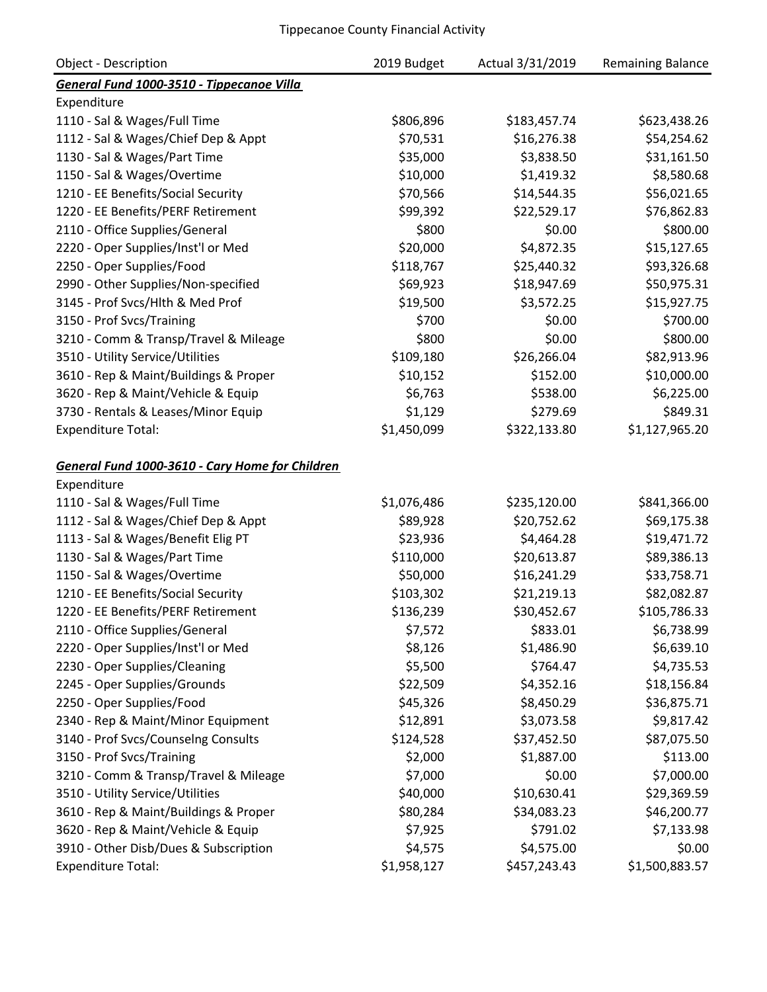| <b>Object - Description</b>                     | 2019 Budget | Actual 3/31/2019 | <b>Remaining Balance</b> |
|-------------------------------------------------|-------------|------------------|--------------------------|
| General Fund 1000-3510 - Tippecanoe Villa       |             |                  |                          |
| Expenditure                                     |             |                  |                          |
| 1110 - Sal & Wages/Full Time                    | \$806,896   | \$183,457.74     | \$623,438.26             |
| 1112 - Sal & Wages/Chief Dep & Appt             | \$70,531    | \$16,276.38      | \$54,254.62              |
| 1130 - Sal & Wages/Part Time                    | \$35,000    | \$3,838.50       | \$31,161.50              |
| 1150 - Sal & Wages/Overtime                     | \$10,000    | \$1,419.32       | \$8,580.68               |
| 1210 - EE Benefits/Social Security              | \$70,566    | \$14,544.35      | \$56,021.65              |
| 1220 - EE Benefits/PERF Retirement              | \$99,392    | \$22,529.17      | \$76,862.83              |
| 2110 - Office Supplies/General                  | \$800       | \$0.00           | \$800.00                 |
| 2220 - Oper Supplies/Inst'l or Med              | \$20,000    | \$4,872.35       | \$15,127.65              |
| 2250 - Oper Supplies/Food                       | \$118,767   | \$25,440.32      | \$93,326.68              |
| 2990 - Other Supplies/Non-specified             | \$69,923    | \$18,947.69      | \$50,975.31              |
| 3145 - Prof Svcs/Hlth & Med Prof                | \$19,500    | \$3,572.25       | \$15,927.75              |
| 3150 - Prof Svcs/Training                       | \$700       | \$0.00           | \$700.00                 |
| 3210 - Comm & Transp/Travel & Mileage           | \$800       | \$0.00           | \$800.00                 |
| 3510 - Utility Service/Utilities                | \$109,180   | \$26,266.04      | \$82,913.96              |
| 3610 - Rep & Maint/Buildings & Proper           | \$10,152    | \$152.00         | \$10,000.00              |
| 3620 - Rep & Maint/Vehicle & Equip              | \$6,763     | \$538.00         | \$6,225.00               |
| 3730 - Rentals & Leases/Minor Equip             | \$1,129     | \$279.69         | \$849.31                 |
| <b>Expenditure Total:</b>                       | \$1,450,099 | \$322,133.80     | \$1,127,965.20           |
| General Fund 1000-3610 - Cary Home for Children |             |                  |                          |
| Expenditure                                     |             |                  |                          |
| 1110 - Sal & Wages/Full Time                    | \$1,076,486 | \$235,120.00     | \$841,366.00             |
| 1112 - Sal & Wages/Chief Dep & Appt             | \$89,928    | \$20,752.62      | \$69,175.38              |
| 1113 - Sal & Wages/Benefit Elig PT              | \$23,936    | \$4,464.28       | \$19,471.72              |
| 1130 - Sal & Wages/Part Time                    | \$110,000   | \$20,613.87      | \$89,386.13              |
| 1150 - Sal & Wages/Overtime                     | \$50,000    | \$16,241.29      | \$33,758.71              |
| 1210 - EE Benefits/Social Security              | \$103,302   | \$21,219.13      | \$82,082.87              |
| 1220 - EE Benefits/PERF Retirement              | \$136,239   | \$30,452.67      | \$105,786.33             |
| 2110 - Office Supplies/General                  | \$7,572     | \$833.01         | \$6,738.99               |
| 2220 - Oper Supplies/Inst'l or Med              | \$8,126     | \$1,486.90       | \$6,639.10               |
| 2230 - Oper Supplies/Cleaning                   | \$5,500     | \$764.47         | \$4,735.53               |
| 2245 - Oper Supplies/Grounds                    | \$22,509    | \$4,352.16       | \$18,156.84              |
| 2250 - Oper Supplies/Food                       | \$45,326    | \$8,450.29       | \$36,875.71              |
| 2340 - Rep & Maint/Minor Equipment              | \$12,891    | \$3,073.58       | \$9,817.42               |
| 3140 - Prof Svcs/Counselng Consults             | \$124,528   | \$37,452.50      | \$87,075.50              |
| 3150 - Prof Svcs/Training                       | \$2,000     | \$1,887.00       | \$113.00                 |
| 3210 - Comm & Transp/Travel & Mileage           | \$7,000     | \$0.00           | \$7,000.00               |
| 3510 - Utility Service/Utilities                | \$40,000    | \$10,630.41      | \$29,369.59              |
| 3610 - Rep & Maint/Buildings & Proper           | \$80,284    | \$34,083.23      | \$46,200.77              |
| 3620 - Rep & Maint/Vehicle & Equip              | \$7,925     | \$791.02         | \$7,133.98               |
| 3910 - Other Disb/Dues & Subscription           | \$4,575     | \$4,575.00       | \$0.00                   |
| <b>Expenditure Total:</b>                       | \$1,958,127 | \$457,243.43     | \$1,500,883.57           |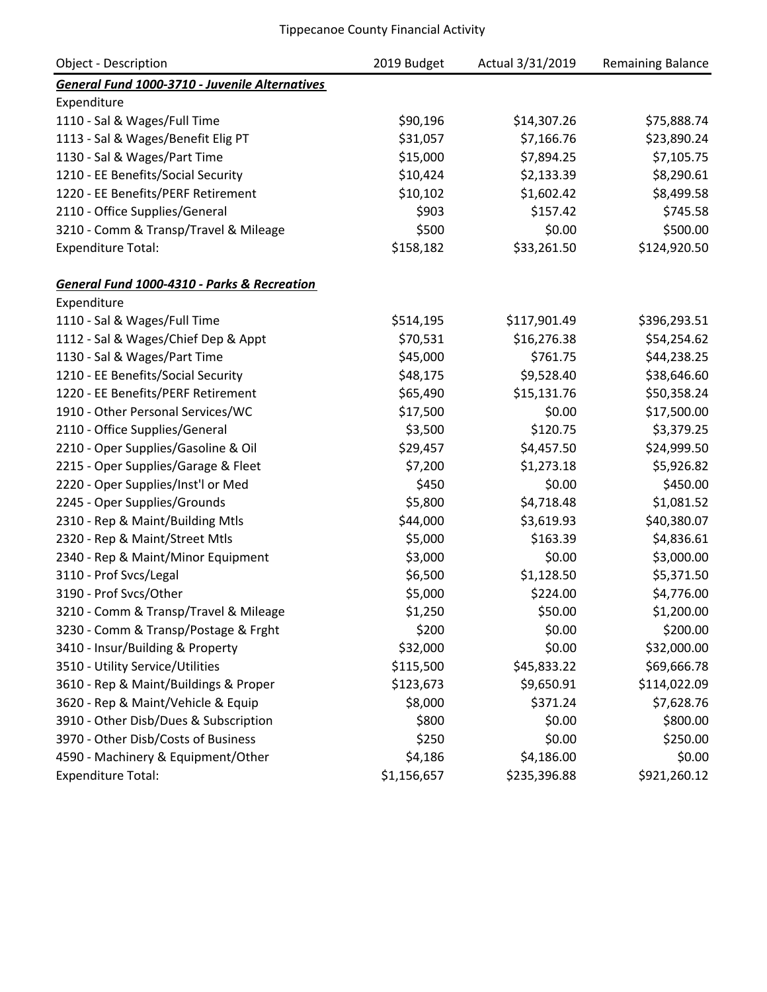| <b>Object - Description</b>                            | 2019 Budget | Actual 3/31/2019 | Remaining Balance |
|--------------------------------------------------------|-------------|------------------|-------------------|
| General Fund 1000-3710 - Juvenile Alternatives         |             |                  |                   |
| Expenditure                                            |             |                  |                   |
| 1110 - Sal & Wages/Full Time                           | \$90,196    | \$14,307.26      | \$75,888.74       |
| 1113 - Sal & Wages/Benefit Elig PT                     | \$31,057    | \$7,166.76       | \$23,890.24       |
| 1130 - Sal & Wages/Part Time                           | \$15,000    | \$7,894.25       | \$7,105.75        |
| 1210 - EE Benefits/Social Security                     | \$10,424    | \$2,133.39       | \$8,290.61        |
| 1220 - EE Benefits/PERF Retirement                     | \$10,102    | \$1,602.42       | \$8,499.58        |
| 2110 - Office Supplies/General                         | \$903       | \$157.42         | \$745.58          |
| 3210 - Comm & Transp/Travel & Mileage                  | \$500       | \$0.00           | \$500.00          |
| <b>Expenditure Total:</b>                              | \$158,182   | \$33,261.50      | \$124,920.50      |
| <b>General Fund 1000-4310 - Parks &amp; Recreation</b> |             |                  |                   |
| Expenditure                                            |             |                  |                   |
| 1110 - Sal & Wages/Full Time                           | \$514,195   | \$117,901.49     | \$396,293.51      |
| 1112 - Sal & Wages/Chief Dep & Appt                    | \$70,531    | \$16,276.38      | \$54,254.62       |
| 1130 - Sal & Wages/Part Time                           | \$45,000    | \$761.75         | \$44,238.25       |
| 1210 - EE Benefits/Social Security                     | \$48,175    | \$9,528.40       | \$38,646.60       |
| 1220 - EE Benefits/PERF Retirement                     | \$65,490    | \$15,131.76      | \$50,358.24       |
| 1910 - Other Personal Services/WC                      | \$17,500    | \$0.00           | \$17,500.00       |
| 2110 - Office Supplies/General                         | \$3,500     | \$120.75         | \$3,379.25        |
| 2210 - Oper Supplies/Gasoline & Oil                    | \$29,457    | \$4,457.50       | \$24,999.50       |
| 2215 - Oper Supplies/Garage & Fleet                    | \$7,200     | \$1,273.18       | \$5,926.82        |
| 2220 - Oper Supplies/Inst'l or Med                     | \$450       | \$0.00           | \$450.00          |
| 2245 - Oper Supplies/Grounds                           | \$5,800     | \$4,718.48       | \$1,081.52        |
| 2310 - Rep & Maint/Building Mtls                       | \$44,000    | \$3,619.93       | \$40,380.07       |
| 2320 - Rep & Maint/Street Mtls                         | \$5,000     | \$163.39         | \$4,836.61        |
| 2340 - Rep & Maint/Minor Equipment                     | \$3,000     | \$0.00           | \$3,000.00        |
| 3110 - Prof Svcs/Legal                                 | \$6,500     | \$1,128.50       | \$5,371.50        |
| 3190 - Prof Svcs/Other                                 | \$5,000     | \$224.00         | \$4,776.00        |
| 3210 - Comm & Transp/Travel & Mileage                  | \$1,250     | \$50.00          | \$1,200.00        |
| 3230 - Comm & Transp/Postage & Frght                   | \$200       | \$0.00           | \$200.00          |
| 3410 - Insur/Building & Property                       | \$32,000    | \$0.00           | \$32,000.00       |
| 3510 - Utility Service/Utilities                       | \$115,500   | \$45,833.22      | \$69,666.78       |
| 3610 - Rep & Maint/Buildings & Proper                  | \$123,673   | \$9,650.91       | \$114,022.09      |
| 3620 - Rep & Maint/Vehicle & Equip                     | \$8,000     | \$371.24         | \$7,628.76        |
| 3910 - Other Disb/Dues & Subscription                  | \$800       | \$0.00           | \$800.00          |
| 3970 - Other Disb/Costs of Business                    | \$250       | \$0.00           | \$250.00          |
| 4590 - Machinery & Equipment/Other                     | \$4,186     | \$4,186.00       | \$0.00            |
| <b>Expenditure Total:</b>                              | \$1,156,657 | \$235,396.88     | \$921,260.12      |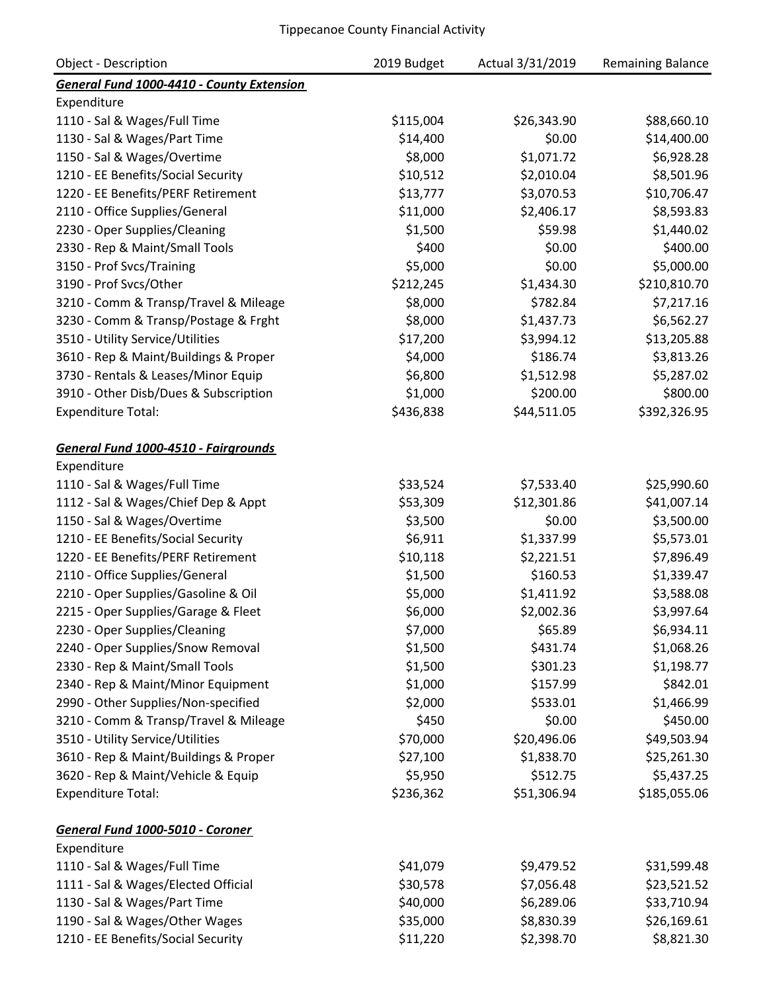| <b>Object - Description</b>               | 2019 Budget | Actual 3/31/2019 | <b>Remaining Balance</b> |
|-------------------------------------------|-------------|------------------|--------------------------|
| General Fund 1000-4410 - County Extension |             |                  |                          |
| Expenditure                               |             |                  |                          |
| 1110 - Sal & Wages/Full Time              | \$115,004   | \$26,343.90      | \$88,660.10              |
| 1130 - Sal & Wages/Part Time              | \$14,400    | \$0.00           | \$14,400.00              |
| 1150 - Sal & Wages/Overtime               | \$8,000     | \$1,071.72       | \$6,928.28               |
| 1210 - EE Benefits/Social Security        | \$10,512    | \$2,010.04       | \$8,501.96               |
| 1220 - EE Benefits/PERF Retirement        | \$13,777    | \$3,070.53       | \$10,706.47              |
| 2110 - Office Supplies/General            | \$11,000    | \$2,406.17       | \$8,593.83               |
| 2230 - Oper Supplies/Cleaning             | \$1,500     | \$59.98          | \$1,440.02               |
| 2330 - Rep & Maint/Small Tools            | \$400       | \$0.00           | \$400.00                 |
| 3150 - Prof Svcs/Training                 | \$5,000     | \$0.00           | \$5,000.00               |
| 3190 - Prof Svcs/Other                    | \$212,245   | \$1,434.30       | \$210,810.70             |
| 3210 - Comm & Transp/Travel & Mileage     | \$8,000     | \$782.84         | \$7,217.16               |
| 3230 - Comm & Transp/Postage & Frght      | \$8,000     | \$1,437.73       | \$6,562.27               |
| 3510 - Utility Service/Utilities          | \$17,200    | \$3,994.12       | \$13,205.88              |
| 3610 - Rep & Maint/Buildings & Proper     | \$4,000     | \$186.74         | \$3,813.26               |
| 3730 - Rentals & Leases/Minor Equip       | \$6,800     | \$1,512.98       | \$5,287.02               |
| 3910 - Other Disb/Dues & Subscription     | \$1,000     | \$200.00         | \$800.00                 |
| <b>Expenditure Total:</b>                 | \$436,838   | \$44,511.05      | \$392,326.95             |
| General Fund 1000-4510 - Fairgrounds      |             |                  |                          |
| Expenditure                               |             |                  |                          |
| 1110 - Sal & Wages/Full Time              | \$33,524    | \$7,533.40       | \$25,990.60              |
| 1112 - Sal & Wages/Chief Dep & Appt       | \$53,309    | \$12,301.86      | \$41,007.14              |
| 1150 - Sal & Wages/Overtime               | \$3,500     | \$0.00           | \$3,500.00               |
| 1210 - EE Benefits/Social Security        | \$6,911     | \$1,337.99       | \$5,573.01               |
| 1220 - EE Benefits/PERF Retirement        | \$10,118    | \$2,221.51       | \$7,896.49               |
| 2110 - Office Supplies/General            | \$1,500     | \$160.53         | \$1,339.47               |
| 2210 - Oper Supplies/Gasoline & Oil       | \$5,000     | \$1,411.92       | \$3,588.08               |
| 2215 - Oper Supplies/Garage & Fleet       | \$6,000     | \$2,002.36       | \$3,997.64               |
| 2230 - Oper Supplies/Cleaning             | \$7,000     | \$65.89          | \$6,934.11               |
| 2240 - Oper Supplies/Snow Removal         | \$1,500     | \$431.74         | \$1,068.26               |
| 2330 - Rep & Maint/Small Tools            | \$1,500     | \$301.23         | \$1,198.77               |
| 2340 - Rep & Maint/Minor Equipment        | \$1,000     | \$157.99         | \$842.01                 |
| 2990 - Other Supplies/Non-specified       | \$2,000     | \$533.01         | \$1,466.99               |
| 3210 - Comm & Transp/Travel & Mileage     | \$450       | \$0.00           | \$450.00                 |
| 3510 - Utility Service/Utilities          | \$70,000    | \$20,496.06      | \$49,503.94              |
| 3610 - Rep & Maint/Buildings & Proper     | \$27,100    | \$1,838.70       | \$25,261.30              |
| 3620 - Rep & Maint/Vehicle & Equip        | \$5,950     | \$512.75         | \$5,437.25               |
| <b>Expenditure Total:</b>                 | \$236,362   | \$51,306.94      | \$185,055.06             |
| General Fund 1000-5010 - Coroner          |             |                  |                          |
| Expenditure                               |             |                  |                          |
| 1110 - Sal & Wages/Full Time              | \$41,079    | \$9,479.52       | \$31,599.48              |
| 1111 - Sal & Wages/Elected Official       | \$30,578    | \$7,056.48       | \$23,521.52              |
| 1130 - Sal & Wages/Part Time              | \$40,000    | \$6,289.06       | \$33,710.94              |
| 1190 - Sal & Wages/Other Wages            | \$35,000    | \$8,830.39       | \$26,169.61              |
| 1210 - EE Benefits/Social Security        | \$11,220    | \$2,398.70       | \$8,821.30               |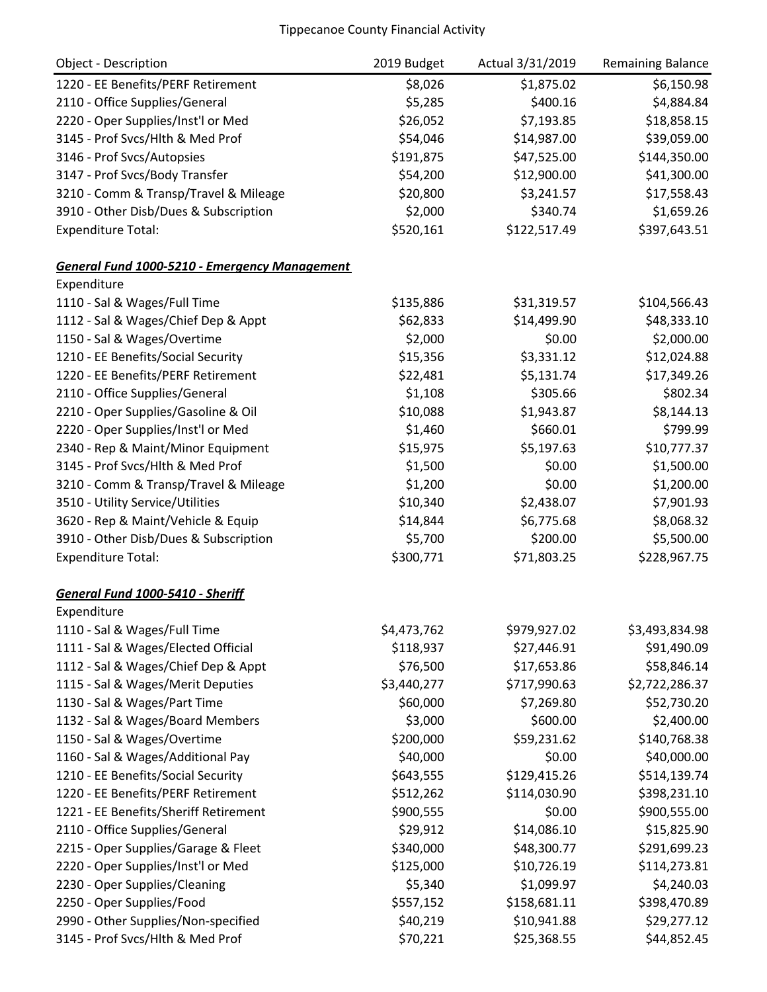| <b>Object - Description</b>                          | 2019 Budget | Actual 3/31/2019 | <b>Remaining Balance</b> |
|------------------------------------------------------|-------------|------------------|--------------------------|
| 1220 - EE Benefits/PERF Retirement                   | \$8,026     | \$1,875.02       | \$6,150.98               |
| 2110 - Office Supplies/General                       | \$5,285     | \$400.16         | \$4,884.84               |
| 2220 - Oper Supplies/Inst'l or Med                   | \$26,052    | \$7,193.85       | \$18,858.15              |
| 3145 - Prof Svcs/Hlth & Med Prof                     | \$54,046    | \$14,987.00      | \$39,059.00              |
| 3146 - Prof Svcs/Autopsies                           | \$191,875   | \$47,525.00      | \$144,350.00             |
| 3147 - Prof Svcs/Body Transfer                       | \$54,200    | \$12,900.00      | \$41,300.00              |
| 3210 - Comm & Transp/Travel & Mileage                | \$20,800    | \$3,241.57       | \$17,558.43              |
| 3910 - Other Disb/Dues & Subscription                | \$2,000     | \$340.74         | \$1,659.26               |
| <b>Expenditure Total:</b>                            | \$520,161   | \$122,517.49     | \$397,643.51             |
| <b>General Fund 1000-5210 - Emergency Management</b> |             |                  |                          |
| Expenditure                                          |             |                  |                          |
| 1110 - Sal & Wages/Full Time                         | \$135,886   | \$31,319.57      | \$104,566.43             |
| 1112 - Sal & Wages/Chief Dep & Appt                  | \$62,833    | \$14,499.90      | \$48,333.10              |
| 1150 - Sal & Wages/Overtime                          | \$2,000     | \$0.00           | \$2,000.00               |
| 1210 - EE Benefits/Social Security                   | \$15,356    | \$3,331.12       | \$12,024.88              |
| 1220 - EE Benefits/PERF Retirement                   | \$22,481    | \$5,131.74       | \$17,349.26              |
| 2110 - Office Supplies/General                       | \$1,108     | \$305.66         | \$802.34                 |
| 2210 - Oper Supplies/Gasoline & Oil                  | \$10,088    | \$1,943.87       | \$8,144.13               |
| 2220 - Oper Supplies/Inst'l or Med                   | \$1,460     | \$660.01         | \$799.99                 |
| 2340 - Rep & Maint/Minor Equipment                   | \$15,975    | \$5,197.63       | \$10,777.37              |
| 3145 - Prof Svcs/Hlth & Med Prof                     | \$1,500     | \$0.00           | \$1,500.00               |
| 3210 - Comm & Transp/Travel & Mileage                | \$1,200     | \$0.00           | \$1,200.00               |
| 3510 - Utility Service/Utilities                     | \$10,340    | \$2,438.07       | \$7,901.93               |
| 3620 - Rep & Maint/Vehicle & Equip                   | \$14,844    | \$6,775.68       | \$8,068.32               |
| 3910 - Other Disb/Dues & Subscription                | \$5,700     | \$200.00         | \$5,500.00               |
| <b>Expenditure Total:</b>                            | \$300,771   | \$71,803.25      | \$228,967.75             |
| General Fund 1000-5410 - Sheriff                     |             |                  |                          |
| Expenditure                                          |             |                  |                          |
| 1110 - Sal & Wages/Full Time                         | \$4,473,762 | \$979,927.02     | \$3,493,834.98           |
| 1111 - Sal & Wages/Elected Official                  | \$118,937   | \$27,446.91      | \$91,490.09              |
| 1112 - Sal & Wages/Chief Dep & Appt                  | \$76,500    | \$17,653.86      | \$58,846.14              |
| 1115 - Sal & Wages/Merit Deputies                    | \$3,440,277 | \$717,990.63     | \$2,722,286.37           |
| 1130 - Sal & Wages/Part Time                         | \$60,000    | \$7,269.80       | \$52,730.20              |
| 1132 - Sal & Wages/Board Members                     | \$3,000     | \$600.00         | \$2,400.00               |
| 1150 - Sal & Wages/Overtime                          | \$200,000   | \$59,231.62      | \$140,768.38             |
| 1160 - Sal & Wages/Additional Pay                    | \$40,000    | \$0.00           | \$40,000.00              |
| 1210 - EE Benefits/Social Security                   | \$643,555   | \$129,415.26     | \$514,139.74             |
| 1220 - EE Benefits/PERF Retirement                   | \$512,262   | \$114,030.90     | \$398,231.10             |
| 1221 - EE Benefits/Sheriff Retirement                | \$900,555   | \$0.00           | \$900,555.00             |
| 2110 - Office Supplies/General                       | \$29,912    | \$14,086.10      | \$15,825.90              |
| 2215 - Oper Supplies/Garage & Fleet                  | \$340,000   | \$48,300.77      | \$291,699.23             |
| 2220 - Oper Supplies/Inst'l or Med                   | \$125,000   | \$10,726.19      | \$114,273.81             |
| 2230 - Oper Supplies/Cleaning                        | \$5,340     | \$1,099.97       | \$4,240.03               |
| 2250 - Oper Supplies/Food                            | \$557,152   | \$158,681.11     | \$398,470.89             |
| 2990 - Other Supplies/Non-specified                  | \$40,219    | \$10,941.88      | \$29,277.12              |
| 3145 - Prof Svcs/Hlth & Med Prof                     | \$70,221    | \$25,368.55      | \$44,852.45              |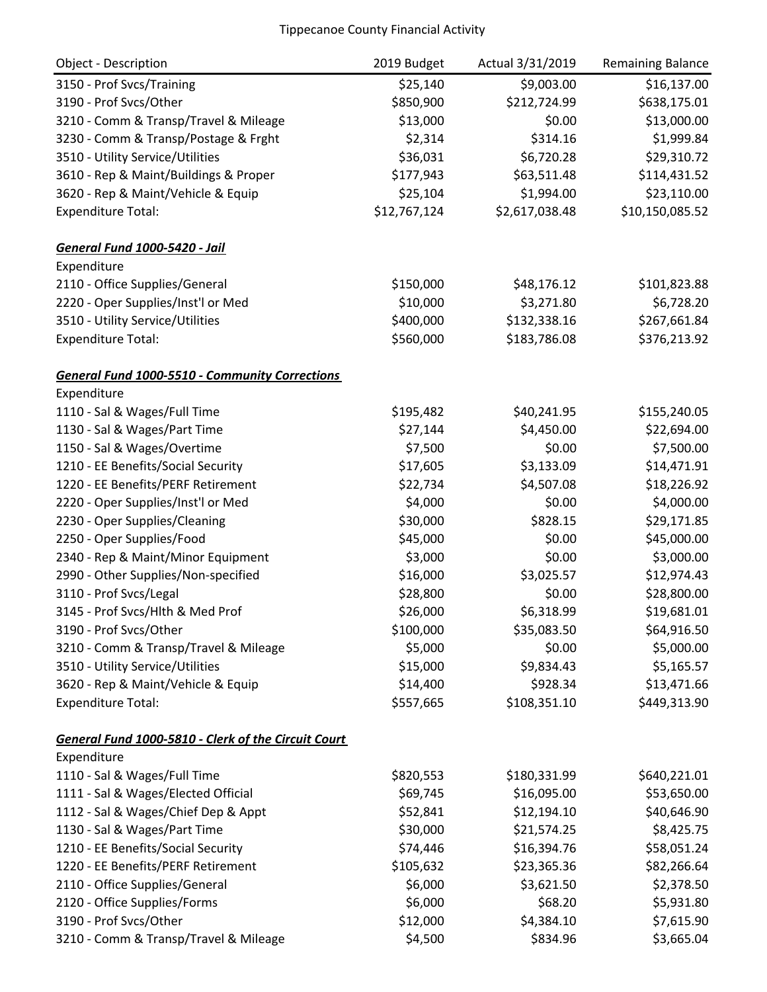| <b>Object - Description</b>                           | 2019 Budget  | Actual 3/31/2019 | Remaining Balance |
|-------------------------------------------------------|--------------|------------------|-------------------|
| 3150 - Prof Svcs/Training                             | \$25,140     | \$9,003.00       | \$16,137.00       |
| 3190 - Prof Svcs/Other                                | \$850,900    | \$212,724.99     | \$638,175.01      |
| 3210 - Comm & Transp/Travel & Mileage                 | \$13,000     | \$0.00           | \$13,000.00       |
| 3230 - Comm & Transp/Postage & Frght                  | \$2,314      | \$314.16         | \$1,999.84        |
| 3510 - Utility Service/Utilities                      | \$36,031     | \$6,720.28       | \$29,310.72       |
| 3610 - Rep & Maint/Buildings & Proper                 | \$177,943    | \$63,511.48      | \$114,431.52      |
| 3620 - Rep & Maint/Vehicle & Equip                    | \$25,104     | \$1,994.00       | \$23,110.00       |
| <b>Expenditure Total:</b>                             | \$12,767,124 | \$2,617,038.48   | \$10,150,085.52   |
| <b>General Fund 1000-5420 - Jail</b>                  |              |                  |                   |
| Expenditure                                           |              |                  |                   |
| 2110 - Office Supplies/General                        | \$150,000    | \$48,176.12      | \$101,823.88      |
| 2220 - Oper Supplies/Inst'l or Med                    | \$10,000     | \$3,271.80       | \$6,728.20        |
| 3510 - Utility Service/Utilities                      | \$400,000    | \$132,338.16     | \$267,661.84      |
| <b>Expenditure Total:</b>                             | \$560,000    | \$183,786.08     | \$376,213.92      |
| <b>General Fund 1000-5510 - Community Corrections</b> |              |                  |                   |
| Expenditure                                           |              |                  |                   |
| 1110 - Sal & Wages/Full Time                          | \$195,482    | \$40,241.95      | \$155,240.05      |
| 1130 - Sal & Wages/Part Time                          | \$27,144     | \$4,450.00       | \$22,694.00       |
| 1150 - Sal & Wages/Overtime                           | \$7,500      | \$0.00           | \$7,500.00        |
| 1210 - EE Benefits/Social Security                    | \$17,605     | \$3,133.09       | \$14,471.91       |
| 1220 - EE Benefits/PERF Retirement                    | \$22,734     | \$4,507.08       | \$18,226.92       |
| 2220 - Oper Supplies/Inst'l or Med                    | \$4,000      | \$0.00           | \$4,000.00        |
| 2230 - Oper Supplies/Cleaning                         | \$30,000     | \$828.15         | \$29,171.85       |
| 2250 - Oper Supplies/Food                             | \$45,000     | \$0.00           | \$45,000.00       |
| 2340 - Rep & Maint/Minor Equipment                    | \$3,000      | \$0.00           | \$3,000.00        |
| 2990 - Other Supplies/Non-specified                   | \$16,000     | \$3,025.57       | \$12,974.43       |
| 3110 - Prof Svcs/Legal                                | \$28,800     | \$0.00           | \$28,800.00       |
| 3145 - Prof Svcs/Hlth & Med Prof                      | \$26,000     | \$6,318.99       | \$19,681.01       |
| 3190 - Prof Svcs/Other                                | \$100,000    | \$35,083.50      | \$64,916.50       |
| 3210 - Comm & Transp/Travel & Mileage                 | \$5,000      | \$0.00           | \$5,000.00        |
| 3510 - Utility Service/Utilities                      | \$15,000     | \$9,834.43       | \$5,165.57        |
| 3620 - Rep & Maint/Vehicle & Equip                    | \$14,400     | \$928.34         | \$13,471.66       |
| <b>Expenditure Total:</b>                             | \$557,665    | \$108,351.10     | \$449,313.90      |
| General Fund 1000-5810 - Clerk of the Circuit Court   |              |                  |                   |
| Expenditure                                           |              |                  |                   |
| 1110 - Sal & Wages/Full Time                          | \$820,553    | \$180,331.99     | \$640,221.01      |
| 1111 - Sal & Wages/Elected Official                   | \$69,745     | \$16,095.00      | \$53,650.00       |
| 1112 - Sal & Wages/Chief Dep & Appt                   | \$52,841     | \$12,194.10      | \$40,646.90       |
| 1130 - Sal & Wages/Part Time                          | \$30,000     | \$21,574.25      | \$8,425.75        |
| 1210 - EE Benefits/Social Security                    | \$74,446     | \$16,394.76      | \$58,051.24       |
| 1220 - EE Benefits/PERF Retirement                    | \$105,632    | \$23,365.36      | \$82,266.64       |
| 2110 - Office Supplies/General                        | \$6,000      | \$3,621.50       | \$2,378.50        |
| 2120 - Office Supplies/Forms                          | \$6,000      | \$68.20          | \$5,931.80        |
| 3190 - Prof Svcs/Other                                | \$12,000     | \$4,384.10       | \$7,615.90        |
| 3210 - Comm & Transp/Travel & Mileage                 | \$4,500      | \$834.96         | \$3,665.04        |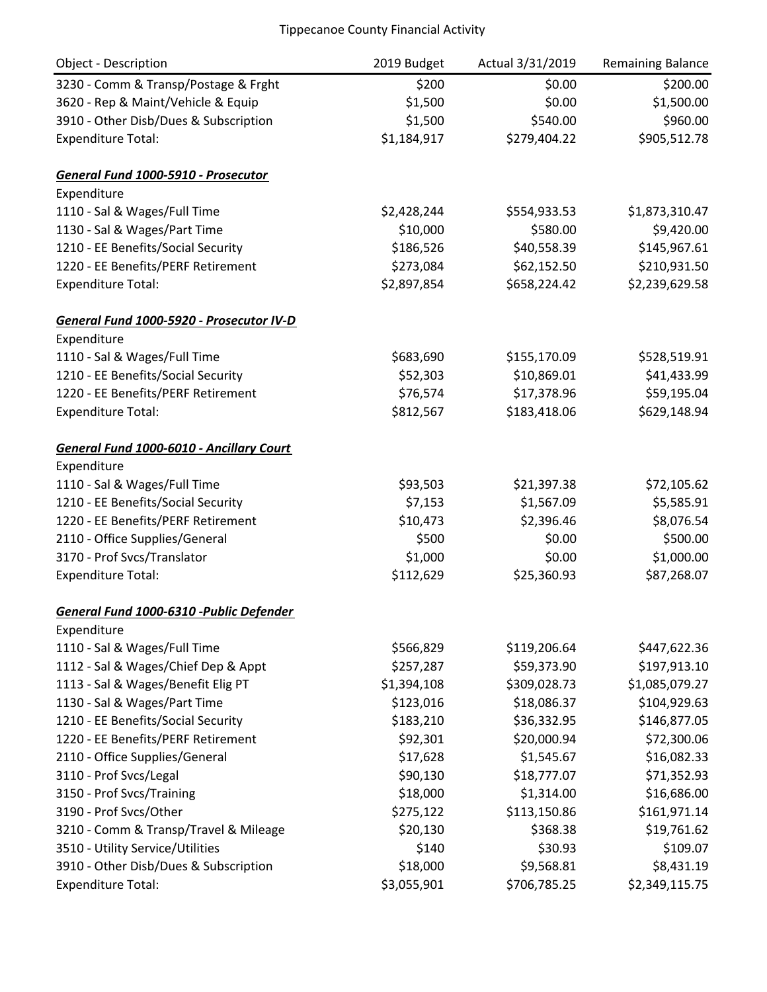| <b>Object - Description</b>              | 2019 Budget | Actual 3/31/2019 | <b>Remaining Balance</b> |
|------------------------------------------|-------------|------------------|--------------------------|
| 3230 - Comm & Transp/Postage & Frght     | \$200       | \$0.00           | \$200.00                 |
| 3620 - Rep & Maint/Vehicle & Equip       | \$1,500     | \$0.00           | \$1,500.00               |
| 3910 - Other Disb/Dues & Subscription    | \$1,500     | \$540.00         | \$960.00                 |
| <b>Expenditure Total:</b>                | \$1,184,917 | \$279,404.22     | \$905,512.78             |
| General Fund 1000-5910 - Prosecutor      |             |                  |                          |
| Expenditure                              |             |                  |                          |
| 1110 - Sal & Wages/Full Time             | \$2,428,244 | \$554,933.53     | \$1,873,310.47           |
| 1130 - Sal & Wages/Part Time             | \$10,000    | \$580.00         | \$9,420.00               |
| 1210 - EE Benefits/Social Security       | \$186,526   | \$40,558.39      | \$145,967.61             |
| 1220 - EE Benefits/PERF Retirement       | \$273,084   | \$62,152.50      | \$210,931.50             |
| <b>Expenditure Total:</b>                | \$2,897,854 | \$658,224.42     | \$2,239,629.58           |
| General Fund 1000-5920 - Prosecutor IV-D |             |                  |                          |
| Expenditure                              |             |                  |                          |
| 1110 - Sal & Wages/Full Time             | \$683,690   | \$155,170.09     | \$528,519.91             |
| 1210 - EE Benefits/Social Security       | \$52,303    | \$10,869.01      | \$41,433.99              |
| 1220 - EE Benefits/PERF Retirement       | \$76,574    | \$17,378.96      | \$59,195.04              |
| <b>Expenditure Total:</b>                | \$812,567   | \$183,418.06     | \$629,148.94             |
| General Fund 1000-6010 - Ancillary Court |             |                  |                          |
| Expenditure                              |             |                  |                          |
| 1110 - Sal & Wages/Full Time             | \$93,503    | \$21,397.38      | \$72,105.62              |
| 1210 - EE Benefits/Social Security       | \$7,153     | \$1,567.09       | \$5,585.91               |
| 1220 - EE Benefits/PERF Retirement       | \$10,473    | \$2,396.46       | \$8,076.54               |
| 2110 - Office Supplies/General           | \$500       | \$0.00           | \$500.00                 |
| 3170 - Prof Svcs/Translator              | \$1,000     | \$0.00           | \$1,000.00               |
| <b>Expenditure Total:</b>                | \$112,629   | \$25,360.93      | \$87,268.07              |
| General Fund 1000-6310 -Public Defender  |             |                  |                          |
| Expenditure                              |             |                  |                          |
| 1110 - Sal & Wages/Full Time             | \$566,829   | \$119,206.64     | \$447,622.36             |
| 1112 - Sal & Wages/Chief Dep & Appt      | \$257,287   | \$59,373.90      | \$197,913.10             |
| 1113 - Sal & Wages/Benefit Elig PT       | \$1,394,108 | \$309,028.73     | \$1,085,079.27           |
| 1130 - Sal & Wages/Part Time             | \$123,016   | \$18,086.37      | \$104,929.63             |
| 1210 - EE Benefits/Social Security       | \$183,210   | \$36,332.95      | \$146,877.05             |
| 1220 - EE Benefits/PERF Retirement       | \$92,301    | \$20,000.94      | \$72,300.06              |
| 2110 - Office Supplies/General           | \$17,628    | \$1,545.67       | \$16,082.33              |
| 3110 - Prof Svcs/Legal                   | \$90,130    | \$18,777.07      | \$71,352.93              |
| 3150 - Prof Svcs/Training                | \$18,000    | \$1,314.00       | \$16,686.00              |
| 3190 - Prof Svcs/Other                   | \$275,122   | \$113,150.86     | \$161,971.14             |
| 3210 - Comm & Transp/Travel & Mileage    | \$20,130    | \$368.38         | \$19,761.62              |
| 3510 - Utility Service/Utilities         | \$140       | \$30.93          | \$109.07                 |
| 3910 - Other Disb/Dues & Subscription    | \$18,000    | \$9,568.81       | \$8,431.19               |
| <b>Expenditure Total:</b>                | \$3,055,901 | \$706,785.25     | \$2,349,115.75           |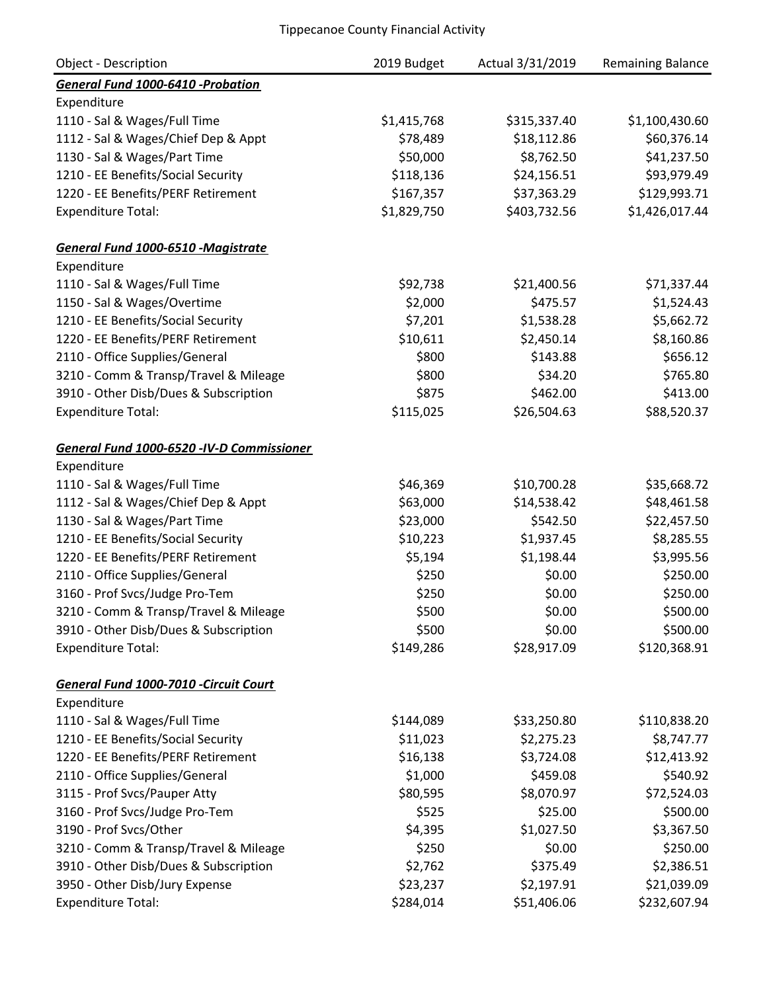| <b>Object - Description</b>                | 2019 Budget | Actual 3/31/2019 | <b>Remaining Balance</b> |
|--------------------------------------------|-------------|------------------|--------------------------|
| General Fund 1000-6410 -Probation          |             |                  |                          |
| Expenditure                                |             |                  |                          |
| 1110 - Sal & Wages/Full Time               | \$1,415,768 | \$315,337.40     | \$1,100,430.60           |
| 1112 - Sal & Wages/Chief Dep & Appt        | \$78,489    | \$18,112.86      | \$60,376.14              |
| 1130 - Sal & Wages/Part Time               | \$50,000    | \$8,762.50       | \$41,237.50              |
| 1210 - EE Benefits/Social Security         | \$118,136   | \$24,156.51      | \$93,979.49              |
| 1220 - EE Benefits/PERF Retirement         | \$167,357   | \$37,363.29      | \$129,993.71             |
| <b>Expenditure Total:</b>                  | \$1,829,750 | \$403,732.56     | \$1,426,017.44           |
| General Fund 1000-6510 -Magistrate         |             |                  |                          |
| Expenditure                                |             |                  |                          |
| 1110 - Sal & Wages/Full Time               | \$92,738    | \$21,400.56      | \$71,337.44              |
| 1150 - Sal & Wages/Overtime                | \$2,000     | \$475.57         | \$1,524.43               |
| 1210 - EE Benefits/Social Security         | \$7,201     | \$1,538.28       | \$5,662.72               |
| 1220 - EE Benefits/PERF Retirement         | \$10,611    | \$2,450.14       | \$8,160.86               |
| 2110 - Office Supplies/General             | \$800       | \$143.88         | \$656.12                 |
| 3210 - Comm & Transp/Travel & Mileage      | \$800       | \$34.20          | \$765.80                 |
| 3910 - Other Disb/Dues & Subscription      | \$875       | \$462.00         | \$413.00                 |
| <b>Expenditure Total:</b>                  | \$115,025   | \$26,504.63      | \$88,520.37              |
| General Fund 1000-6520 - IV-D Commissioner |             |                  |                          |
| Expenditure                                |             |                  |                          |
| 1110 - Sal & Wages/Full Time               | \$46,369    | \$10,700.28      | \$35,668.72              |
| 1112 - Sal & Wages/Chief Dep & Appt        | \$63,000    | \$14,538.42      | \$48,461.58              |
| 1130 - Sal & Wages/Part Time               | \$23,000    | \$542.50         | \$22,457.50              |
| 1210 - EE Benefits/Social Security         | \$10,223    | \$1,937.45       | \$8,285.55               |
| 1220 - EE Benefits/PERF Retirement         | \$5,194     | \$1,198.44       | \$3,995.56               |
| 2110 - Office Supplies/General             | \$250       | \$0.00           | \$250.00                 |
| 3160 - Prof Svcs/Judge Pro-Tem             | \$250       | \$0.00           | \$250.00                 |
| 3210 - Comm & Transp/Travel & Mileage      | \$500       | \$0.00           | \$500.00                 |
| 3910 - Other Disb/Dues & Subscription      | \$500       | \$0.00           | \$500.00                 |
| <b>Expenditure Total:</b>                  | \$149,286   | \$28,917.09      | \$120,368.91             |
| General Fund 1000-7010 -Circuit Court      |             |                  |                          |
| Expenditure                                |             |                  |                          |
| 1110 - Sal & Wages/Full Time               | \$144,089   | \$33,250.80      | \$110,838.20             |
| 1210 - EE Benefits/Social Security         | \$11,023    | \$2,275.23       | \$8,747.77               |
| 1220 - EE Benefits/PERF Retirement         | \$16,138    | \$3,724.08       | \$12,413.92              |
| 2110 - Office Supplies/General             | \$1,000     | \$459.08         | \$540.92                 |
| 3115 - Prof Svcs/Pauper Atty               | \$80,595    | \$8,070.97       | \$72,524.03              |
| 3160 - Prof Svcs/Judge Pro-Tem             | \$525       | \$25.00          | \$500.00                 |
| 3190 - Prof Svcs/Other                     | \$4,395     | \$1,027.50       | \$3,367.50               |
| 3210 - Comm & Transp/Travel & Mileage      | \$250       | \$0.00           | \$250.00                 |
| 3910 - Other Disb/Dues & Subscription      | \$2,762     | \$375.49         | \$2,386.51               |
| 3950 - Other Disb/Jury Expense             | \$23,237    | \$2,197.91       | \$21,039.09              |
| <b>Expenditure Total:</b>                  | \$284,014   | \$51,406.06      | \$232,607.94             |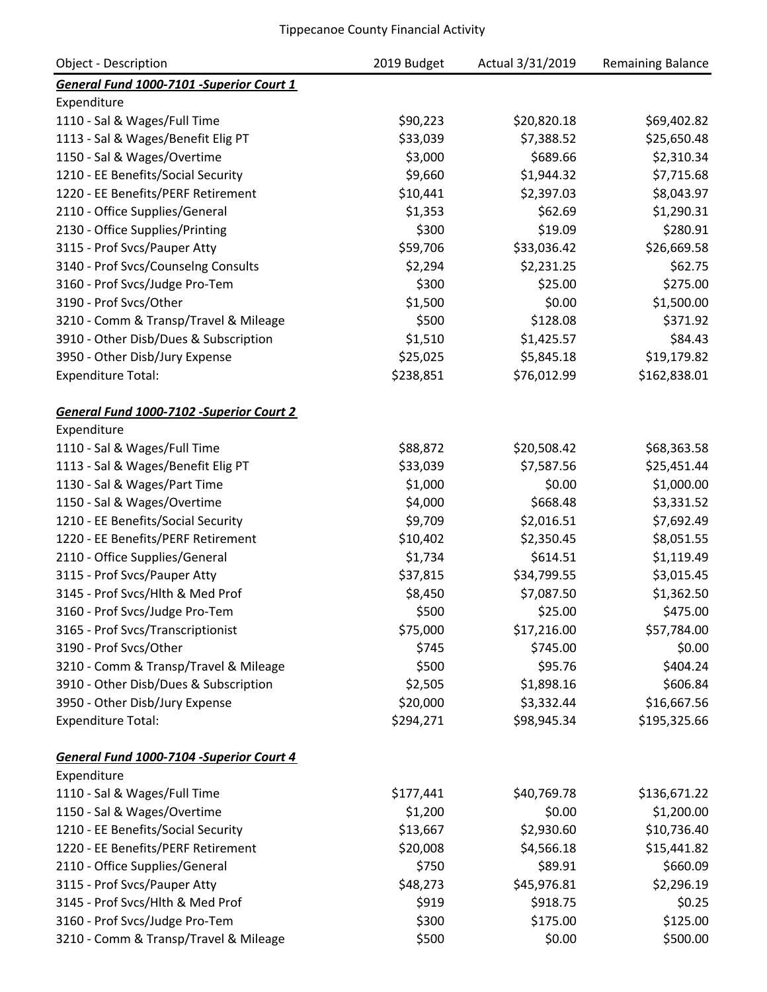| Object - Description                     | 2019 Budget | Actual 3/31/2019 | <b>Remaining Balance</b> |
|------------------------------------------|-------------|------------------|--------------------------|
| General Fund 1000-7101 -Superior Court 1 |             |                  |                          |
| Expenditure                              |             |                  |                          |
| 1110 - Sal & Wages/Full Time             | \$90,223    | \$20,820.18      | \$69,402.82              |
| 1113 - Sal & Wages/Benefit Elig PT       | \$33,039    | \$7,388.52       | \$25,650.48              |
| 1150 - Sal & Wages/Overtime              | \$3,000     | \$689.66         | \$2,310.34               |
| 1210 - EE Benefits/Social Security       | \$9,660     | \$1,944.32       | \$7,715.68               |
| 1220 - EE Benefits/PERF Retirement       | \$10,441    | \$2,397.03       | \$8,043.97               |
| 2110 - Office Supplies/General           | \$1,353     | \$62.69          | \$1,290.31               |
| 2130 - Office Supplies/Printing          | \$300       | \$19.09          | \$280.91                 |
| 3115 - Prof Svcs/Pauper Atty             | \$59,706    | \$33,036.42      | \$26,669.58              |
| 3140 - Prof Svcs/Counselng Consults      | \$2,294     | \$2,231.25       | \$62.75                  |
| 3160 - Prof Svcs/Judge Pro-Tem           | \$300       | \$25.00          | \$275.00                 |
| 3190 - Prof Svcs/Other                   | \$1,500     | \$0.00           | \$1,500.00               |
| 3210 - Comm & Transp/Travel & Mileage    | \$500       | \$128.08         | \$371.92                 |
| 3910 - Other Disb/Dues & Subscription    | \$1,510     | \$1,425.57       | \$84.43                  |
| 3950 - Other Disb/Jury Expense           | \$25,025    | \$5,845.18       | \$19,179.82              |
| <b>Expenditure Total:</b>                | \$238,851   | \$76,012.99      | \$162,838.01             |
|                                          |             |                  |                          |
| General Fund 1000-7102 -Superior Court 2 |             |                  |                          |
| Expenditure                              |             |                  |                          |
| 1110 - Sal & Wages/Full Time             | \$88,872    | \$20,508.42      | \$68,363.58              |
| 1113 - Sal & Wages/Benefit Elig PT       | \$33,039    | \$7,587.56       | \$25,451.44              |
| 1130 - Sal & Wages/Part Time             | \$1,000     | \$0.00           | \$1,000.00               |
| 1150 - Sal & Wages/Overtime              | \$4,000     | \$668.48         | \$3,331.52               |
| 1210 - EE Benefits/Social Security       | \$9,709     | \$2,016.51       | \$7,692.49               |
| 1220 - EE Benefits/PERF Retirement       | \$10,402    | \$2,350.45       | \$8,051.55               |
| 2110 - Office Supplies/General           | \$1,734     | \$614.51         | \$1,119.49               |
| 3115 - Prof Svcs/Pauper Atty             | \$37,815    | \$34,799.55      | \$3,015.45               |
| 3145 - Prof Svcs/Hlth & Med Prof         | \$8,450     | \$7,087.50       | \$1,362.50               |
| 3160 - Prof Svcs/Judge Pro-Tem           | \$500       | \$25.00          | \$475.00                 |
| 3165 - Prof Svcs/Transcriptionist        | \$75,000    | \$17,216.00      | \$57,784.00              |
| 3190 - Prof Svcs/Other                   | \$745       | \$745.00         | \$0.00                   |
| 3210 - Comm & Transp/Travel & Mileage    | \$500       | \$95.76          | \$404.24                 |
| 3910 - Other Disb/Dues & Subscription    | \$2,505     | \$1,898.16       | \$606.84                 |
| 3950 - Other Disb/Jury Expense           | \$20,000    | \$3,332.44       | \$16,667.56              |
| <b>Expenditure Total:</b>                | \$294,271   | \$98,945.34      | \$195,325.66             |
| General Fund 1000-7104 -Superior Court 4 |             |                  |                          |
| Expenditure                              |             |                  |                          |
| 1110 - Sal & Wages/Full Time             | \$177,441   | \$40,769.78      | \$136,671.22             |
| 1150 - Sal & Wages/Overtime              | \$1,200     | \$0.00           | \$1,200.00               |
| 1210 - EE Benefits/Social Security       | \$13,667    | \$2,930.60       | \$10,736.40              |
| 1220 - EE Benefits/PERF Retirement       | \$20,008    | \$4,566.18       | \$15,441.82              |
| 2110 - Office Supplies/General           | \$750       | \$89.91          | \$660.09                 |
| 3115 - Prof Svcs/Pauper Atty             | \$48,273    | \$45,976.81      | \$2,296.19               |
| 3145 - Prof Svcs/Hlth & Med Prof         | \$919       | \$918.75         | \$0.25                   |
| 3160 - Prof Svcs/Judge Pro-Tem           | \$300       | \$175.00         | \$125.00                 |
| 3210 - Comm & Transp/Travel & Mileage    | \$500       | \$0.00           | \$500.00                 |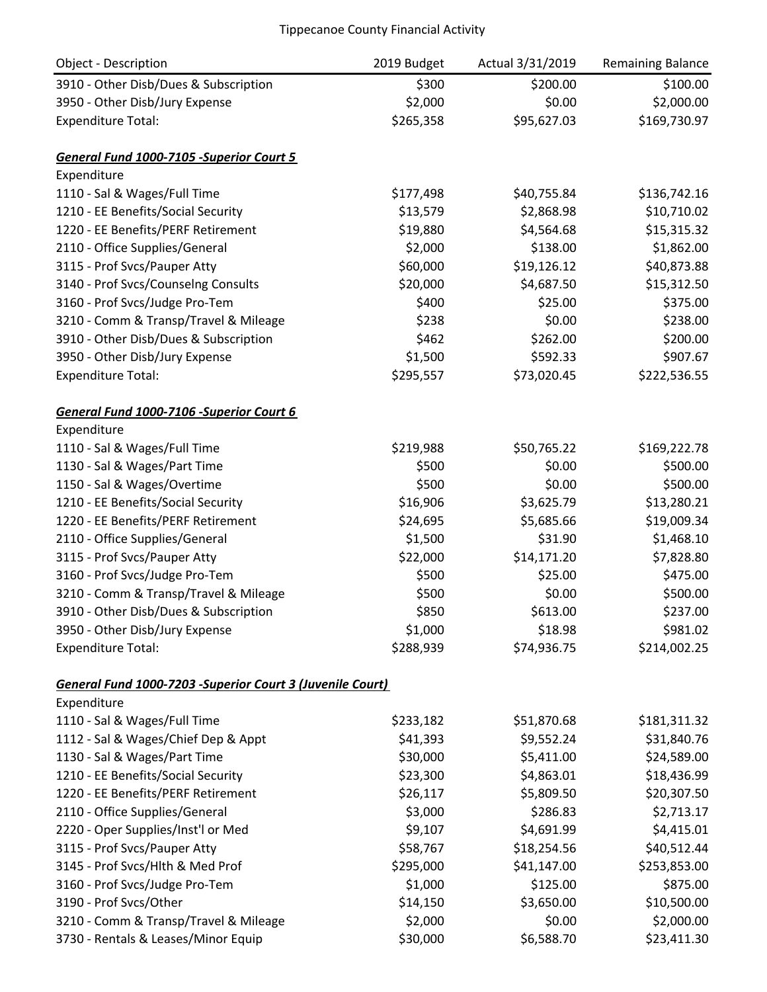| Object - Description                                      | 2019 Budget | Actual 3/31/2019 | <b>Remaining Balance</b> |
|-----------------------------------------------------------|-------------|------------------|--------------------------|
| 3910 - Other Disb/Dues & Subscription                     | \$300       | \$200.00         | \$100.00                 |
| 3950 - Other Disb/Jury Expense                            | \$2,000     | \$0.00           | \$2,000.00               |
| <b>Expenditure Total:</b>                                 | \$265,358   | \$95,627.03      | \$169,730.97             |
|                                                           |             |                  |                          |
| General Fund 1000-7105 -Superior Court 5                  |             |                  |                          |
| Expenditure                                               |             |                  |                          |
| 1110 - Sal & Wages/Full Time                              | \$177,498   | \$40,755.84      | \$136,742.16             |
| 1210 - EE Benefits/Social Security                        | \$13,579    | \$2,868.98       | \$10,710.02              |
| 1220 - EE Benefits/PERF Retirement                        | \$19,880    | \$4,564.68       | \$15,315.32              |
| 2110 - Office Supplies/General                            | \$2,000     | \$138.00         | \$1,862.00               |
| 3115 - Prof Svcs/Pauper Atty                              | \$60,000    | \$19,126.12      | \$40,873.88              |
| 3140 - Prof Svcs/Counselng Consults                       | \$20,000    | \$4,687.50       | \$15,312.50              |
| 3160 - Prof Svcs/Judge Pro-Tem                            | \$400       | \$25.00          | \$375.00                 |
| 3210 - Comm & Transp/Travel & Mileage                     | \$238       | \$0.00           | \$238.00                 |
| 3910 - Other Disb/Dues & Subscription                     | \$462       | \$262.00         | \$200.00                 |
| 3950 - Other Disb/Jury Expense                            | \$1,500     | \$592.33         | \$907.67                 |
| <b>Expenditure Total:</b>                                 | \$295,557   | \$73,020.45      | \$222,536.55             |
| General Fund 1000-7106 -Superior Court 6                  |             |                  |                          |
| Expenditure                                               |             |                  |                          |
| 1110 - Sal & Wages/Full Time                              | \$219,988   | \$50,765.22      | \$169,222.78             |
| 1130 - Sal & Wages/Part Time                              | \$500       | \$0.00           | \$500.00                 |
| 1150 - Sal & Wages/Overtime                               | \$500       | \$0.00           | \$500.00                 |
| 1210 - EE Benefits/Social Security                        | \$16,906    | \$3,625.79       | \$13,280.21              |
| 1220 - EE Benefits/PERF Retirement                        | \$24,695    | \$5,685.66       | \$19,009.34              |
| 2110 - Office Supplies/General                            | \$1,500     | \$31.90          | \$1,468.10               |
| 3115 - Prof Svcs/Pauper Atty                              | \$22,000    | \$14,171.20      | \$7,828.80               |
| 3160 - Prof Svcs/Judge Pro-Tem                            | \$500       | \$25.00          | \$475.00                 |
| 3210 - Comm & Transp/Travel & Mileage                     | \$500       | \$0.00           | \$500.00                 |
| 3910 - Other Disb/Dues & Subscription                     | \$850       | \$613.00         | \$237.00                 |
| 3950 - Other Disb/Jury Expense                            | \$1,000     | \$18.98          | \$981.02                 |
| <b>Expenditure Total:</b>                                 | \$288,939   | \$74,936.75      | \$214,002.25             |
| General Fund 1000-7203 -Superior Court 3 (Juvenile Court) |             |                  |                          |
| Expenditure                                               |             |                  |                          |
| 1110 - Sal & Wages/Full Time                              | \$233,182   | \$51,870.68      | \$181,311.32             |
| 1112 - Sal & Wages/Chief Dep & Appt                       | \$41,393    | \$9,552.24       | \$31,840.76              |
| 1130 - Sal & Wages/Part Time                              | \$30,000    | \$5,411.00       | \$24,589.00              |
| 1210 - EE Benefits/Social Security                        | \$23,300    | \$4,863.01       | \$18,436.99              |
| 1220 - EE Benefits/PERF Retirement                        | \$26,117    | \$5,809.50       | \$20,307.50              |
| 2110 - Office Supplies/General                            | \$3,000     | \$286.83         | \$2,713.17               |
| 2220 - Oper Supplies/Inst'l or Med                        | \$9,107     | \$4,691.99       | \$4,415.01               |
| 3115 - Prof Svcs/Pauper Atty                              | \$58,767    | \$18,254.56      | \$40,512.44              |
| 3145 - Prof Svcs/Hlth & Med Prof                          | \$295,000   | \$41,147.00      | \$253,853.00             |
| 3160 - Prof Svcs/Judge Pro-Tem                            | \$1,000     | \$125.00         | \$875.00                 |
| 3190 - Prof Svcs/Other                                    | \$14,150    | \$3,650.00       | \$10,500.00              |
| 3210 - Comm & Transp/Travel & Mileage                     | \$2,000     | \$0.00           | \$2,000.00               |
| 3730 - Rentals & Leases/Minor Equip                       | \$30,000    | \$6,588.70       | \$23,411.30              |
|                                                           |             |                  |                          |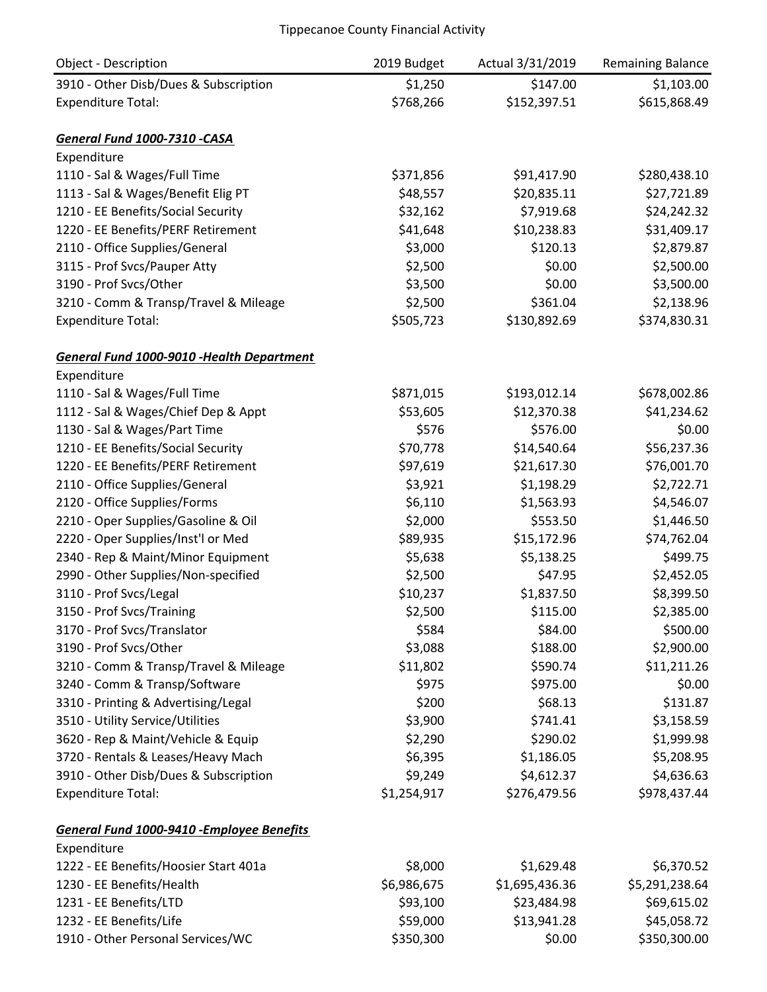| Object - Description                              | 2019 Budget | Actual 3/31/2019 | <b>Remaining Balance</b> |
|---------------------------------------------------|-------------|------------------|--------------------------|
| 3910 - Other Disb/Dues & Subscription             | \$1,250     | \$147.00         | \$1,103.00               |
| <b>Expenditure Total:</b>                         | \$768,266   | \$152,397.51     | \$615,868.49             |
|                                                   |             |                  |                          |
| General Fund 1000-7310 -CASA                      |             |                  |                          |
| Expenditure                                       |             |                  |                          |
| 1110 - Sal & Wages/Full Time                      | \$371,856   | \$91,417.90      | \$280,438.10             |
| 1113 - Sal & Wages/Benefit Elig PT                | \$48,557    | \$20,835.11      | \$27,721.89              |
| 1210 - EE Benefits/Social Security                | \$32,162    | \$7,919.68       | \$24,242.32              |
| 1220 - EE Benefits/PERF Retirement                | \$41,648    | \$10,238.83      | \$31,409.17              |
| 2110 - Office Supplies/General                    | \$3,000     | \$120.13         | \$2,879.87               |
| 3115 - Prof Svcs/Pauper Atty                      | \$2,500     | \$0.00           | \$2,500.00               |
| 3190 - Prof Svcs/Other                            | \$3,500     | \$0.00           | \$3,500.00               |
| 3210 - Comm & Transp/Travel & Mileage             | \$2,500     | \$361.04         | \$2,138.96               |
| <b>Expenditure Total:</b>                         | \$505,723   | \$130,892.69     | \$374,830.31             |
| <b>General Fund 1000-9010 - Health Department</b> |             |                  |                          |
| Expenditure                                       |             |                  |                          |
| 1110 - Sal & Wages/Full Time                      | \$871,015   | \$193,012.14     | \$678,002.86             |
| 1112 - Sal & Wages/Chief Dep & Appt               | \$53,605    | \$12,370.38      | \$41,234.62              |
| 1130 - Sal & Wages/Part Time                      | \$576       | \$576.00         | \$0.00                   |
| 1210 - EE Benefits/Social Security                | \$70,778    | \$14,540.64      | \$56,237.36              |
| 1220 - EE Benefits/PERF Retirement                | \$97,619    | \$21,617.30      | \$76,001.70              |
| 2110 - Office Supplies/General                    | \$3,921     | \$1,198.29       | \$2,722.71               |
| 2120 - Office Supplies/Forms                      | \$6,110     | \$1,563.93       | \$4,546.07               |
| 2210 - Oper Supplies/Gasoline & Oil               | \$2,000     | \$553.50         | \$1,446.50               |
| 2220 - Oper Supplies/Inst'l or Med                | \$89,935    | \$15,172.96      | \$74,762.04              |
| 2340 - Rep & Maint/Minor Equipment                | \$5,638     | \$5,138.25       | \$499.75                 |
| 2990 - Other Supplies/Non-specified               | \$2,500     | \$47.95          | \$2,452.05               |
| 3110 - Prof Svcs/Legal                            | \$10,237    | \$1,837.50       | \$8,399.50               |
| 3150 - Prof Svcs/Training                         | \$2,500     | \$115.00         | \$2,385.00               |
| 3170 - Prof Svcs/Translator                       | \$584       | \$84.00          | \$500.00                 |
| 3190 - Prof Svcs/Other                            | \$3,088     | \$188.00         | \$2,900.00               |
| 3210 - Comm & Transp/Travel & Mileage             | \$11,802    | \$590.74         | \$11,211.26              |
| 3240 - Comm & Transp/Software                     | \$975       | \$975.00         | \$0.00                   |
| 3310 - Printing & Advertising/Legal               | \$200       | \$68.13          | \$131.87                 |
| 3510 - Utility Service/Utilities                  | \$3,900     | \$741.41         | \$3,158.59               |
| 3620 - Rep & Maint/Vehicle & Equip                | \$2,290     | \$290.02         | \$1,999.98               |
| 3720 - Rentals & Leases/Heavy Mach                | \$6,395     | \$1,186.05       | \$5,208.95               |
| 3910 - Other Disb/Dues & Subscription             | \$9,249     | \$4,612.37       | \$4,636.63               |
| <b>Expenditure Total:</b>                         | \$1,254,917 | \$276,479.56     | \$978,437.44             |
| General Fund 1000-9410 - Employee Benefits        |             |                  |                          |
| Expenditure                                       |             |                  |                          |
| 1222 - EE Benefits/Hoosier Start 401a             | \$8,000     | \$1,629.48       | \$6,370.52               |
| 1230 - EE Benefits/Health                         | \$6,986,675 | \$1,695,436.36   | \$5,291,238.64           |
| 1231 - EE Benefits/LTD                            | \$93,100    | \$23,484.98      | \$69,615.02              |
| 1232 - EE Benefits/Life                           | \$59,000    | \$13,941.28      | \$45,058.72              |
| 1910 - Other Personal Services/WC                 | \$350,300   | \$0.00           | \$350,300.00             |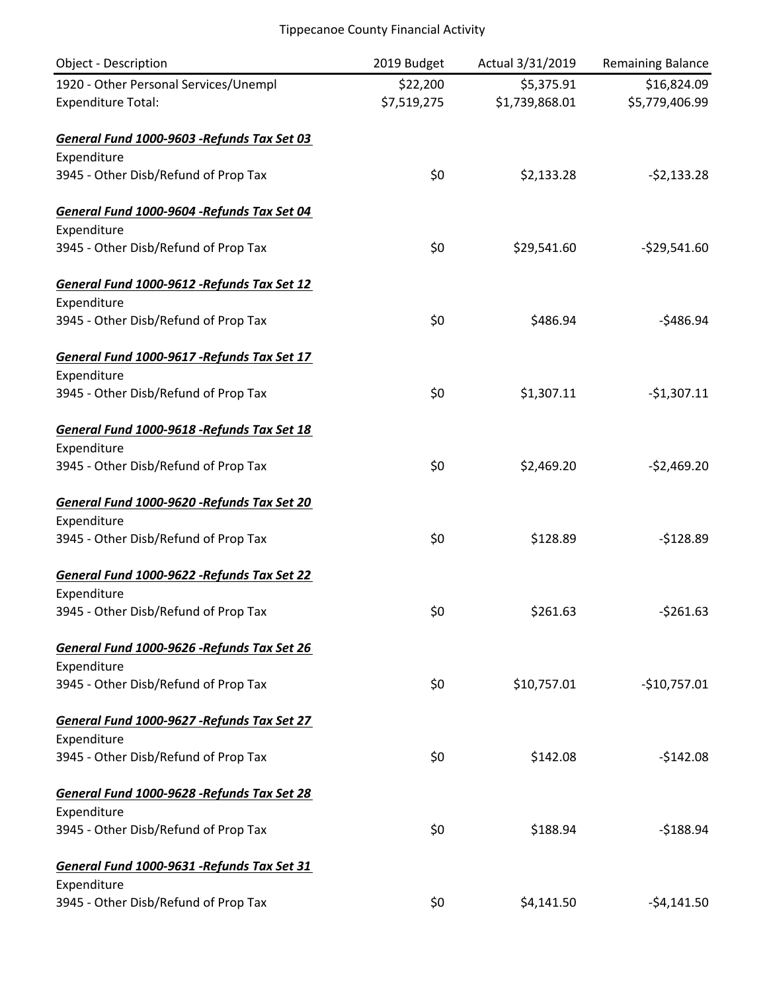| <b>Object - Description</b>                 | 2019 Budget | Actual 3/31/2019 | Remaining Balance |
|---------------------------------------------|-------------|------------------|-------------------|
| 1920 - Other Personal Services/Unempl       | \$22,200    | \$5,375.91       | \$16,824.09       |
| <b>Expenditure Total:</b>                   | \$7,519,275 | \$1,739,868.01   | \$5,779,406.99    |
| General Fund 1000-9603 -Refunds Tax Set 03  |             |                  |                   |
| Expenditure                                 |             |                  |                   |
| 3945 - Other Disb/Refund of Prop Tax        | \$0         | \$2,133.28       | $-52,133.28$      |
| General Fund 1000-9604 - Refunds Tax Set 04 |             |                  |                   |
| Expenditure                                 |             |                  |                   |
| 3945 - Other Disb/Refund of Prop Tax        | \$0         | \$29,541.60      | $-$ \$29,541.60   |
| General Fund 1000-9612 - Refunds Tax Set 12 |             |                  |                   |
| Expenditure                                 |             |                  |                   |
| 3945 - Other Disb/Refund of Prop Tax        | \$0         | \$486.94         | $-5486.94$        |
| General Fund 1000-9617 - Refunds Tax Set 17 |             |                  |                   |
| Expenditure                                 |             |                  |                   |
| 3945 - Other Disb/Refund of Prop Tax        | \$0         | \$1,307.11       | $-$1,307.11$      |
| General Fund 1000-9618 - Refunds Tax Set 18 |             |                  |                   |
| Expenditure                                 |             |                  |                   |
| 3945 - Other Disb/Refund of Prop Tax        | \$0         | \$2,469.20       | $-$2,469.20$      |
| General Fund 1000-9620 -Refunds Tax Set 20  |             |                  |                   |
| Expenditure                                 |             |                  |                   |
| 3945 - Other Disb/Refund of Prop Tax        | \$0         | \$128.89         | $-$128.89$        |
| General Fund 1000-9622 - Refunds Tax Set 22 |             |                  |                   |
| Expenditure                                 |             |                  |                   |
| 3945 - Other Disb/Refund of Prop Tax        | \$0         | \$261.63         | $-5261.63$        |
| General Fund 1000-9626 -Refunds Tax Set 26  |             |                  |                   |
| Expenditure                                 |             |                  |                   |
| 3945 - Other Disb/Refund of Prop Tax        | \$0         | \$10,757.01      | $-$10,757.01$     |
| General Fund 1000-9627 - Refunds Tax Set 27 |             |                  |                   |
| Expenditure                                 |             |                  |                   |
| 3945 - Other Disb/Refund of Prop Tax        | \$0         | \$142.08         | $-$142.08$        |
| General Fund 1000-9628 -Refunds Tax Set 28  |             |                  |                   |
| Expenditure                                 |             |                  |                   |
| 3945 - Other Disb/Refund of Prop Tax        | \$0         | \$188.94         | $-5188.94$        |
| General Fund 1000-9631 - Refunds Tax Set 31 |             |                  |                   |
| Expenditure                                 |             |                  |                   |
| 3945 - Other Disb/Refund of Prop Tax        | \$0         | \$4,141.50       | $-54,141.50$      |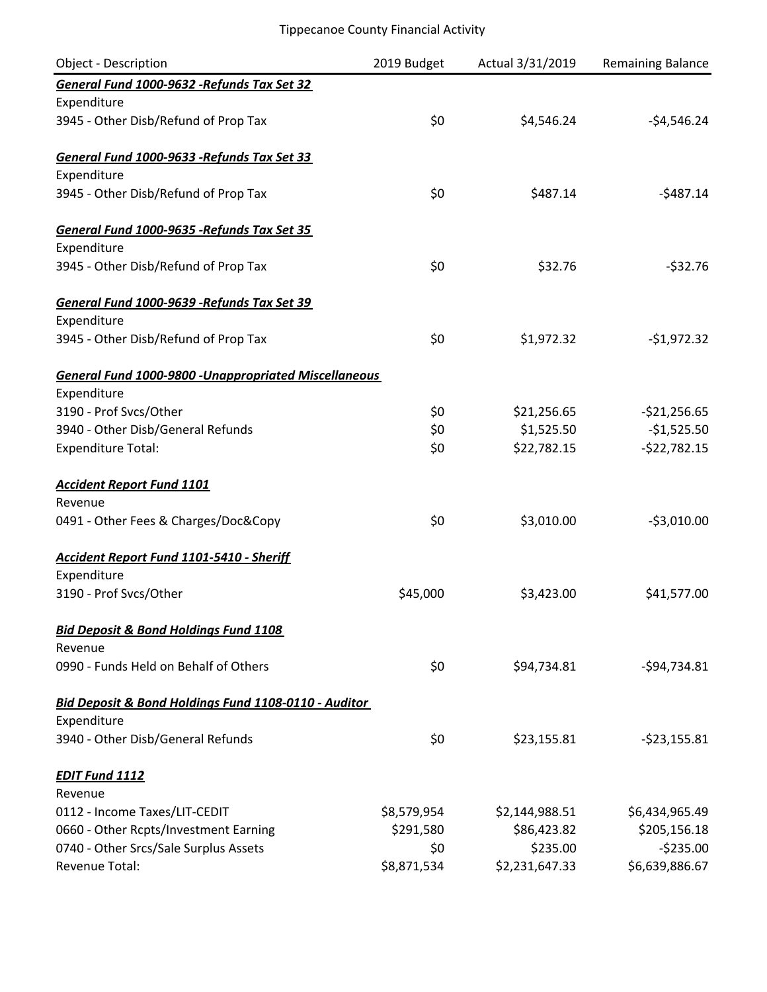| <b>Object - Description</b>                                 | 2019 Budget | Actual 3/31/2019 | <b>Remaining Balance</b> |
|-------------------------------------------------------------|-------------|------------------|--------------------------|
| General Fund 1000-9632 - Refunds Tax Set 32                 |             |                  |                          |
| Expenditure                                                 |             |                  |                          |
| 3945 - Other Disb/Refund of Prop Tax                        | \$0         | \$4,546.24       | $-54,546.24$             |
| General Fund 1000-9633 - Refunds Tax Set 33                 |             |                  |                          |
| Expenditure                                                 |             |                  |                          |
| 3945 - Other Disb/Refund of Prop Tax                        | \$0         | \$487.14         | $-5487.14$               |
| General Fund 1000-9635 -Refunds Tax Set 35                  |             |                  |                          |
| Expenditure                                                 |             |                  |                          |
| 3945 - Other Disb/Refund of Prop Tax                        | \$0         | \$32.76          | $-532.76$                |
| General Fund 1000-9639 - Refunds Tax Set 39                 |             |                  |                          |
| Expenditure                                                 |             |                  |                          |
| 3945 - Other Disb/Refund of Prop Tax                        | \$0         | \$1,972.32       | $-$1,972.32$             |
| <b>General Fund 1000-9800 -Unappropriated Miscellaneous</b> |             |                  |                          |
| Expenditure                                                 |             |                  |                          |
| 3190 - Prof Svcs/Other                                      | \$0         | \$21,256.65      | $-$21,256.65$            |
| 3940 - Other Disb/General Refunds                           | \$0         | \$1,525.50       | $-$1,525.50$             |
| <b>Expenditure Total:</b>                                   | \$0         | \$22,782.15      | $-522,782.15$            |
| <b>Accident Report Fund 1101</b>                            |             |                  |                          |
| Revenue                                                     |             |                  |                          |
| 0491 - Other Fees & Charges/Doc&Copy                        | \$0         | \$3,010.00       | $-53,010.00$             |
| <b>Accident Report Fund 1101-5410 - Sheriff</b>             |             |                  |                          |
| Expenditure                                                 |             |                  |                          |
| 3190 - Prof Svcs/Other                                      | \$45,000    | \$3,423.00       | \$41,577.00              |
| <b>Bid Deposit &amp; Bond Holdings Fund 1108</b>            |             |                  |                          |
| Revenue                                                     |             |                  |                          |
| 0990 - Funds Held on Behalf of Others                       | \$0         | \$94,734.81      | $-594,734.81$            |
| Bid Deposit & Bond Holdings Fund 1108-0110 - Auditor        |             |                  |                          |
| Expenditure                                                 |             |                  |                          |
| 3940 - Other Disb/General Refunds                           | \$0         | \$23,155.81      | $-523,155.81$            |
| <b>EDIT Fund 1112</b>                                       |             |                  |                          |
| Revenue                                                     |             |                  |                          |
| 0112 - Income Taxes/LIT-CEDIT                               | \$8,579,954 | \$2,144,988.51   | \$6,434,965.49           |
| 0660 - Other Rcpts/Investment Earning                       | \$291,580   | \$86,423.82      | \$205,156.18             |
| 0740 - Other Srcs/Sale Surplus Assets                       | \$0         | \$235.00         | $-5235.00$               |
| Revenue Total:                                              | \$8,871,534 | \$2,231,647.33   | \$6,639,886.67           |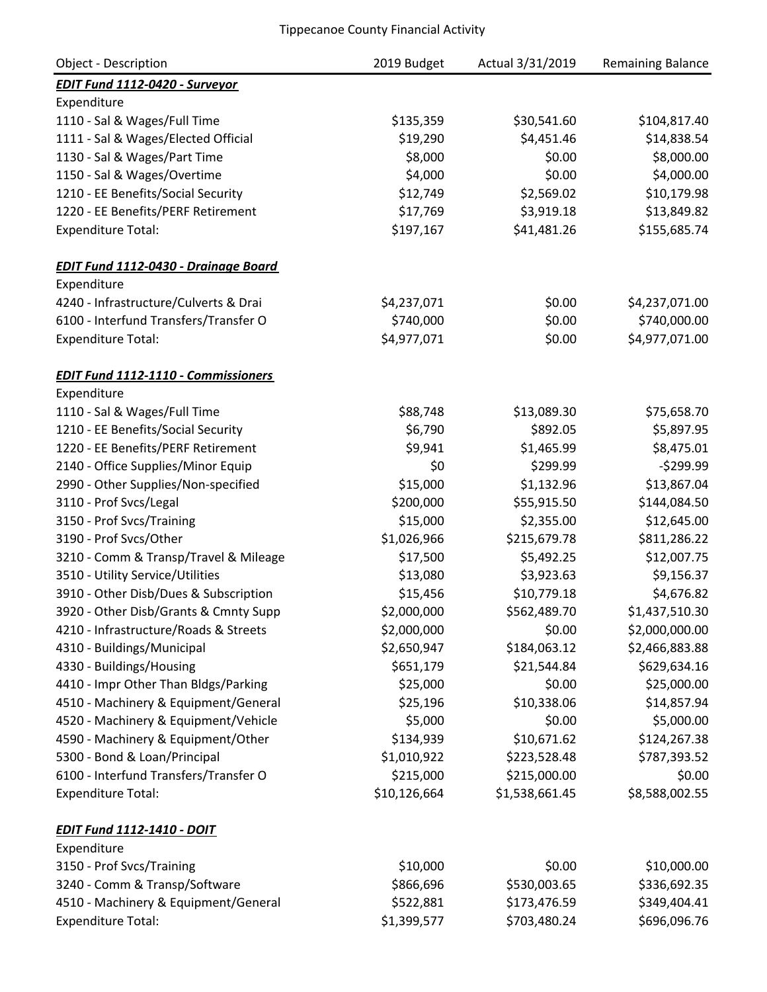| <b>Object - Description</b>                 | 2019 Budget  | Actual 3/31/2019 | <b>Remaining Balance</b> |
|---------------------------------------------|--------------|------------------|--------------------------|
| <b>EDIT Fund 1112-0420 - Surveyor</b>       |              |                  |                          |
| Expenditure                                 |              |                  |                          |
| 1110 - Sal & Wages/Full Time                | \$135,359    | \$30,541.60      | \$104,817.40             |
| 1111 - Sal & Wages/Elected Official         | \$19,290     | \$4,451.46       | \$14,838.54              |
| 1130 - Sal & Wages/Part Time                | \$8,000      | \$0.00           | \$8,000.00               |
| 1150 - Sal & Wages/Overtime                 | \$4,000      | \$0.00           | \$4,000.00               |
| 1210 - EE Benefits/Social Security          | \$12,749     | \$2,569.02       | \$10,179.98              |
| 1220 - EE Benefits/PERF Retirement          | \$17,769     | \$3,919.18       | \$13,849.82              |
| <b>Expenditure Total:</b>                   | \$197,167    | \$41,481.26      | \$155,685.74             |
| <b>EDIT Fund 1112-0430 - Drainage Board</b> |              |                  |                          |
| Expenditure                                 |              |                  |                          |
| 4240 - Infrastructure/Culverts & Drai       | \$4,237,071  | \$0.00           | \$4,237,071.00           |
| 6100 - Interfund Transfers/Transfer O       | \$740,000    | \$0.00           | \$740,000.00             |
| <b>Expenditure Total:</b>                   | \$4,977,071  | \$0.00           | \$4,977,071.00           |
| <b>EDIT Fund 1112-1110 - Commissioners</b>  |              |                  |                          |
| Expenditure                                 |              |                  |                          |
| 1110 - Sal & Wages/Full Time                | \$88,748     | \$13,089.30      | \$75,658.70              |
| 1210 - EE Benefits/Social Security          | \$6,790      | \$892.05         | \$5,897.95               |
| 1220 - EE Benefits/PERF Retirement          | \$9,941      | \$1,465.99       | \$8,475.01               |
| 2140 - Office Supplies/Minor Equip          | \$0          | \$299.99         | $-5299.99$               |
| 2990 - Other Supplies/Non-specified         | \$15,000     | \$1,132.96       | \$13,867.04              |
| 3110 - Prof Svcs/Legal                      | \$200,000    | \$55,915.50      | \$144,084.50             |
| 3150 - Prof Svcs/Training                   | \$15,000     | \$2,355.00       | \$12,645.00              |
| 3190 - Prof Svcs/Other                      | \$1,026,966  | \$215,679.78     | \$811,286.22             |
| 3210 - Comm & Transp/Travel & Mileage       | \$17,500     | \$5,492.25       | \$12,007.75              |
| 3510 - Utility Service/Utilities            | \$13,080     | \$3,923.63       | \$9,156.37               |
| 3910 - Other Disb/Dues & Subscription       | \$15,456     | \$10,779.18      | \$4,676.82               |
| 3920 - Other Disb/Grants & Cmnty Supp       | \$2,000,000  | \$562,489.70     | \$1,437,510.30           |
| 4210 - Infrastructure/Roads & Streets       | \$2,000,000  | \$0.00           | \$2,000,000.00           |
| 4310 - Buildings/Municipal                  | \$2,650,947  | \$184,063.12     | \$2,466,883.88           |
| 4330 - Buildings/Housing                    | \$651,179    | \$21,544.84      | \$629,634.16             |
| 4410 - Impr Other Than Bldgs/Parking        | \$25,000     | \$0.00           | \$25,000.00              |
| 4510 - Machinery & Equipment/General        | \$25,196     | \$10,338.06      | \$14,857.94              |
| 4520 - Machinery & Equipment/Vehicle        | \$5,000      | \$0.00           | \$5,000.00               |
| 4590 - Machinery & Equipment/Other          | \$134,939    | \$10,671.62      | \$124,267.38             |
| 5300 - Bond & Loan/Principal                | \$1,010,922  | \$223,528.48     | \$787,393.52             |
| 6100 - Interfund Transfers/Transfer O       | \$215,000    | \$215,000.00     | \$0.00                   |
| <b>Expenditure Total:</b>                   | \$10,126,664 | \$1,538,661.45   | \$8,588,002.55           |
| <b>EDIT Fund 1112-1410 - DOIT</b>           |              |                  |                          |
| Expenditure                                 |              |                  |                          |
| 3150 - Prof Svcs/Training                   | \$10,000     | \$0.00           | \$10,000.00              |
| 3240 - Comm & Transp/Software               | \$866,696    | \$530,003.65     | \$336,692.35             |
| 4510 - Machinery & Equipment/General        | \$522,881    | \$173,476.59     | \$349,404.41             |
| <b>Expenditure Total:</b>                   | \$1,399,577  | \$703,480.24     | \$696,096.76             |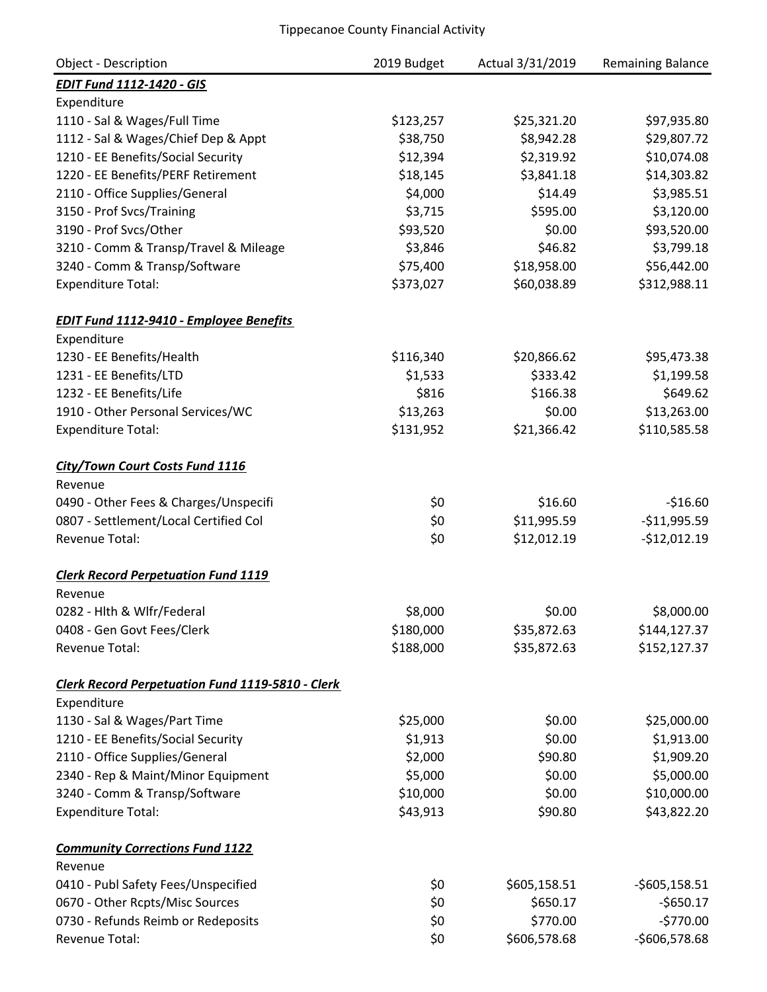| <b>Object - Description</b>                             | 2019 Budget | Actual 3/31/2019 | <b>Remaining Balance</b> |
|---------------------------------------------------------|-------------|------------------|--------------------------|
| <b>EDIT Fund 1112-1420 - GIS</b>                        |             |                  |                          |
| Expenditure                                             |             |                  |                          |
| 1110 - Sal & Wages/Full Time                            | \$123,257   | \$25,321.20      | \$97,935.80              |
| 1112 - Sal & Wages/Chief Dep & Appt                     | \$38,750    | \$8,942.28       | \$29,807.72              |
| 1210 - EE Benefits/Social Security                      | \$12,394    | \$2,319.92       | \$10,074.08              |
| 1220 - EE Benefits/PERF Retirement                      | \$18,145    | \$3,841.18       | \$14,303.82              |
| 2110 - Office Supplies/General                          | \$4,000     | \$14.49          | \$3,985.51               |
| 3150 - Prof Svcs/Training                               | \$3,715     | \$595.00         | \$3,120.00               |
| 3190 - Prof Svcs/Other                                  | \$93,520    | \$0.00           | \$93,520.00              |
| 3210 - Comm & Transp/Travel & Mileage                   | \$3,846     | \$46.82          | \$3,799.18               |
| 3240 - Comm & Transp/Software                           | \$75,400    | \$18,958.00      | \$56,442.00              |
| <b>Expenditure Total:</b>                               | \$373,027   | \$60,038.89      | \$312,988.11             |
| <b>EDIT Fund 1112-9410 - Employee Benefits</b>          |             |                  |                          |
| Expenditure                                             |             |                  |                          |
| 1230 - EE Benefits/Health                               | \$116,340   | \$20,866.62      | \$95,473.38              |
| 1231 - EE Benefits/LTD                                  | \$1,533     | \$333.42         | \$1,199.58               |
| 1232 - EE Benefits/Life                                 | \$816       | \$166.38         | \$649.62                 |
| 1910 - Other Personal Services/WC                       | \$13,263    | \$0.00           | \$13,263.00              |
| <b>Expenditure Total:</b>                               | \$131,952   | \$21,366.42      | \$110,585.58             |
| <b>City/Town Court Costs Fund 1116</b>                  |             |                  |                          |
| Revenue                                                 |             |                  |                          |
| 0490 - Other Fees & Charges/Unspecifi                   | \$0         | \$16.60          | $-$16.60$                |
| 0807 - Settlement/Local Certified Col                   | \$0         | \$11,995.59      | $-$11,995.59$            |
| <b>Revenue Total:</b>                                   | \$0         | \$12,012.19      | $-$12,012.19$            |
| <b>Clerk Record Perpetuation Fund 1119</b>              |             |                  |                          |
| Revenue                                                 |             |                  |                          |
| 0282 - Hith & Wifr/Federal                              | \$8,000     | \$0.00           | \$8,000.00               |
| 0408 - Gen Govt Fees/Clerk                              | \$180,000   | \$35,872.63      | \$144,127.37             |
| Revenue Total:                                          | \$188,000   | \$35,872.63      | \$152,127.37             |
| <b>Clerk Record Perpetuation Fund 1119-5810 - Clerk</b> |             |                  |                          |
| Expenditure                                             |             |                  |                          |
| 1130 - Sal & Wages/Part Time                            | \$25,000    | \$0.00           | \$25,000.00              |
| 1210 - EE Benefits/Social Security                      | \$1,913     | \$0.00           | \$1,913.00               |
| 2110 - Office Supplies/General                          | \$2,000     | \$90.80          | \$1,909.20               |
| 2340 - Rep & Maint/Minor Equipment                      | \$5,000     | \$0.00           | \$5,000.00               |
| 3240 - Comm & Transp/Software                           | \$10,000    | \$0.00           | \$10,000.00              |
| <b>Expenditure Total:</b>                               | \$43,913    | \$90.80          | \$43,822.20              |
| <b>Community Corrections Fund 1122</b>                  |             |                  |                          |
| Revenue                                                 |             |                  |                          |
| 0410 - Publ Safety Fees/Unspecified                     | \$0         | \$605,158.51     | $-5605,158.51$           |
| 0670 - Other Rcpts/Misc Sources                         | \$0         | \$650.17         | $-5650.17$               |
| 0730 - Refunds Reimb or Redeposits                      | \$0<br>\$0  | \$770.00         | $-5770.00$               |
| Revenue Total:                                          |             | \$606,578.68     | $-$606,578.68$           |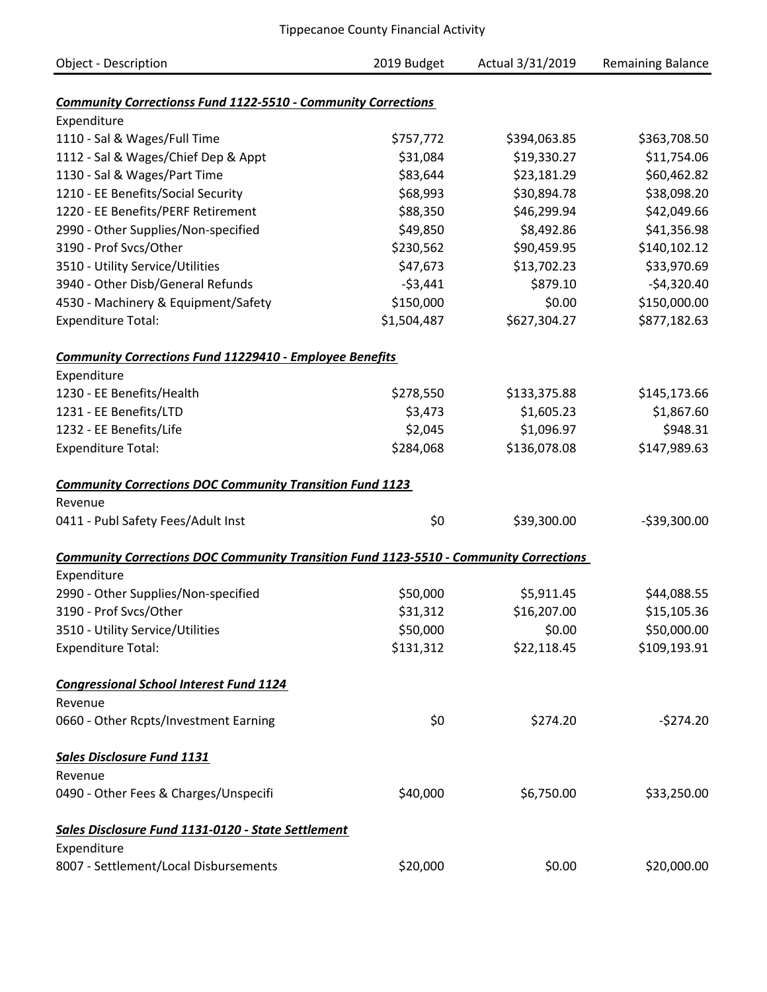| <b>Object - Description</b>                                                                  | 2019 Budget | Actual 3/31/2019 | <b>Remaining Balance</b> |
|----------------------------------------------------------------------------------------------|-------------|------------------|--------------------------|
|                                                                                              |             |                  |                          |
| <b>Community Correctionss Fund 1122-5510 - Community Corrections</b>                         |             |                  |                          |
| Expenditure                                                                                  |             |                  |                          |
| 1110 - Sal & Wages/Full Time                                                                 | \$757,772   | \$394,063.85     | \$363,708.50             |
| 1112 - Sal & Wages/Chief Dep & Appt                                                          | \$31,084    | \$19,330.27      | \$11,754.06              |
| 1130 - Sal & Wages/Part Time                                                                 | \$83,644    | \$23,181.29      | \$60,462.82              |
| 1210 - EE Benefits/Social Security                                                           | \$68,993    | \$30,894.78      | \$38,098.20              |
| 1220 - EE Benefits/PERF Retirement                                                           | \$88,350    | \$46,299.94      | \$42,049.66              |
| 2990 - Other Supplies/Non-specified                                                          | \$49,850    | \$8,492.86       | \$41,356.98              |
| 3190 - Prof Svcs/Other                                                                       | \$230,562   | \$90,459.95      | \$140,102.12             |
| 3510 - Utility Service/Utilities                                                             | \$47,673    | \$13,702.23      | \$33,970.69              |
| 3940 - Other Disb/General Refunds                                                            | $-53,441$   | \$879.10         | $-$4,320.40$             |
| 4530 - Machinery & Equipment/Safety                                                          | \$150,000   | \$0.00           | \$150,000.00             |
| <b>Expenditure Total:</b>                                                                    | \$1,504,487 | \$627,304.27     | \$877,182.63             |
| <b>Community Corrections Fund 11229410 - Employee Benefits</b>                               |             |                  |                          |
| Expenditure                                                                                  |             |                  |                          |
| 1230 - EE Benefits/Health                                                                    | \$278,550   | \$133,375.88     | \$145,173.66             |
| 1231 - EE Benefits/LTD                                                                       | \$3,473     | \$1,605.23       | \$1,867.60               |
| 1232 - EE Benefits/Life                                                                      | \$2,045     | \$1,096.97       | \$948.31                 |
| <b>Expenditure Total:</b>                                                                    | \$284,068   | \$136,078.08     | \$147,989.63             |
| <b>Community Corrections DOC Community Transition Fund 1123</b>                              |             |                  |                          |
| Revenue                                                                                      |             |                  |                          |
| 0411 - Publ Safety Fees/Adult Inst                                                           | \$0         | \$39,300.00      | $-539,300.00$            |
| <b>Community Corrections DOC Community Transition Fund 1123-5510 - Community Corrections</b> |             |                  |                          |
| Expenditure                                                                                  |             |                  |                          |
| 2990 - Other Supplies/Non-specified                                                          | \$50,000    | \$5,911.45       | \$44,088.55              |
| 3190 - Prof Svcs/Other                                                                       | \$31,312    | \$16,207.00      | \$15,105.36              |
| 3510 - Utility Service/Utilities                                                             | \$50,000    | \$0.00           | \$50,000.00              |
| <b>Expenditure Total:</b>                                                                    | \$131,312   | \$22,118.45      | \$109,193.91             |
| <b>Congressional School Interest Fund 1124</b>                                               |             |                  |                          |
| Revenue                                                                                      |             |                  |                          |
| 0660 - Other Rcpts/Investment Earning                                                        | \$0         | \$274.20         | $-5274.20$               |
| <b>Sales Disclosure Fund 1131</b>                                                            |             |                  |                          |
| Revenue                                                                                      |             |                  |                          |
| 0490 - Other Fees & Charges/Unspecifi                                                        | \$40,000    | \$6,750.00       | \$33,250.00              |
| Sales Disclosure Fund 1131-0120 - State Settlement                                           |             |                  |                          |
| Expenditure                                                                                  |             |                  |                          |
| 8007 - Settlement/Local Disbursements                                                        | \$20,000    | \$0.00           | \$20,000.00              |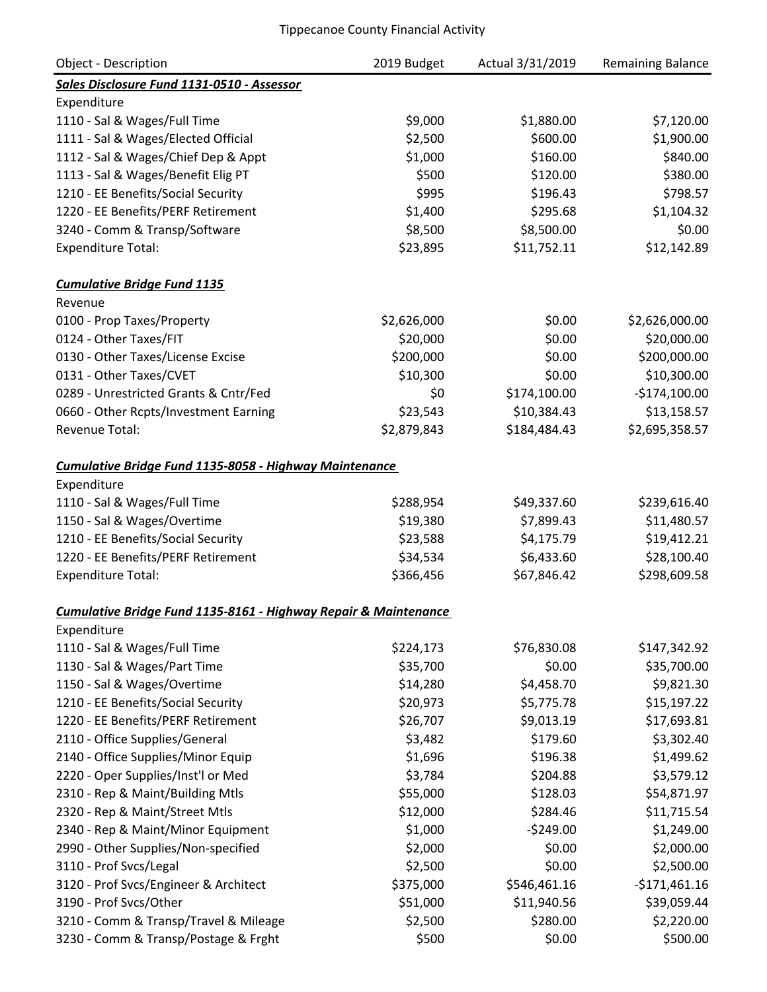| <b>Object - Description</b>                                     | 2019 Budget | Actual 3/31/2019 | <b>Remaining Balance</b> |
|-----------------------------------------------------------------|-------------|------------------|--------------------------|
| Sales Disclosure Fund 1131-0510 - Assessor                      |             |                  |                          |
| Expenditure                                                     |             |                  |                          |
| 1110 - Sal & Wages/Full Time                                    | \$9,000     | \$1,880.00       | \$7,120.00               |
| 1111 - Sal & Wages/Elected Official                             | \$2,500     | \$600.00         | \$1,900.00               |
| 1112 - Sal & Wages/Chief Dep & Appt                             | \$1,000     | \$160.00         | \$840.00                 |
| 1113 - Sal & Wages/Benefit Elig PT                              | \$500       | \$120.00         | \$380.00                 |
| 1210 - EE Benefits/Social Security                              | \$995       | \$196.43         | \$798.57                 |
| 1220 - EE Benefits/PERF Retirement                              | \$1,400     | \$295.68         | \$1,104.32               |
| 3240 - Comm & Transp/Software                                   | \$8,500     | \$8,500.00       | \$0.00                   |
| <b>Expenditure Total:</b>                                       | \$23,895    | \$11,752.11      | \$12,142.89              |
| <b>Cumulative Bridge Fund 1135</b>                              |             |                  |                          |
| Revenue                                                         |             |                  |                          |
| 0100 - Prop Taxes/Property                                      | \$2,626,000 | \$0.00           | \$2,626,000.00           |
| 0124 - Other Taxes/FIT                                          | \$20,000    | \$0.00           | \$20,000.00              |
| 0130 - Other Taxes/License Excise                               | \$200,000   | \$0.00           | \$200,000.00             |
| 0131 - Other Taxes/CVET                                         | \$10,300    | \$0.00           | \$10,300.00              |
| 0289 - Unrestricted Grants & Cntr/Fed                           | \$0         | \$174,100.00     | $-$174,100.00$           |
| 0660 - Other Rcpts/Investment Earning                           | \$23,543    | \$10,384.43      | \$13,158.57              |
| Revenue Total:                                                  | \$2,879,843 | \$184,484.43     | \$2,695,358.57           |
| Cumulative Bridge Fund 1135-8058 - Highway Maintenance          |             |                  |                          |
| Expenditure                                                     |             |                  |                          |
| 1110 - Sal & Wages/Full Time                                    | \$288,954   | \$49,337.60      | \$239,616.40             |
| 1150 - Sal & Wages/Overtime                                     | \$19,380    | \$7,899.43       | \$11,480.57              |
| 1210 - EE Benefits/Social Security                              | \$23,588    | \$4,175.79       | \$19,412.21              |
| 1220 - EE Benefits/PERF Retirement                              | \$34,534    | \$6,433.60       | \$28,100.40              |
| <b>Expenditure Total:</b>                                       | \$366,456   | \$67,846.42      | \$298,609.58             |
| Cumulative Bridae Fund 1135-8161 - Hiahway Repair & Maintenance |             |                  |                          |
| Expenditure                                                     |             |                  |                          |
| 1110 - Sal & Wages/Full Time                                    | \$224,173   | \$76,830.08      | \$147,342.92             |
| 1130 - Sal & Wages/Part Time                                    | \$35,700    | \$0.00           | \$35,700.00              |
| 1150 - Sal & Wages/Overtime                                     | \$14,280    | \$4,458.70       | \$9,821.30               |
| 1210 - EE Benefits/Social Security                              | \$20,973    | \$5,775.78       | \$15,197.22              |
| 1220 - EE Benefits/PERF Retirement                              | \$26,707    | \$9,013.19       | \$17,693.81              |
| 2110 - Office Supplies/General                                  | \$3,482     | \$179.60         | \$3,302.40               |
| 2140 - Office Supplies/Minor Equip                              | \$1,696     | \$196.38         | \$1,499.62               |
| 2220 - Oper Supplies/Inst'l or Med                              | \$3,784     | \$204.88         | \$3,579.12               |
| 2310 - Rep & Maint/Building Mtls                                | \$55,000    | \$128.03         | \$54,871.97              |
| 2320 - Rep & Maint/Street Mtls                                  | \$12,000    | \$284.46         | \$11,715.54              |
| 2340 - Rep & Maint/Minor Equipment                              | \$1,000     | $-5249.00$       | \$1,249.00               |
| 2990 - Other Supplies/Non-specified                             | \$2,000     | \$0.00           | \$2,000.00               |
| 3110 - Prof Svcs/Legal                                          | \$2,500     | \$0.00           | \$2,500.00               |
| 3120 - Prof Svcs/Engineer & Architect                           | \$375,000   | \$546,461.16     | $-5171,461.16$           |
| 3190 - Prof Svcs/Other                                          | \$51,000    | \$11,940.56      | \$39,059.44              |
| 3210 - Comm & Transp/Travel & Mileage                           | \$2,500     | \$280.00         | \$2,220.00               |
| 3230 - Comm & Transp/Postage & Frght                            | \$500       | \$0.00           | \$500.00                 |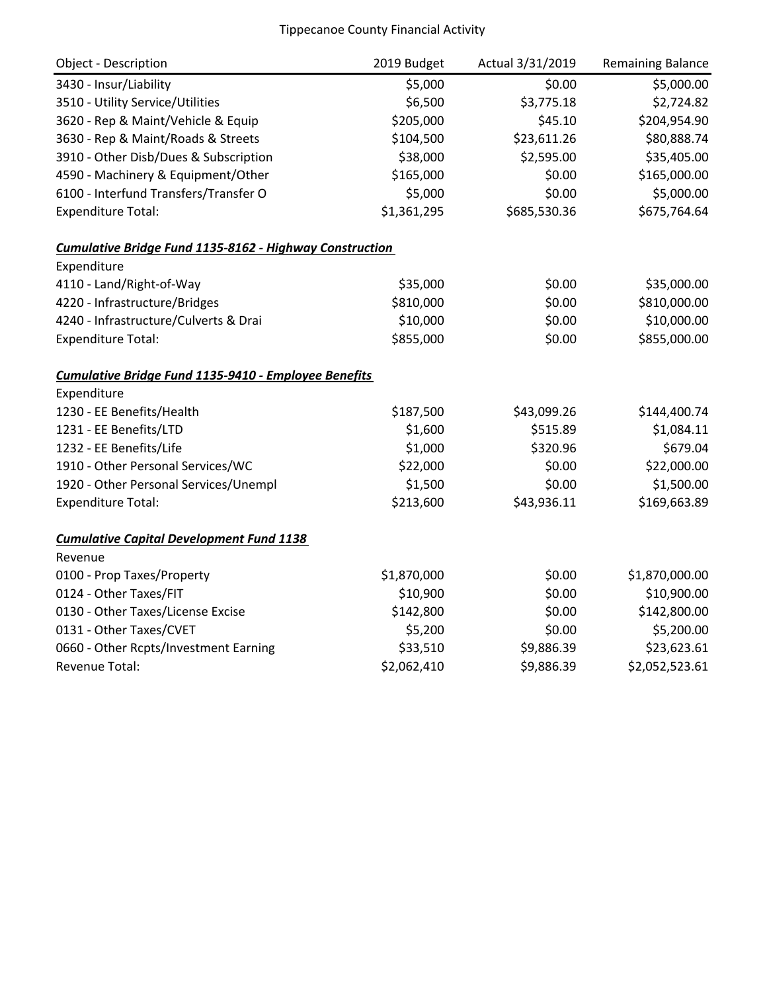| <b>Object - Description</b>                             | 2019 Budget | Actual 3/31/2019 | <b>Remaining Balance</b> |
|---------------------------------------------------------|-------------|------------------|--------------------------|
| 3430 - Insur/Liability                                  | \$5,000     | \$0.00           | \$5,000.00               |
| 3510 - Utility Service/Utilities                        | \$6,500     | \$3,775.18       | \$2,724.82               |
| 3620 - Rep & Maint/Vehicle & Equip                      | \$205,000   | \$45.10          | \$204,954.90             |
| 3630 - Rep & Maint/Roads & Streets                      | \$104,500   | \$23,611.26      | \$80,888.74              |
| 3910 - Other Disb/Dues & Subscription                   | \$38,000    | \$2,595.00       | \$35,405.00              |
| 4590 - Machinery & Equipment/Other                      | \$165,000   | \$0.00           | \$165,000.00             |
| 6100 - Interfund Transfers/Transfer O                   | \$5,000     | \$0.00           | \$5,000.00               |
| <b>Expenditure Total:</b>                               | \$1,361,295 | \$685,530.36     | \$675,764.64             |
| Cumulative Bridge Fund 1135-8162 - Highway Construction |             |                  |                          |
| Expenditure                                             |             |                  |                          |
| 4110 - Land/Right-of-Way                                | \$35,000    | \$0.00           | \$35,000.00              |
| 4220 - Infrastructure/Bridges                           | \$810,000   | \$0.00           | \$810,000.00             |
| 4240 - Infrastructure/Culverts & Drai                   | \$10,000    | \$0.00           | \$10,000.00              |
| <b>Expenditure Total:</b>                               | \$855,000   | \$0.00           | \$855,000.00             |
| Cumulative Bridge Fund 1135-9410 - Employee Benefits    |             |                  |                          |
| Expenditure                                             |             |                  |                          |
| 1230 - EE Benefits/Health                               | \$187,500   | \$43,099.26      | \$144,400.74             |
| 1231 - EE Benefits/LTD                                  | \$1,600     | \$515.89         | \$1,084.11               |
| 1232 - EE Benefits/Life                                 | \$1,000     | \$320.96         | \$679.04                 |
| 1910 - Other Personal Services/WC                       | \$22,000    | \$0.00           | \$22,000.00              |
| 1920 - Other Personal Services/Unempl                   | \$1,500     | \$0.00           | \$1,500.00               |
| <b>Expenditure Total:</b>                               | \$213,600   | \$43,936.11      | \$169,663.89             |
| <b>Cumulative Capital Development Fund 1138</b>         |             |                  |                          |
| Revenue                                                 |             |                  |                          |
| 0100 - Prop Taxes/Property                              | \$1,870,000 | \$0.00           | \$1,870,000.00           |
| 0124 - Other Taxes/FIT                                  | \$10,900    | \$0.00           | \$10,900.00              |
| 0130 - Other Taxes/License Excise                       | \$142,800   | \$0.00           | \$142,800.00             |
| 0131 - Other Taxes/CVET                                 | \$5,200     | \$0.00           | \$5,200.00               |
| 0660 - Other Rcpts/Investment Earning                   | \$33,510    | \$9,886.39       | \$23,623.61              |
| Revenue Total:                                          | \$2,062,410 | \$9,886.39       | \$2,052,523.61           |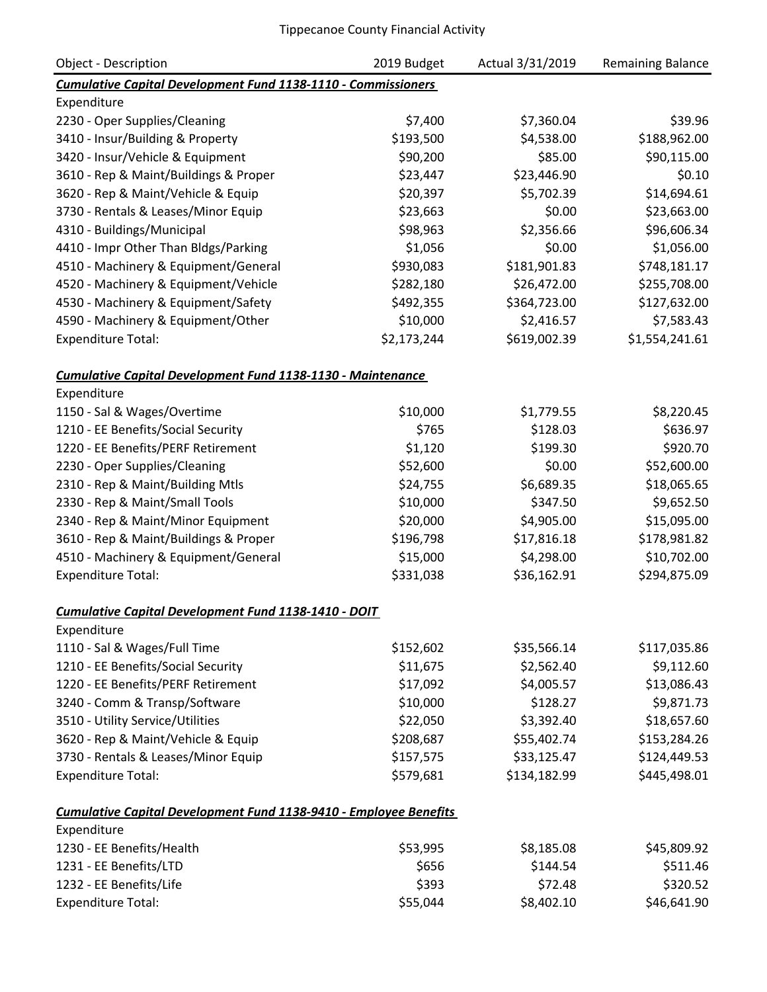| <b>Object - Description</b>                                              | 2019 Budget | Actual 3/31/2019 | <b>Remaining Balance</b> |
|--------------------------------------------------------------------------|-------------|------------------|--------------------------|
| <b>Cumulative Capital Development Fund 1138-1110 - Commissioners</b>     |             |                  |                          |
| Expenditure                                                              |             |                  |                          |
| 2230 - Oper Supplies/Cleaning                                            | \$7,400     | \$7,360.04       | \$39.96                  |
| 3410 - Insur/Building & Property                                         | \$193,500   | \$4,538.00       | \$188,962.00             |
| 3420 - Insur/Vehicle & Equipment                                         | \$90,200    | \$85.00          | \$90,115.00              |
| 3610 - Rep & Maint/Buildings & Proper                                    | \$23,447    | \$23,446.90      | \$0.10                   |
| 3620 - Rep & Maint/Vehicle & Equip                                       | \$20,397    | \$5,702.39       | \$14,694.61              |
| 3730 - Rentals & Leases/Minor Equip                                      | \$23,663    | \$0.00           | \$23,663.00              |
| 4310 - Buildings/Municipal                                               | \$98,963    | \$2,356.66       | \$96,606.34              |
| 4410 - Impr Other Than Bldgs/Parking                                     | \$1,056     | \$0.00           | \$1,056.00               |
| 4510 - Machinery & Equipment/General                                     | \$930,083   | \$181,901.83     | \$748,181.17             |
| 4520 - Machinery & Equipment/Vehicle                                     | \$282,180   | \$26,472.00      | \$255,708.00             |
| 4530 - Machinery & Equipment/Safety                                      | \$492,355   | \$364,723.00     | \$127,632.00             |
| 4590 - Machinery & Equipment/Other                                       | \$10,000    | \$2,416.57       | \$7,583.43               |
| <b>Expenditure Total:</b>                                                | \$2,173,244 | \$619,002.39     | \$1,554,241.61           |
| <b>Cumulative Capital Development Fund 1138-1130 - Maintenance</b>       |             |                  |                          |
| Expenditure                                                              |             |                  |                          |
| 1150 - Sal & Wages/Overtime                                              | \$10,000    | \$1,779.55       | \$8,220.45               |
| 1210 - EE Benefits/Social Security                                       | \$765       | \$128.03         | \$636.97                 |
| 1220 - EE Benefits/PERF Retirement                                       | \$1,120     | \$199.30         | \$920.70                 |
| 2230 - Oper Supplies/Cleaning                                            | \$52,600    | \$0.00           | \$52,600.00              |
| 2310 - Rep & Maint/Building Mtls                                         | \$24,755    | \$6,689.35       | \$18,065.65              |
| 2330 - Rep & Maint/Small Tools                                           | \$10,000    | \$347.50         | \$9,652.50               |
| 2340 - Rep & Maint/Minor Equipment                                       | \$20,000    | \$4,905.00       | \$15,095.00              |
| 3610 - Rep & Maint/Buildings & Proper                                    | \$196,798   | \$17,816.18      | \$178,981.82             |
| 4510 - Machinery & Equipment/General                                     | \$15,000    | \$4,298.00       | \$10,702.00              |
| <b>Expenditure Total:</b>                                                | \$331,038   | \$36,162.91      | \$294,875.09             |
| <b>Cumulative Capital Development Fund 1138-1410 - DOIT</b>              |             |                  |                          |
| Expenditure                                                              |             |                  |                          |
| 1110 - Sal & Wages/Full Time                                             | \$152,602   | \$35,566.14      | \$117,035.86             |
| 1210 - EE Benefits/Social Security                                       | \$11,675    | \$2,562.40       | \$9,112.60               |
| 1220 - EE Benefits/PERF Retirement                                       | \$17,092    | \$4,005.57       | \$13,086.43              |
| 3240 - Comm & Transp/Software                                            | \$10,000    | \$128.27         | \$9,871.73               |
| 3510 - Utility Service/Utilities                                         | \$22,050    | \$3,392.40       | \$18,657.60              |
| 3620 - Rep & Maint/Vehicle & Equip                                       | \$208,687   | \$55,402.74      | \$153,284.26             |
| 3730 - Rentals & Leases/Minor Equip                                      | \$157,575   | \$33,125.47      | \$124,449.53             |
| <b>Expenditure Total:</b>                                                | \$579,681   | \$134,182.99     | \$445,498.01             |
| <b>Cumulative Capital Development Fund 1138-9410 - Employee Benefits</b> |             |                  |                          |
| Expenditure                                                              |             |                  |                          |
| 1230 - EE Benefits/Health                                                | \$53,995    | \$8,185.08       | \$45,809.92              |
| 1231 - EE Benefits/LTD                                                   | \$656       | \$144.54         | \$511.46                 |
| 1232 - EE Benefits/Life                                                  | \$393       | \$72.48          | \$320.52                 |
| <b>Expenditure Total:</b>                                                | \$55,044    | \$8,402.10       | \$46,641.90              |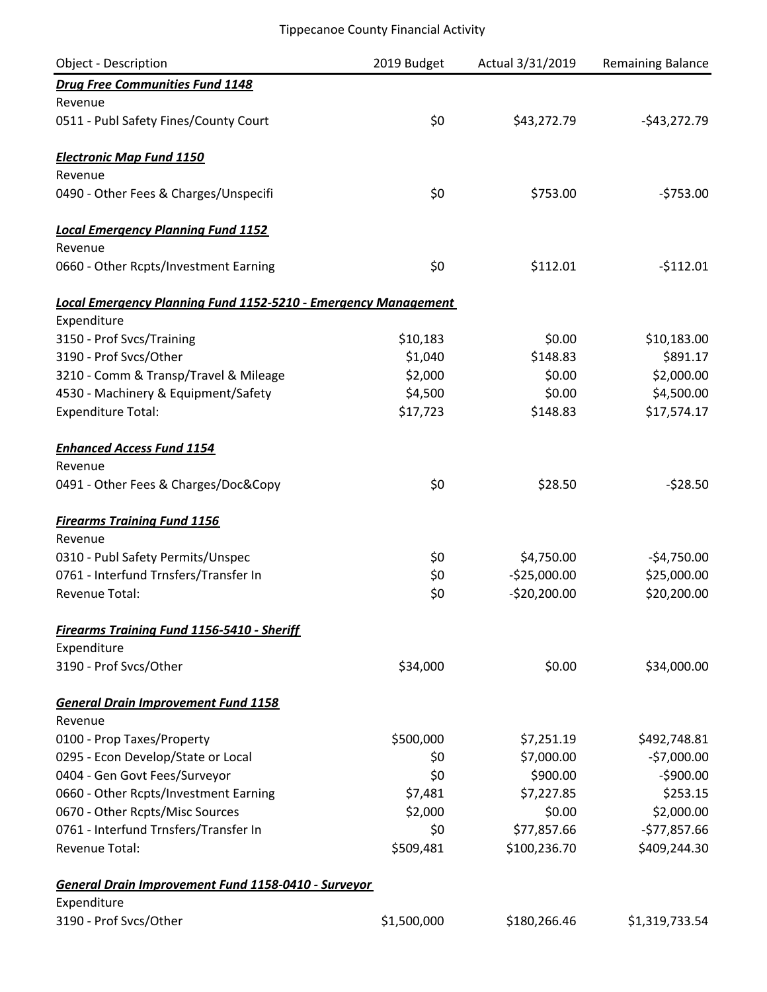| Object - Description                                                  | 2019 Budget | Actual 3/31/2019 | <b>Remaining Balance</b> |
|-----------------------------------------------------------------------|-------------|------------------|--------------------------|
| <b>Drug Free Communities Fund 1148</b>                                |             |                  |                          |
| Revenue                                                               |             |                  |                          |
| 0511 - Publ Safety Fines/County Court                                 | \$0         | \$43,272.79      | $-$43,272.79$            |
| <b>Electronic Map Fund 1150</b>                                       |             |                  |                          |
| Revenue                                                               |             |                  |                          |
| 0490 - Other Fees & Charges/Unspecifi                                 | \$0         | \$753.00         | $-5753.00$               |
| <b>Local Emergency Planning Fund 1152</b>                             |             |                  |                          |
| Revenue                                                               |             |                  |                          |
| 0660 - Other Rcpts/Investment Earning                                 | \$0         | \$112.01         | $-$112.01$               |
| <b>Local Emergency Planning Fund 1152-5210 - Emergency Management</b> |             |                  |                          |
| Expenditure                                                           |             |                  |                          |
| 3150 - Prof Svcs/Training                                             | \$10,183    | \$0.00           | \$10,183.00              |
| 3190 - Prof Svcs/Other                                                | \$1,040     | \$148.83         | \$891.17                 |
| 3210 - Comm & Transp/Travel & Mileage                                 | \$2,000     | \$0.00           | \$2,000.00               |
| 4530 - Machinery & Equipment/Safety                                   | \$4,500     | \$0.00           | \$4,500.00               |
| <b>Expenditure Total:</b>                                             | \$17,723    | \$148.83         | \$17,574.17              |
| <b>Enhanced Access Fund 1154</b>                                      |             |                  |                          |
| Revenue                                                               |             |                  |                          |
| 0491 - Other Fees & Charges/Doc&Copy                                  | \$0         | \$28.50          | $-528.50$                |
| <b>Firearms Training Fund 1156</b>                                    |             |                  |                          |
| Revenue                                                               |             |                  |                          |
| 0310 - Publ Safety Permits/Unspec                                     | \$0         | \$4,750.00       | $-$4,750.00$             |
| 0761 - Interfund Trnsfers/Transfer In                                 | \$0         | $-525,000.00$    | \$25,000.00              |
| Revenue Total:                                                        | \$0         | $-$20,200.00$    | \$20,200.00              |
| <b>Firearms Training Fund 1156-5410 - Sheriff</b>                     |             |                  |                          |
| Expenditure                                                           |             |                  |                          |
| 3190 - Prof Svcs/Other                                                | \$34,000    | \$0.00           | \$34,000.00              |
| <b>General Drain Improvement Fund 1158</b>                            |             |                  |                          |
| Revenue                                                               |             |                  |                          |
| 0100 - Prop Taxes/Property                                            | \$500,000   | \$7,251.19       | \$492,748.81             |
| 0295 - Econ Develop/State or Local                                    | \$0         | \$7,000.00       | $-57,000.00$             |
| 0404 - Gen Govt Fees/Surveyor                                         | \$0         | \$900.00         | $-$900.00$               |
| 0660 - Other Rcpts/Investment Earning                                 | \$7,481     | \$7,227.85       | \$253.15                 |
| 0670 - Other Rcpts/Misc Sources                                       | \$2,000     | \$0.00           | \$2,000.00               |
| 0761 - Interfund Trnsfers/Transfer In                                 | \$0         | \$77,857.66      | $-$77,857.66$            |
| <b>Revenue Total:</b>                                                 | \$509,481   | \$100,236.70     | \$409,244.30             |
| General Drain Improvement Fund 1158-0410 - Surveyor                   |             |                  |                          |
| Expenditure                                                           |             |                  |                          |
| 3190 - Prof Svcs/Other                                                | \$1,500,000 | \$180,266.46     | \$1,319,733.54           |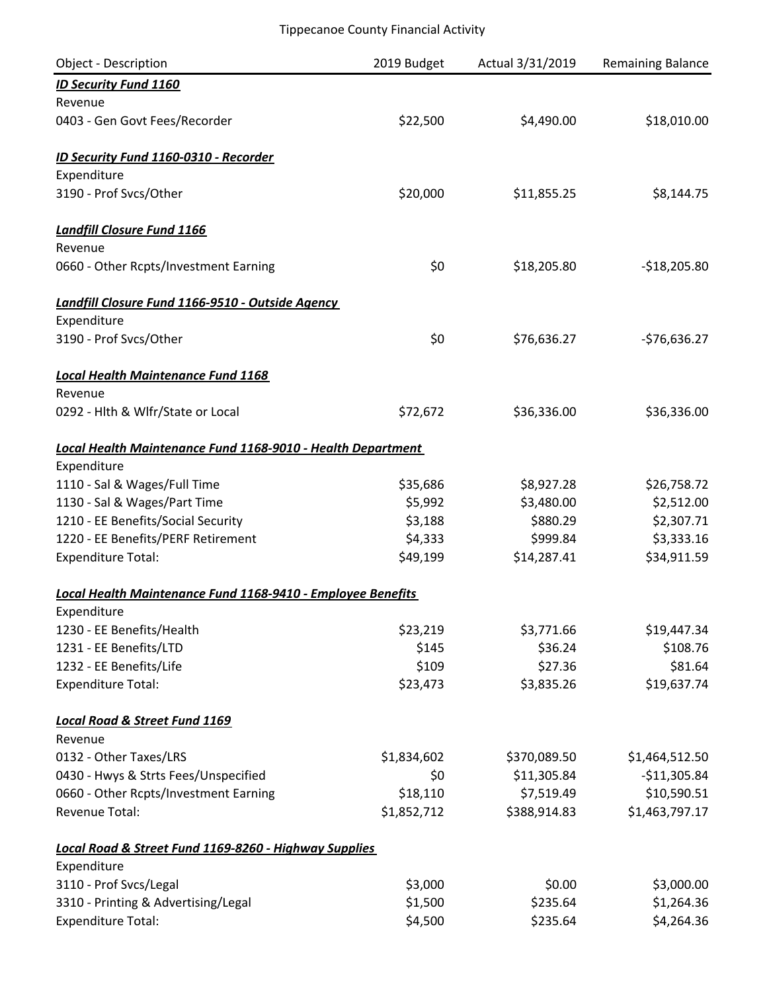| <b>Object - Description</b>                                 | 2019 Budget | Actual 3/31/2019 | <b>Remaining Balance</b> |
|-------------------------------------------------------------|-------------|------------------|--------------------------|
| <b>ID Security Fund 1160</b>                                |             |                  |                          |
| Revenue                                                     |             |                  |                          |
| 0403 - Gen Govt Fees/Recorder                               | \$22,500    | \$4,490.00       | \$18,010.00              |
| <b>ID Security Fund 1160-0310 - Recorder</b>                |             |                  |                          |
| Expenditure                                                 |             |                  |                          |
| 3190 - Prof Svcs/Other                                      | \$20,000    | \$11,855.25      | \$8,144.75               |
| <b>Landfill Closure Fund 1166</b>                           |             |                  |                          |
| Revenue                                                     |             |                  |                          |
| 0660 - Other Rcpts/Investment Earning                       | \$0         | \$18,205.80      | $-$18,205.80$            |
| Landfill Closure Fund 1166-9510 - Outside Agency            |             |                  |                          |
| Expenditure                                                 |             |                  |                          |
| 3190 - Prof Svcs/Other                                      | \$0         | \$76,636.27      | -\$76,636.27             |
| <b>Local Health Maintenance Fund 1168</b>                   |             |                  |                          |
| Revenue                                                     |             |                  |                          |
| 0292 - Hlth & Wlfr/State or Local                           | \$72,672    | \$36,336.00      | \$36,336.00              |
| Local Health Maintenance Fund 1168-9010 - Health Department |             |                  |                          |
| Expenditure                                                 |             |                  |                          |
| 1110 - Sal & Wages/Full Time                                | \$35,686    | \$8,927.28       | \$26,758.72              |
| 1130 - Sal & Wages/Part Time                                | \$5,992     | \$3,480.00       | \$2,512.00               |
| 1210 - EE Benefits/Social Security                          | \$3,188     | \$880.29         | \$2,307.71               |
| 1220 - EE Benefits/PERF Retirement                          | \$4,333     | \$999.84         | \$3,333.16               |
| <b>Expenditure Total:</b>                                   | \$49,199    | \$14,287.41      | \$34,911.59              |
| Local Health Maintenance Fund 1168-9410 - Employee Benefits |             |                  |                          |
| Expenditure                                                 |             |                  |                          |
| 1230 - EE Benefits/Health                                   | \$23,219    | \$3,771.66       | \$19,447.34              |
| 1231 - EE Benefits/LTD                                      | \$145       | \$36.24          | \$108.76                 |
| 1232 - EE Benefits/Life                                     | \$109       | \$27.36          | \$81.64                  |
| <b>Expenditure Total:</b>                                   | \$23,473    | \$3,835.26       | \$19,637.74              |
| <b>Local Road &amp; Street Fund 1169</b>                    |             |                  |                          |
| Revenue                                                     |             |                  |                          |
| 0132 - Other Taxes/LRS                                      | \$1,834,602 | \$370,089.50     | \$1,464,512.50           |
| 0430 - Hwys & Strts Fees/Unspecified                        | \$0         | \$11,305.84      | $-$11,305.84$            |
| 0660 - Other Rcpts/Investment Earning                       | \$18,110    | \$7,519.49       | \$10,590.51              |
| <b>Revenue Total:</b>                                       | \$1,852,712 | \$388,914.83     | \$1,463,797.17           |
| Local Road & Street Fund 1169-8260 - Highway Supplies       |             |                  |                          |
| Expenditure                                                 |             |                  |                          |
| 3110 - Prof Svcs/Legal                                      | \$3,000     | \$0.00           | \$3,000.00               |
| 3310 - Printing & Advertising/Legal                         | \$1,500     | \$235.64         | \$1,264.36               |
| <b>Expenditure Total:</b>                                   | \$4,500     | \$235.64         | \$4,264.36               |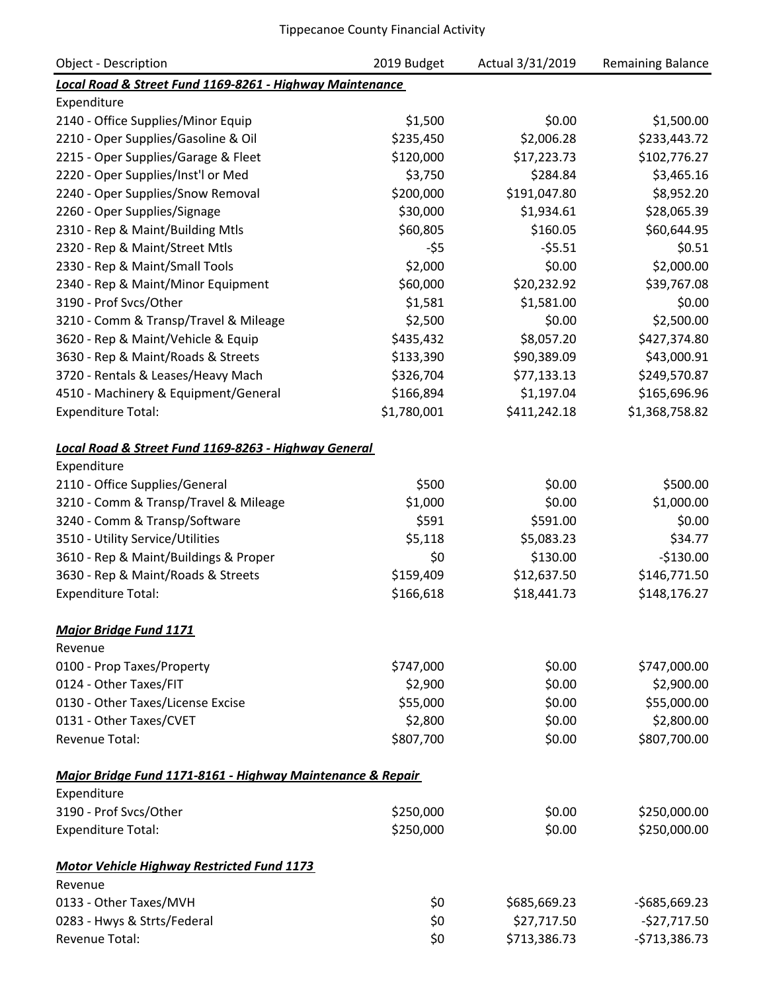| <b>Object - Description</b>                                | 2019 Budget | Actual 3/31/2019 | <b>Remaining Balance</b> |
|------------------------------------------------------------|-------------|------------------|--------------------------|
| Local Road & Street Fund 1169-8261 - Highway Maintenance   |             |                  |                          |
| Expenditure                                                |             |                  |                          |
| 2140 - Office Supplies/Minor Equip                         | \$1,500     | \$0.00           | \$1,500.00               |
| 2210 - Oper Supplies/Gasoline & Oil                        | \$235,450   | \$2,006.28       | \$233,443.72             |
| 2215 - Oper Supplies/Garage & Fleet                        | \$120,000   | \$17,223.73      | \$102,776.27             |
| 2220 - Oper Supplies/Inst'l or Med                         | \$3,750     | \$284.84         | \$3,465.16               |
| 2240 - Oper Supplies/Snow Removal                          | \$200,000   | \$191,047.80     | \$8,952.20               |
| 2260 - Oper Supplies/Signage                               | \$30,000    | \$1,934.61       | \$28,065.39              |
| 2310 - Rep & Maint/Building Mtls                           | \$60,805    | \$160.05         | \$60,644.95              |
| 2320 - Rep & Maint/Street Mtls                             | $-55$       | $-55.51$         | \$0.51                   |
| 2330 - Rep & Maint/Small Tools                             | \$2,000     | \$0.00           | \$2,000.00               |
| 2340 - Rep & Maint/Minor Equipment                         | \$60,000    | \$20,232.92      | \$39,767.08              |
| 3190 - Prof Svcs/Other                                     | \$1,581     | \$1,581.00       | \$0.00                   |
| 3210 - Comm & Transp/Travel & Mileage                      | \$2,500     | \$0.00           | \$2,500.00               |
| 3620 - Rep & Maint/Vehicle & Equip                         | \$435,432   | \$8,057.20       | \$427,374.80             |
| 3630 - Rep & Maint/Roads & Streets                         | \$133,390   | \$90,389.09      | \$43,000.91              |
| 3720 - Rentals & Leases/Heavy Mach                         | \$326,704   | \$77,133.13      | \$249,570.87             |
| 4510 - Machinery & Equipment/General                       | \$166,894   | \$1,197.04       | \$165,696.96             |
| <b>Expenditure Total:</b>                                  | \$1,780,001 | \$411,242.18     | \$1,368,758.82           |
|                                                            |             |                  |                          |
| Local Road & Street Fund 1169-8263 - Highway General       |             |                  |                          |
| Expenditure                                                |             |                  |                          |
| 2110 - Office Supplies/General                             | \$500       | \$0.00           | \$500.00                 |
| 3210 - Comm & Transp/Travel & Mileage                      | \$1,000     | \$0.00           | \$1,000.00               |
| 3240 - Comm & Transp/Software                              | \$591       | \$591.00         | \$0.00                   |
| 3510 - Utility Service/Utilities                           | \$5,118     | \$5,083.23       | \$34.77                  |
| 3610 - Rep & Maint/Buildings & Proper                      | \$0         | \$130.00         | $-$130.00$               |
| 3630 - Rep & Maint/Roads & Streets                         | \$159,409   | \$12,637.50      | \$146,771.50             |
| <b>Expenditure Total:</b>                                  | \$166,618   | \$18,441.73      | \$148,176.27             |
|                                                            |             |                  |                          |
| <b>Major Bridge Fund 1171</b>                              |             |                  |                          |
| Revenue                                                    |             |                  |                          |
| 0100 - Prop Taxes/Property                                 | \$747,000   | \$0.00           | \$747,000.00             |
| 0124 - Other Taxes/FIT                                     | \$2,900     | \$0.00           | \$2,900.00               |
| 0130 - Other Taxes/License Excise                          | \$55,000    | \$0.00           | \$55,000.00              |
| 0131 - Other Taxes/CVET                                    | \$2,800     | \$0.00           | \$2,800.00               |
| <b>Revenue Total:</b>                                      | \$807,700   | \$0.00           | \$807,700.00             |
|                                                            |             |                  |                          |
| Major Bridge Fund 1171-8161 - Highway Maintenance & Repair |             |                  |                          |
| Expenditure                                                |             |                  |                          |
| 3190 - Prof Svcs/Other                                     | \$250,000   | \$0.00           | \$250,000.00             |
| <b>Expenditure Total:</b>                                  | \$250,000   | \$0.00           | \$250,000.00             |
|                                                            |             |                  |                          |
| <b>Motor Vehicle Highway Restricted Fund 1173</b>          |             |                  |                          |
| Revenue                                                    |             |                  |                          |
| 0133 - Other Taxes/MVH                                     | \$0         | \$685,669.23     | $-$ \$685,669.23         |
| 0283 - Hwys & Strts/Federal                                | \$0         | \$27,717.50      | $-527,717.50$            |
| Revenue Total:                                             | \$0         | \$713,386.73     | $-5713,386.73$           |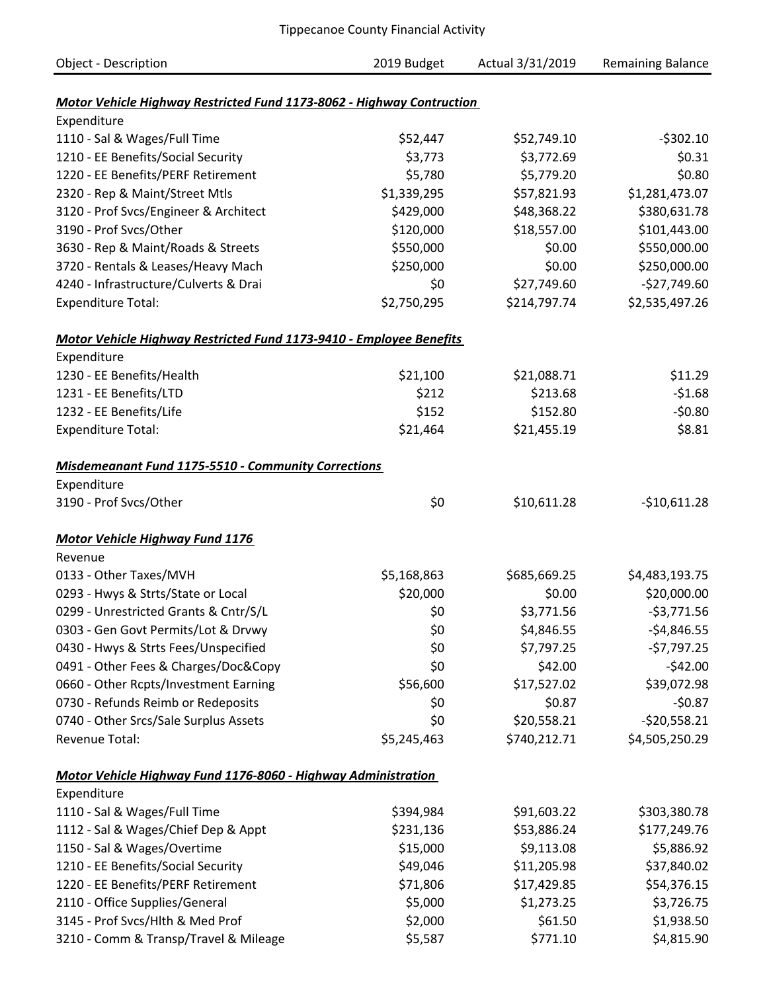| <b>Object - Description</b>                                           | 2019 Budget | Actual 3/31/2019 | <b>Remaining Balance</b> |
|-----------------------------------------------------------------------|-------------|------------------|--------------------------|
|                                                                       |             |                  |                          |
| Motor Vehicle Highway Restricted Fund 1173-8062 - Highway Contruction |             |                  |                          |
| Expenditure                                                           |             |                  |                          |
| 1110 - Sal & Wages/Full Time                                          | \$52,447    | \$52,749.10      | $-5302.10$               |
| 1210 - EE Benefits/Social Security                                    | \$3,773     | \$3,772.69       | \$0.31                   |
| 1220 - EE Benefits/PERF Retirement                                    | \$5,780     | \$5,779.20       | \$0.80                   |
| 2320 - Rep & Maint/Street Mtls                                        | \$1,339,295 | \$57,821.93      | \$1,281,473.07           |
| 3120 - Prof Svcs/Engineer & Architect                                 | \$429,000   | \$48,368.22      | \$380,631.78             |
| 3190 - Prof Svcs/Other                                                | \$120,000   | \$18,557.00      | \$101,443.00             |
| 3630 - Rep & Maint/Roads & Streets                                    | \$550,000   | \$0.00           | \$550,000.00             |
| 3720 - Rentals & Leases/Heavy Mach                                    | \$250,000   | \$0.00           | \$250,000.00             |
| 4240 - Infrastructure/Culverts & Drai                                 | \$0         | \$27,749.60      | $-$27,749.60$            |
| <b>Expenditure Total:</b>                                             | \$2,750,295 | \$214,797.74     | \$2,535,497.26           |
| Motor Vehicle Highway Restricted Fund 1173-9410 - Employee Benefits   |             |                  |                          |
| Expenditure                                                           |             |                  |                          |
| 1230 - EE Benefits/Health                                             | \$21,100    | \$21,088.71      | \$11.29                  |
| 1231 - EE Benefits/LTD                                                | \$212       | \$213.68         | $-51.68$                 |
| 1232 - EE Benefits/Life                                               | \$152       | \$152.80         | $-50.80$                 |
| <b>Expenditure Total:</b>                                             | \$21,464    | \$21,455.19      | \$8.81                   |
| <b>Misdemeanant Fund 1175-5510 - Community Corrections</b>            |             |                  |                          |
| Expenditure                                                           |             |                  |                          |
| 3190 - Prof Svcs/Other                                                | \$0         | \$10,611.28      | $-$10,611.28$            |
| <b>Motor Vehicle Highway Fund 1176</b>                                |             |                  |                          |
| Revenue                                                               |             |                  |                          |
| 0133 - Other Taxes/MVH                                                | \$5,168,863 | \$685,669.25     | \$4,483,193.75           |
| 0293 - Hwys & Strts/State or Local                                    | \$20,000    | \$0.00           | \$20,000.00              |
| 0299 - Unrestricted Grants & Cntr/S/L                                 | \$0         | \$3,771.56       | $-53,771.56$             |
| 0303 - Gen Govt Permits/Lot & Drvwy                                   | \$0         | \$4,846.55       | $-54,846.55$             |
| 0430 - Hwys & Strts Fees/Unspecified                                  | \$0         | \$7,797.25       | $-57,797.25$             |
| 0491 - Other Fees & Charges/Doc&Copy                                  | \$0         | \$42.00          | $-542.00$                |
| 0660 - Other Rcpts/Investment Earning                                 | \$56,600    | \$17,527.02      | \$39,072.98              |
| 0730 - Refunds Reimb or Redeposits                                    | \$0         | \$0.87           | $-50.87$                 |
| 0740 - Other Srcs/Sale Surplus Assets                                 | \$0         | \$20,558.21      | $-520,558.21$            |
| Revenue Total:                                                        | \$5,245,463 | \$740,212.71     | \$4,505,250.29           |
| Motor Vehicle Highway Fund 1176-8060 - Highway Administration         |             |                  |                          |
| Expenditure                                                           |             |                  |                          |
| 1110 - Sal & Wages/Full Time                                          | \$394,984   | \$91,603.22      | \$303,380.78             |
| 1112 - Sal & Wages/Chief Dep & Appt                                   | \$231,136   | \$53,886.24      | \$177,249.76             |
| 1150 - Sal & Wages/Overtime                                           | \$15,000    | \$9,113.08       | \$5,886.92               |
| 1210 - EE Benefits/Social Security                                    | \$49,046    | \$11,205.98      | \$37,840.02              |
| 1220 - EE Benefits/PERF Retirement                                    | \$71,806    | \$17,429.85      | \$54,376.15              |
| 2110 - Office Supplies/General                                        | \$5,000     | \$1,273.25       | \$3,726.75               |
| 3145 - Prof Svcs/Hlth & Med Prof                                      | \$2,000     | \$61.50          | \$1,938.50               |
| 3210 - Comm & Transp/Travel & Mileage                                 | \$5,587     | \$771.10         | \$4,815.90               |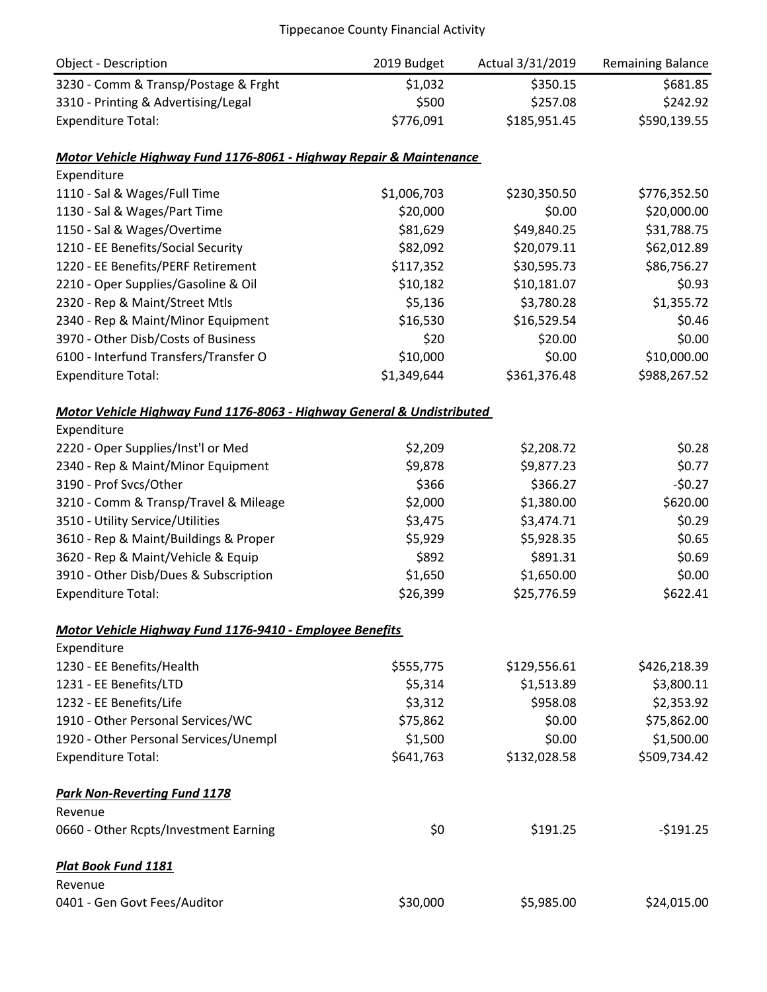| Object - Description                                                   | 2019 Budget | Actual 3/31/2019 | <b>Remaining Balance</b> |
|------------------------------------------------------------------------|-------------|------------------|--------------------------|
| 3230 - Comm & Transp/Postage & Frght                                   | \$1,032     | \$350.15         | \$681.85                 |
| 3310 - Printing & Advertising/Legal                                    | \$500       | \$257.08         | \$242.92                 |
| <b>Expenditure Total:</b>                                              | \$776,091   | \$185,951.45     | \$590,139.55             |
| Motor Vehicle Highway Fund 1176-8061 - Highway Repair & Maintenance    |             |                  |                          |
| Expenditure                                                            |             |                  |                          |
| 1110 - Sal & Wages/Full Time                                           | \$1,006,703 | \$230,350.50     | \$776,352.50             |
| 1130 - Sal & Wages/Part Time                                           | \$20,000    | \$0.00           | \$20,000.00              |
| 1150 - Sal & Wages/Overtime                                            | \$81,629    | \$49,840.25      | \$31,788.75              |
| 1210 - EE Benefits/Social Security                                     | \$82,092    | \$20,079.11      | \$62,012.89              |
| 1220 - EE Benefits/PERF Retirement                                     | \$117,352   | \$30,595.73      | \$86,756.27              |
| 2210 - Oper Supplies/Gasoline & Oil                                    | \$10,182    | \$10,181.07      | \$0.93                   |
| 2320 - Rep & Maint/Street Mtls                                         | \$5,136     | \$3,780.28       | \$1,355.72               |
| 2340 - Rep & Maint/Minor Equipment                                     | \$16,530    | \$16,529.54      | \$0.46                   |
| 3970 - Other Disb/Costs of Business                                    | \$20        | \$20.00          | \$0.00                   |
| 6100 - Interfund Transfers/Transfer O                                  | \$10,000    | \$0.00           | \$10,000.00              |
| <b>Expenditure Total:</b>                                              | \$1,349,644 | \$361,376.48     | \$988,267.52             |
| Motor Vehicle Highway Fund 1176-8063 - Highway General & Undistributed |             |                  |                          |
| Expenditure                                                            |             |                  |                          |
| 2220 - Oper Supplies/Inst'l or Med                                     | \$2,209     | \$2,208.72       | \$0.28                   |
| 2340 - Rep & Maint/Minor Equipment                                     | \$9,878     | \$9,877.23       | \$0.77                   |
| 3190 - Prof Svcs/Other                                                 | \$366       | \$366.27         | $-50.27$                 |
| 3210 - Comm & Transp/Travel & Mileage                                  | \$2,000     | \$1,380.00       | \$620.00                 |
| 3510 - Utility Service/Utilities                                       | \$3,475     | \$3,474.71       | \$0.29                   |
| 3610 - Rep & Maint/Buildings & Proper                                  | \$5,929     | \$5,928.35       | \$0.65                   |
| 3620 - Rep & Maint/Vehicle & Equip                                     | \$892       | \$891.31         | \$0.69                   |
| 3910 - Other Disb/Dues & Subscription                                  | \$1,650     | \$1,650.00       | \$0.00                   |
| <b>Expenditure Total:</b>                                              | \$26,399    | \$25,776.59      | \$622.41                 |
| Motor Vehicle Highway Fund 1176-9410 - Employee Benefits               |             |                  |                          |
| Expenditure                                                            |             |                  |                          |
| 1230 - EE Benefits/Health                                              | \$555,775   | \$129,556.61     | \$426,218.39             |
| 1231 - EE Benefits/LTD                                                 | \$5,314     | \$1,513.89       | \$3,800.11               |
| 1232 - EE Benefits/Life                                                | \$3,312     | \$958.08         | \$2,353.92               |
| 1910 - Other Personal Services/WC                                      | \$75,862    | \$0.00           | \$75,862.00              |
| 1920 - Other Personal Services/Unempl                                  | \$1,500     | \$0.00           | \$1,500.00               |
| <b>Expenditure Total:</b>                                              | \$641,763   | \$132,028.58     | \$509,734.42             |
| <b>Park Non-Reverting Fund 1178</b>                                    |             |                  |                          |
| Revenue                                                                |             |                  |                          |
| 0660 - Other Rcpts/Investment Earning                                  | \$0         | \$191.25         | $-5191.25$               |
| Plat Book Fund 1181                                                    |             |                  |                          |
| Revenue                                                                |             |                  |                          |
| 0401 - Gen Govt Fees/Auditor                                           | \$30,000    | \$5,985.00       | \$24,015.00              |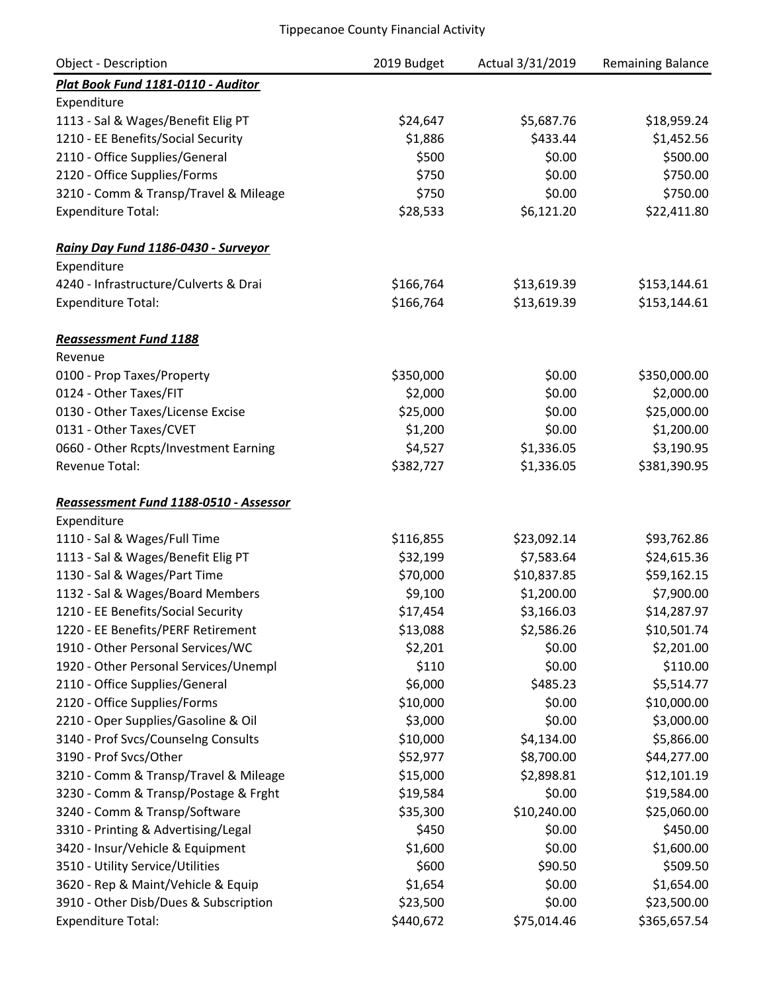| Object - Description                   | 2019 Budget | Actual 3/31/2019 | <b>Remaining Balance</b> |
|----------------------------------------|-------------|------------------|--------------------------|
| Plat Book Fund 1181-0110 - Auditor     |             |                  |                          |
| Expenditure                            |             |                  |                          |
| 1113 - Sal & Wages/Benefit Elig PT     | \$24,647    | \$5,687.76       | \$18,959.24              |
| 1210 - EE Benefits/Social Security     | \$1,886     | \$433.44         | \$1,452.56               |
| 2110 - Office Supplies/General         | \$500       | \$0.00           | \$500.00                 |
| 2120 - Office Supplies/Forms           | \$750       | \$0.00           | \$750.00                 |
| 3210 - Comm & Transp/Travel & Mileage  | \$750       | \$0.00           | \$750.00                 |
| <b>Expenditure Total:</b>              | \$28,533    | \$6,121.20       | \$22,411.80              |
| Rainy Day Fund 1186-0430 - Surveyor    |             |                  |                          |
| Expenditure                            |             |                  |                          |
| 4240 - Infrastructure/Culverts & Drai  | \$166,764   | \$13,619.39      | \$153,144.61             |
| <b>Expenditure Total:</b>              | \$166,764   | \$13,619.39      | \$153,144.61             |
| <b>Reassessment Fund 1188</b>          |             |                  |                          |
| Revenue                                |             |                  |                          |
| 0100 - Prop Taxes/Property             | \$350,000   | \$0.00           | \$350,000.00             |
| 0124 - Other Taxes/FIT                 | \$2,000     | \$0.00           | \$2,000.00               |
| 0130 - Other Taxes/License Excise      | \$25,000    | \$0.00           | \$25,000.00              |
| 0131 - Other Taxes/CVET                | \$1,200     | \$0.00           | \$1,200.00               |
| 0660 - Other Rcpts/Investment Earning  | \$4,527     | \$1,336.05       | \$3,190.95               |
| Revenue Total:                         | \$382,727   | \$1,336.05       | \$381,390.95             |
| Reassessment Fund 1188-0510 - Assessor |             |                  |                          |
| Expenditure                            |             |                  |                          |
| 1110 - Sal & Wages/Full Time           | \$116,855   | \$23,092.14      | \$93,762.86              |
| 1113 - Sal & Wages/Benefit Elig PT     | \$32,199    | \$7,583.64       | \$24,615.36              |
| 1130 - Sal & Wages/Part Time           | \$70,000    | \$10,837.85      | \$59,162.15              |
| 1132 - Sal & Wages/Board Members       | \$9,100     | \$1,200.00       | \$7,900.00               |
| 1210 - EE Benefits/Social Security     | \$17,454    | \$3,166.03       | \$14,287.97              |
| 1220 - EE Benefits/PERF Retirement     | \$13,088    | \$2,586.26       | \$10,501.74              |
| 1910 - Other Personal Services/WC      | \$2,201     | \$0.00           | \$2,201.00               |
| 1920 - Other Personal Services/Unempl  | \$110       | \$0.00           | \$110.00                 |
| 2110 - Office Supplies/General         | \$6,000     | \$485.23         | \$5,514.77               |
| 2120 - Office Supplies/Forms           | \$10,000    | \$0.00           | \$10,000.00              |
| 2210 - Oper Supplies/Gasoline & Oil    | \$3,000     | \$0.00           | \$3,000.00               |
| 3140 - Prof Svcs/Counselng Consults    | \$10,000    | \$4,134.00       | \$5,866.00               |
| 3190 - Prof Svcs/Other                 | \$52,977    | \$8,700.00       | \$44,277.00              |
| 3210 - Comm & Transp/Travel & Mileage  | \$15,000    | \$2,898.81       | \$12,101.19              |
| 3230 - Comm & Transp/Postage & Frght   | \$19,584    | \$0.00           | \$19,584.00              |
| 3240 - Comm & Transp/Software          | \$35,300    | \$10,240.00      | \$25,060.00              |
| 3310 - Printing & Advertising/Legal    | \$450       | \$0.00           | \$450.00                 |
| 3420 - Insur/Vehicle & Equipment       | \$1,600     | \$0.00           | \$1,600.00               |
| 3510 - Utility Service/Utilities       | \$600       | \$90.50          | \$509.50                 |
| 3620 - Rep & Maint/Vehicle & Equip     | \$1,654     | \$0.00           | \$1,654.00               |
| 3910 - Other Disb/Dues & Subscription  | \$23,500    | \$0.00           | \$23,500.00              |
| <b>Expenditure Total:</b>              | \$440,672   | \$75,014.46      | \$365,657.54             |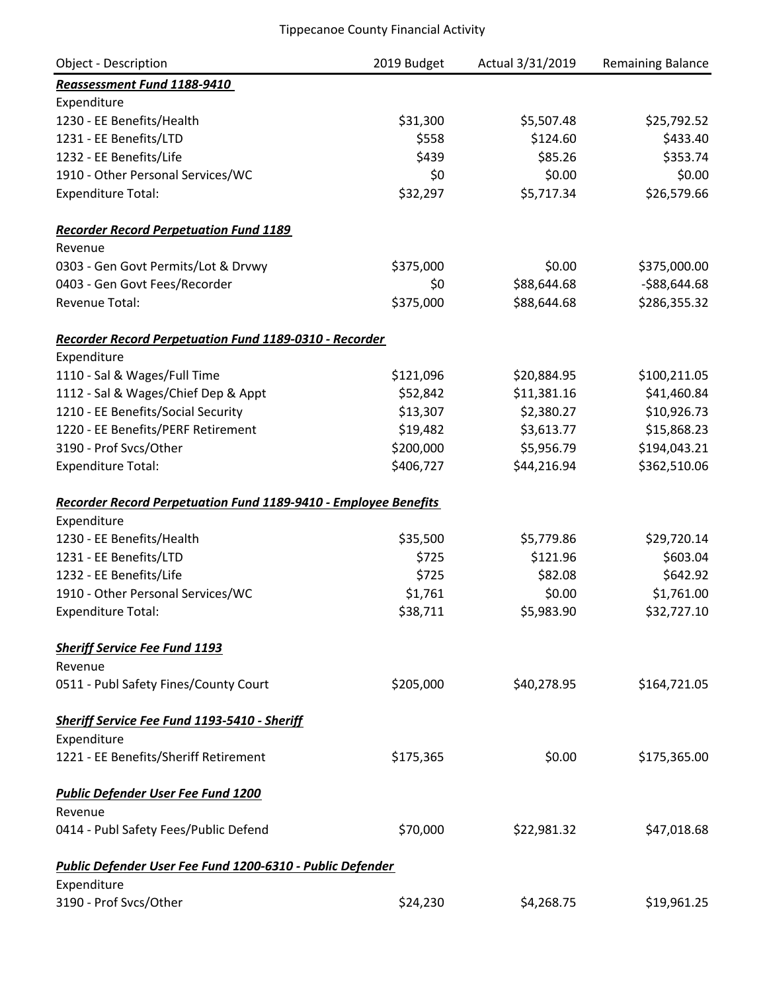| Object - Description                                            | 2019 Budget | Actual 3/31/2019 | Remaining Balance |
|-----------------------------------------------------------------|-------------|------------------|-------------------|
| Reassessment Fund 1188-9410                                     |             |                  |                   |
| Expenditure                                                     |             |                  |                   |
| 1230 - EE Benefits/Health                                       | \$31,300    | \$5,507.48       | \$25,792.52       |
| 1231 - EE Benefits/LTD                                          | \$558       | \$124.60         | \$433.40          |
| 1232 - EE Benefits/Life                                         | \$439       | \$85.26          | \$353.74          |
| 1910 - Other Personal Services/WC                               | \$0         | \$0.00           | \$0.00            |
| <b>Expenditure Total:</b>                                       | \$32,297    | \$5,717.34       | \$26,579.66       |
| <b>Recorder Record Perpetuation Fund 1189</b>                   |             |                  |                   |
| Revenue                                                         |             |                  |                   |
| 0303 - Gen Govt Permits/Lot & Drvwy                             | \$375,000   | \$0.00           | \$375,000.00      |
| 0403 - Gen Govt Fees/Recorder                                   | \$0         | \$88,644.68      | $-588,644.68$     |
| <b>Revenue Total:</b>                                           | \$375,000   | \$88,644.68      | \$286,355.32      |
| Recorder Record Perpetuation Fund 1189-0310 - Recorder          |             |                  |                   |
| Expenditure                                                     |             |                  |                   |
| 1110 - Sal & Wages/Full Time                                    | \$121,096   | \$20,884.95      | \$100,211.05      |
| 1112 - Sal & Wages/Chief Dep & Appt                             | \$52,842    | \$11,381.16      | \$41,460.84       |
| 1210 - EE Benefits/Social Security                              | \$13,307    | \$2,380.27       | \$10,926.73       |
| 1220 - EE Benefits/PERF Retirement                              | \$19,482    | \$3,613.77       | \$15,868.23       |
| 3190 - Prof Svcs/Other                                          | \$200,000   | \$5,956.79       | \$194,043.21      |
| <b>Expenditure Total:</b>                                       | \$406,727   | \$44,216.94      | \$362,510.06      |
| Recorder Record Perpetuation Fund 1189-9410 - Employee Benefits |             |                  |                   |
| Expenditure                                                     |             |                  |                   |
| 1230 - EE Benefits/Health                                       | \$35,500    | \$5,779.86       | \$29,720.14       |
| 1231 - EE Benefits/LTD                                          | \$725       | \$121.96         | \$603.04          |
| 1232 - EE Benefits/Life                                         | \$725       | \$82.08          | \$642.92          |
| 1910 - Other Personal Services/WC                               | \$1,761     | \$0.00           | \$1,761.00        |
| <b>Expenditure Total:</b>                                       | \$38,711    | \$5,983.90       | \$32,727.10       |
| <b>Sheriff Service Fee Fund 1193</b>                            |             |                  |                   |
| Revenue                                                         |             |                  |                   |
| 0511 - Publ Safety Fines/County Court                           | \$205,000   | \$40,278.95      | \$164,721.05      |
| Sheriff Service Fee Fund 1193-5410 - Sheriff                    |             |                  |                   |
| Expenditure                                                     |             |                  |                   |
| 1221 - EE Benefits/Sheriff Retirement                           | \$175,365   | \$0.00           | \$175,365.00      |
| <b>Public Defender User Fee Fund 1200</b>                       |             |                  |                   |
| Revenue                                                         |             |                  |                   |
| 0414 - Publ Safety Fees/Public Defend                           | \$70,000    | \$22,981.32      | \$47,018.68       |
| Public Defender User Fee Fund 1200-6310 - Public Defender       |             |                  |                   |
| Expenditure                                                     |             |                  |                   |
| 3190 - Prof Svcs/Other                                          | \$24,230    | \$4,268.75       | \$19,961.25       |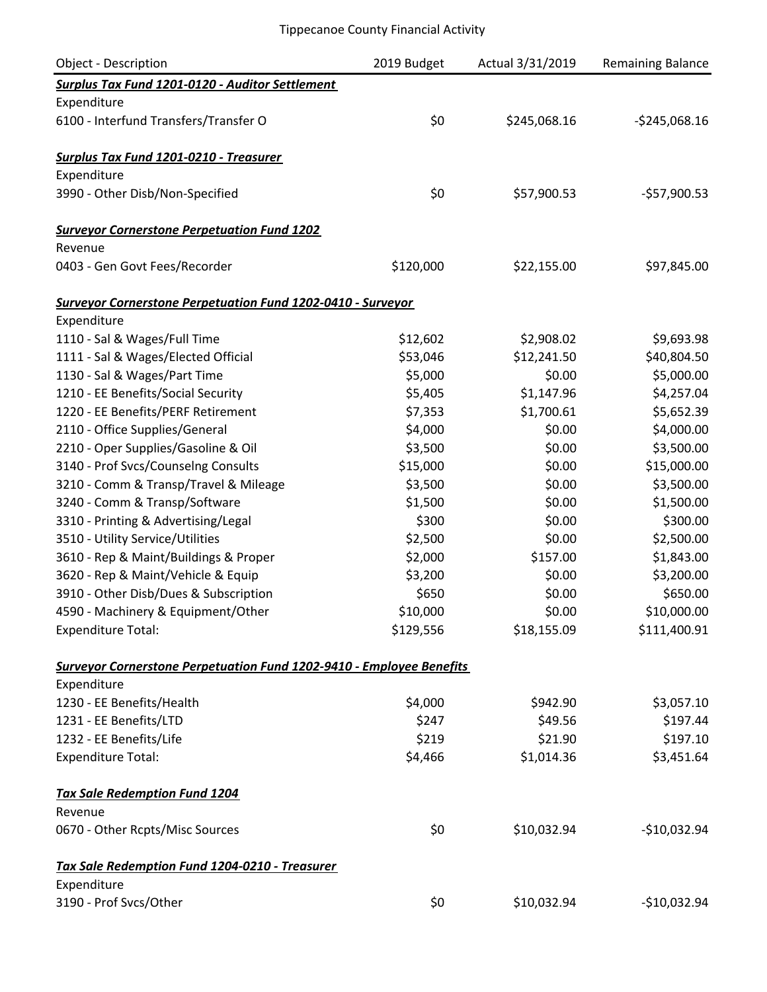| <b>Object - Description</b>                                          | 2019 Budget | Actual 3/31/2019 | <b>Remaining Balance</b> |
|----------------------------------------------------------------------|-------------|------------------|--------------------------|
| <b>Surplus Tax Fund 1201-0120 - Auditor Settlement</b>               |             |                  |                          |
| Expenditure                                                          |             |                  |                          |
| 6100 - Interfund Transfers/Transfer O                                | \$0         | \$245,068.16     | $-5245,068.16$           |
| <b>Surplus Tax Fund 1201-0210 - Treasurer</b>                        |             |                  |                          |
| Expenditure                                                          |             |                  |                          |
| 3990 - Other Disb/Non-Specified                                      | \$0         | \$57,900.53      | $-$57,900.53$            |
| <b>Surveyor Cornerstone Perpetuation Fund 1202</b>                   |             |                  |                          |
| Revenue                                                              |             |                  |                          |
| 0403 - Gen Govt Fees/Recorder                                        | \$120,000   | \$22,155.00      | \$97,845.00              |
| <b>Surveyor Cornerstone Perpetuation Fund 1202-0410 - Surveyor</b>   |             |                  |                          |
| Expenditure                                                          |             |                  |                          |
| 1110 - Sal & Wages/Full Time                                         | \$12,602    | \$2,908.02       | \$9,693.98               |
| 1111 - Sal & Wages/Elected Official                                  | \$53,046    | \$12,241.50      | \$40,804.50              |
| 1130 - Sal & Wages/Part Time                                         | \$5,000     | \$0.00           | \$5,000.00               |
| 1210 - EE Benefits/Social Security                                   | \$5,405     | \$1,147.96       | \$4,257.04               |
| 1220 - EE Benefits/PERF Retirement                                   | \$7,353     | \$1,700.61       | \$5,652.39               |
| 2110 - Office Supplies/General                                       | \$4,000     | \$0.00           | \$4,000.00               |
| 2210 - Oper Supplies/Gasoline & Oil                                  | \$3,500     | \$0.00           | \$3,500.00               |
| 3140 - Prof Svcs/Counselng Consults                                  | \$15,000    | \$0.00           | \$15,000.00              |
| 3210 - Comm & Transp/Travel & Mileage                                | \$3,500     | \$0.00           | \$3,500.00               |
| 3240 - Comm & Transp/Software                                        | \$1,500     | \$0.00           | \$1,500.00               |
| 3310 - Printing & Advertising/Legal                                  | \$300       | \$0.00           | \$300.00                 |
| 3510 - Utility Service/Utilities                                     | \$2,500     | \$0.00           | \$2,500.00               |
| 3610 - Rep & Maint/Buildings & Proper                                | \$2,000     | \$157.00         | \$1,843.00               |
| 3620 - Rep & Maint/Vehicle & Equip                                   | \$3,200     | \$0.00           | \$3,200.00               |
| 3910 - Other Disb/Dues & Subscription                                | \$650       | \$0.00           | \$650.00                 |
| 4590 - Machinery & Equipment/Other                                   | \$10,000    | \$0.00           | \$10,000.00              |
| <b>Expenditure Total:</b>                                            | \$129,556   | \$18,155.09      | \$111,400.91             |
| Surveyor Cornerstone Perpetuation Fund 1202-9410 - Employee Benefits |             |                  |                          |
| Expenditure                                                          |             |                  |                          |
| 1230 - EE Benefits/Health                                            | \$4,000     | \$942.90         | \$3,057.10               |
| 1231 - EE Benefits/LTD                                               | \$247       | \$49.56          | \$197.44                 |
| 1232 - EE Benefits/Life                                              | \$219       | \$21.90          | \$197.10                 |
| <b>Expenditure Total:</b>                                            | \$4,466     | \$1,014.36       | \$3,451.64               |
| <b>Tax Sale Redemption Fund 1204</b>                                 |             |                  |                          |
| Revenue                                                              |             |                  |                          |
| 0670 - Other Rcpts/Misc Sources                                      | \$0         | \$10,032.94      | $-$10,032.94$            |
| Tax Sale Redemption Fund 1204-0210 - Treasurer                       |             |                  |                          |
| Expenditure                                                          |             |                  |                          |
| 3190 - Prof Svcs/Other                                               | \$0         | \$10,032.94      | $-$10,032.94$            |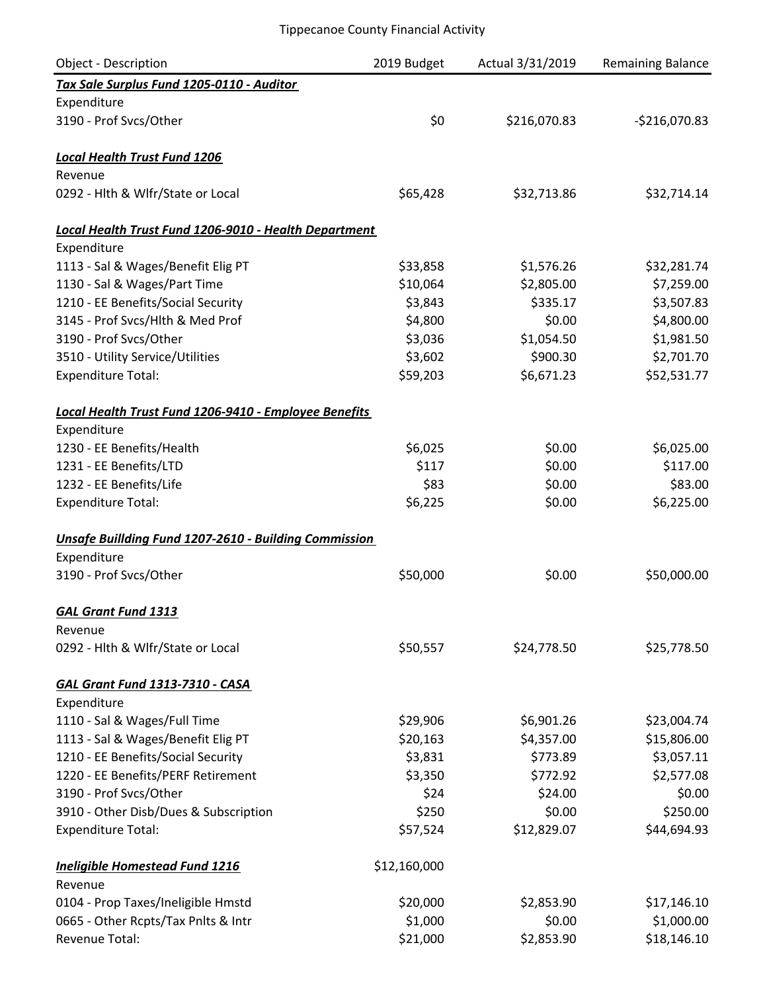| <b>Object - Description</b>                                  | 2019 Budget  | Actual 3/31/2019 | <b>Remaining Balance</b> |
|--------------------------------------------------------------|--------------|------------------|--------------------------|
| Tax Sale Surplus Fund 1205-0110 - Auditor                    |              |                  |                          |
| Expenditure                                                  |              |                  |                          |
| 3190 - Prof Svcs/Other                                       | \$0          | \$216,070.83     | $-$216,070.83$           |
| <b>Local Health Trust Fund 1206</b>                          |              |                  |                          |
| Revenue                                                      |              |                  |                          |
| 0292 - Hlth & Wlfr/State or Local                            | \$65,428     | \$32,713.86      | \$32,714.14              |
| Local Health Trust Fund 1206-9010 - Health Department        |              |                  |                          |
| Expenditure                                                  |              |                  |                          |
| 1113 - Sal & Wages/Benefit Elig PT                           | \$33,858     | \$1,576.26       | \$32,281.74              |
| 1130 - Sal & Wages/Part Time                                 | \$10,064     | \$2,805.00       | \$7,259.00               |
| 1210 - EE Benefits/Social Security                           | \$3,843      | \$335.17         | \$3,507.83               |
| 3145 - Prof Svcs/Hlth & Med Prof                             | \$4,800      | \$0.00           | \$4,800.00               |
| 3190 - Prof Svcs/Other                                       | \$3,036      | \$1,054.50       | \$1,981.50               |
| 3510 - Utility Service/Utilities                             | \$3,602      | \$900.30         | \$2,701.70               |
| <b>Expenditure Total:</b>                                    | \$59,203     | \$6,671.23       | \$52,531.77              |
| Local Health Trust Fund 1206-9410 - Employee Benefits        |              |                  |                          |
| Expenditure                                                  |              |                  |                          |
| 1230 - EE Benefits/Health                                    | \$6,025      | \$0.00           | \$6,025.00               |
| 1231 - EE Benefits/LTD                                       | \$117        | \$0.00           | \$117.00                 |
| 1232 - EE Benefits/Life                                      | \$83         | \$0.00           | \$83.00                  |
| <b>Expenditure Total:</b>                                    | \$6,225      | \$0.00           | \$6,225.00               |
| <b>Unsafe Buillding Fund 1207-2610 - Building Commission</b> |              |                  |                          |
| Expenditure                                                  |              |                  |                          |
| 3190 - Prof Svcs/Other                                       | \$50,000     | \$0.00           | \$50,000.00              |
| <b>GAL Grant Fund 1313</b>                                   |              |                  |                          |
| Revenue                                                      |              |                  |                          |
| 0292 - Hlth & Wlfr/State or Local                            | \$50,557     | \$24,778.50      | \$25,778.50              |
| <b>GAL Grant Fund 1313-7310 - CASA</b>                       |              |                  |                          |
| Expenditure                                                  |              |                  |                          |
| 1110 - Sal & Wages/Full Time                                 | \$29,906     | \$6,901.26       | \$23,004.74              |
| 1113 - Sal & Wages/Benefit Elig PT                           | \$20,163     | \$4,357.00       | \$15,806.00              |
| 1210 - EE Benefits/Social Security                           | \$3,831      | \$773.89         | \$3,057.11               |
| 1220 - EE Benefits/PERF Retirement                           | \$3,350      | \$772.92         | \$2,577.08               |
| 3190 - Prof Svcs/Other                                       | \$24         | \$24.00          | \$0.00                   |
| 3910 - Other Disb/Dues & Subscription                        | \$250        | \$0.00           | \$250.00                 |
| <b>Expenditure Total:</b>                                    | \$57,524     | \$12,829.07      | \$44,694.93              |
| <b>Ineligible Homestead Fund 1216</b>                        | \$12,160,000 |                  |                          |
| Revenue                                                      |              |                  |                          |
| 0104 - Prop Taxes/Ineligible Hmstd                           | \$20,000     | \$2,853.90       | \$17,146.10              |
| 0665 - Other Rcpts/Tax Pnlts & Intr                          | \$1,000      | \$0.00           | \$1,000.00               |
| Revenue Total:                                               | \$21,000     | \$2,853.90       | \$18,146.10              |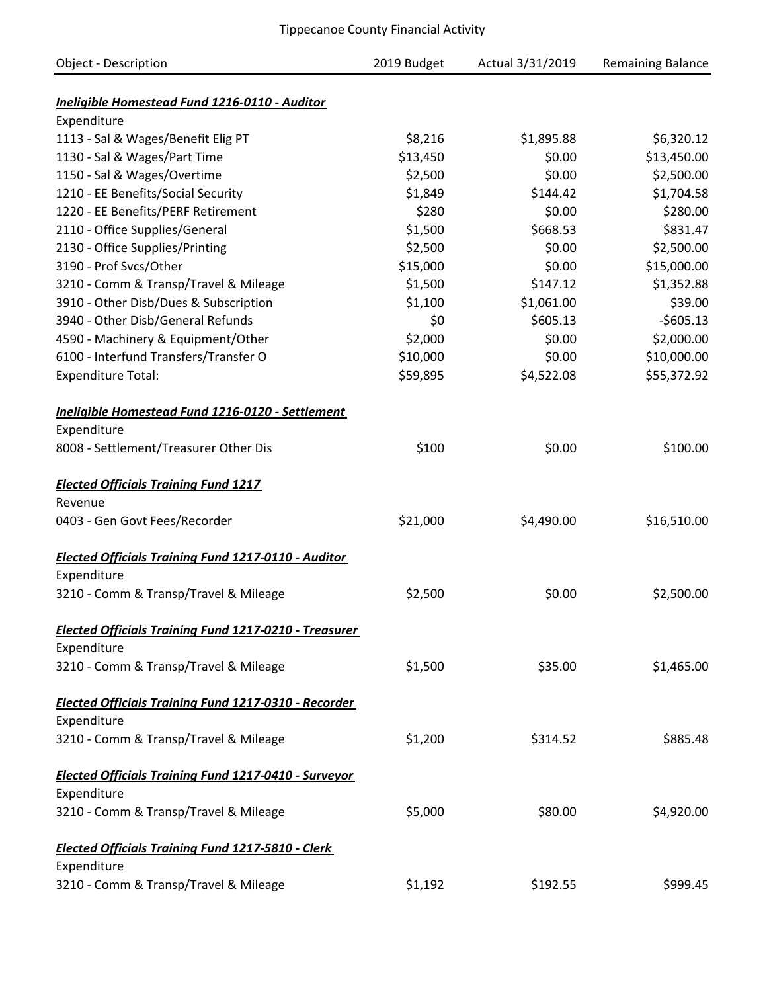| <b>Object - Description</b>                                        | 2019 Budget         | Actual 3/31/2019     | <b>Remaining Balance</b>  |
|--------------------------------------------------------------------|---------------------|----------------------|---------------------------|
|                                                                    |                     |                      |                           |
| Ineligible Homestead Fund 1216-0110 - Auditor                      |                     |                      |                           |
| Expenditure                                                        |                     |                      |                           |
| 1113 - Sal & Wages/Benefit Elig PT<br>1130 - Sal & Wages/Part Time | \$8,216<br>\$13,450 | \$1,895.88<br>\$0.00 | \$6,320.12<br>\$13,450.00 |
| 1150 - Sal & Wages/Overtime                                        | \$2,500             | \$0.00               | \$2,500.00                |
| 1210 - EE Benefits/Social Security                                 | \$1,849             | \$144.42             | \$1,704.58                |
| 1220 - EE Benefits/PERF Retirement                                 | \$280               | \$0.00               | \$280.00                  |
| 2110 - Office Supplies/General                                     | \$1,500             | \$668.53             | \$831.47                  |
| 2130 - Office Supplies/Printing                                    | \$2,500             | \$0.00               | \$2,500.00                |
| 3190 - Prof Svcs/Other                                             | \$15,000            | \$0.00               | \$15,000.00               |
| 3210 - Comm & Transp/Travel & Mileage                              | \$1,500             | \$147.12             | \$1,352.88                |
| 3910 - Other Disb/Dues & Subscription                              | \$1,100             | \$1,061.00           | \$39.00                   |
| 3940 - Other Disb/General Refunds                                  | \$0                 | \$605.13             | $-$605.13$                |
| 4590 - Machinery & Equipment/Other                                 | \$2,000             | \$0.00               | \$2,000.00                |
| 6100 - Interfund Transfers/Transfer O                              | \$10,000            | \$0.00               | \$10,000.00               |
| <b>Expenditure Total:</b>                                          | \$59,895            | \$4,522.08           | \$55,372.92               |
|                                                                    |                     |                      |                           |
| Ineligible Homestead Fund 1216-0120 - Settlement                   |                     |                      |                           |
| Expenditure                                                        |                     |                      |                           |
| 8008 - Settlement/Treasurer Other Dis                              | \$100               | \$0.00               | \$100.00                  |
| <b>Elected Officials Training Fund 1217</b>                        |                     |                      |                           |
| Revenue                                                            |                     |                      |                           |
| 0403 - Gen Govt Fees/Recorder                                      | \$21,000            | \$4,490.00           | \$16,510.00               |
| <b>Elected Officials Training Fund 1217-0110 - Auditor</b>         |                     |                      |                           |
| Expenditure                                                        |                     |                      |                           |
| 3210 - Comm & Transp/Travel & Mileage                              | \$2,500             | \$0.00               | \$2,500.00                |
| <b>Elected Officials Training Fund 1217-0210 - Treasurer</b>       |                     |                      |                           |
| Expenditure                                                        |                     |                      |                           |
| 3210 - Comm & Transp/Travel & Mileage                              | \$1,500             | \$35.00              | \$1,465.00                |
| <b>Elected Officials Training Fund 1217-0310 - Recorder</b>        |                     |                      |                           |
| Expenditure                                                        |                     |                      |                           |
| 3210 - Comm & Transp/Travel & Mileage                              | \$1,200             | \$314.52             | \$885.48                  |
| <b>Elected Officials Training Fund 1217-0410 - Surveyor</b>        |                     |                      |                           |
| Expenditure                                                        |                     |                      |                           |
| 3210 - Comm & Transp/Travel & Mileage                              | \$5,000             | \$80.00              | \$4,920.00                |
| <b>Elected Officials Training Fund 1217-5810 - Clerk</b>           |                     |                      |                           |
| Expenditure                                                        |                     |                      |                           |
| 3210 - Comm & Transp/Travel & Mileage                              | \$1,192             | \$192.55             | \$999.45                  |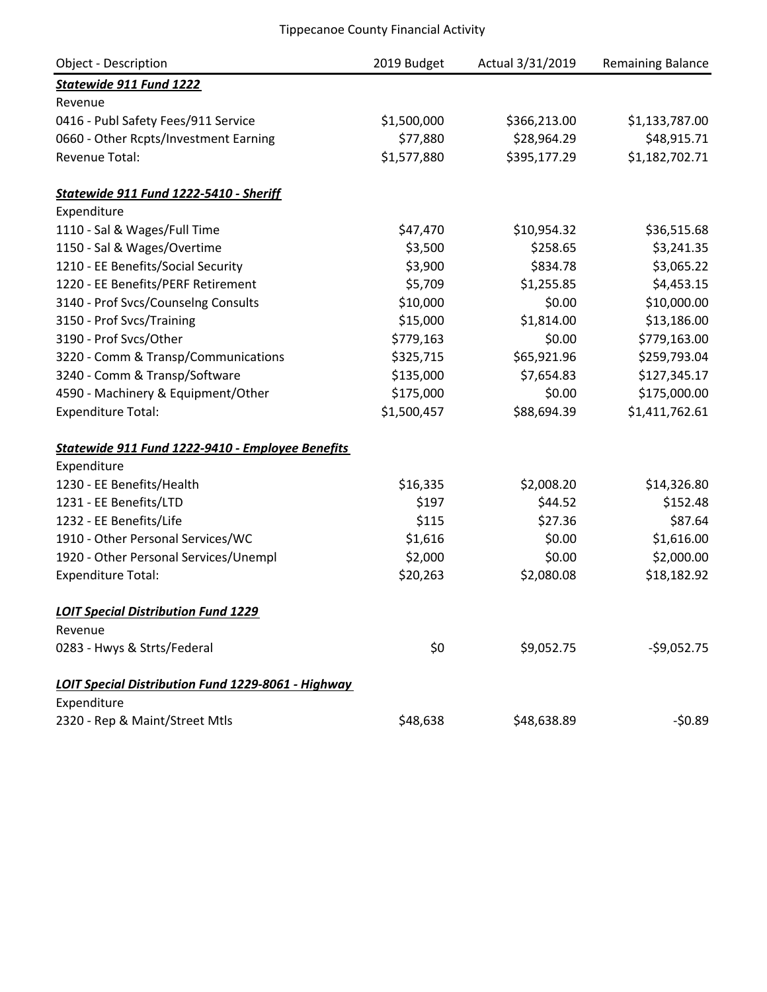| <b>Object - Description</b>                        | 2019 Budget | Actual 3/31/2019 | Remaining Balance |
|----------------------------------------------------|-------------|------------------|-------------------|
| Statewide 911 Fund 1222                            |             |                  |                   |
| Revenue                                            |             |                  |                   |
| 0416 - Publ Safety Fees/911 Service                | \$1,500,000 | \$366,213.00     | \$1,133,787.00    |
| 0660 - Other Rcpts/Investment Earning              | \$77,880    | \$28,964.29      | \$48,915.71       |
| <b>Revenue Total:</b>                              | \$1,577,880 | \$395,177.29     | \$1,182,702.71    |
| Statewide 911 Fund 1222-5410 - Sheriff             |             |                  |                   |
| Expenditure                                        |             |                  |                   |
| 1110 - Sal & Wages/Full Time                       | \$47,470    | \$10,954.32      | \$36,515.68       |
| 1150 - Sal & Wages/Overtime                        | \$3,500     | \$258.65         | \$3,241.35        |
| 1210 - EE Benefits/Social Security                 | \$3,900     | \$834.78         | \$3,065.22        |
| 1220 - EE Benefits/PERF Retirement                 | \$5,709     | \$1,255.85       | \$4,453.15        |
| 3140 - Prof Svcs/Counselng Consults                | \$10,000    | \$0.00           | \$10,000.00       |
| 3150 - Prof Svcs/Training                          | \$15,000    | \$1,814.00       | \$13,186.00       |
| 3190 - Prof Svcs/Other                             | \$779,163   | \$0.00           | \$779,163.00      |
| 3220 - Comm & Transp/Communications                | \$325,715   | \$65,921.96      | \$259,793.04      |
| 3240 - Comm & Transp/Software                      | \$135,000   | \$7,654.83       | \$127,345.17      |
| 4590 - Machinery & Equipment/Other                 | \$175,000   | \$0.00           | \$175,000.00      |
| <b>Expenditure Total:</b>                          | \$1,500,457 | \$88,694.39      | \$1,411,762.61    |
| Statewide 911 Fund 1222-9410 - Employee Benefits   |             |                  |                   |
| Expenditure                                        |             |                  |                   |
| 1230 - EE Benefits/Health                          | \$16,335    | \$2,008.20       | \$14,326.80       |
| 1231 - EE Benefits/LTD                             | \$197       | \$44.52          | \$152.48          |
| 1232 - EE Benefits/Life                            | \$115       | \$27.36          | \$87.64           |
| 1910 - Other Personal Services/WC                  | \$1,616     | \$0.00           | \$1,616.00        |
| 1920 - Other Personal Services/Unempl              | \$2,000     | \$0.00           | \$2,000.00        |
| <b>Expenditure Total:</b>                          | \$20,263    | \$2,080.08       | \$18,182.92       |
| <b>LOIT Special Distribution Fund 1229</b>         |             |                  |                   |
| Revenue                                            |             |                  |                   |
| 0283 - Hwys & Strts/Federal                        | \$0         | \$9,052.75       | $-59,052.75$      |
| LOIT Special Distribution Fund 1229-8061 - Highway |             |                  |                   |
| Expenditure                                        |             |                  |                   |
| 2320 - Rep & Maint/Street Mtls                     | \$48,638    | \$48,638.89      | $-50.89$          |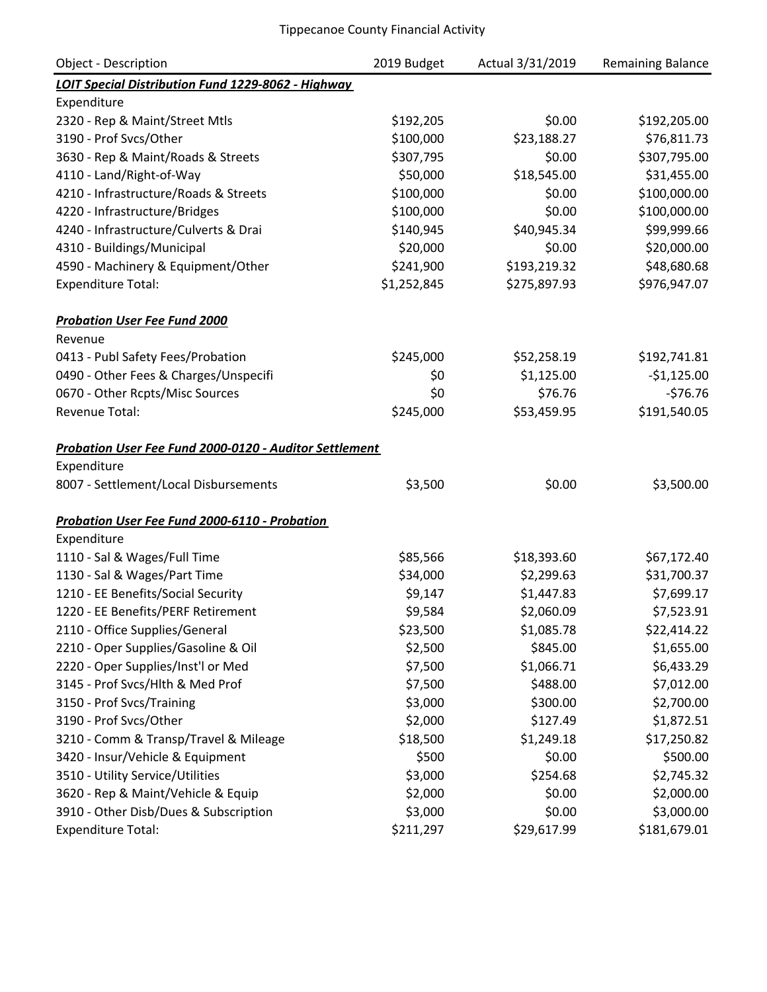| Object - Description                                          | 2019 Budget | Actual 3/31/2019 | <b>Remaining Balance</b> |
|---------------------------------------------------------------|-------------|------------------|--------------------------|
| LOIT Special Distribution Fund 1229-8062 - Highway            |             |                  |                          |
| Expenditure                                                   |             |                  |                          |
| 2320 - Rep & Maint/Street Mtls                                | \$192,205   | \$0.00           | \$192,205.00             |
| 3190 - Prof Svcs/Other                                        | \$100,000   | \$23,188.27      | \$76,811.73              |
| 3630 - Rep & Maint/Roads & Streets                            | \$307,795   | \$0.00           | \$307,795.00             |
| 4110 - Land/Right-of-Way                                      | \$50,000    | \$18,545.00      | \$31,455.00              |
| 4210 - Infrastructure/Roads & Streets                         | \$100,000   | \$0.00           | \$100,000.00             |
| 4220 - Infrastructure/Bridges                                 | \$100,000   | \$0.00           | \$100,000.00             |
| 4240 - Infrastructure/Culverts & Drai                         | \$140,945   | \$40,945.34      | \$99,999.66              |
| 4310 - Buildings/Municipal                                    | \$20,000    | \$0.00           | \$20,000.00              |
| 4590 - Machinery & Equipment/Other                            | \$241,900   | \$193,219.32     | \$48,680.68              |
| <b>Expenditure Total:</b>                                     | \$1,252,845 | \$275,897.93     | \$976,947.07             |
| <b>Probation User Fee Fund 2000</b>                           |             |                  |                          |
| Revenue                                                       |             |                  |                          |
| 0413 - Publ Safety Fees/Probation                             | \$245,000   | \$52,258.19      | \$192,741.81             |
| 0490 - Other Fees & Charges/Unspecifi                         | \$0         | \$1,125.00       | $-$1,125.00$             |
| 0670 - Other Rcpts/Misc Sources                               | \$0         | \$76.76          | $-576.76$                |
| <b>Revenue Total:</b>                                         | \$245,000   | \$53,459.95      | \$191,540.05             |
| <b>Probation User Fee Fund 2000-0120 - Auditor Settlement</b> |             |                  |                          |
| Expenditure                                                   |             |                  |                          |
| 8007 - Settlement/Local Disbursements                         | \$3,500     | \$0.00           | \$3,500.00               |
| Probation User Fee Fund 2000-6110 - Probation                 |             |                  |                          |
| Expenditure                                                   |             |                  |                          |
| 1110 - Sal & Wages/Full Time                                  | \$85,566    | \$18,393.60      | \$67,172.40              |
| 1130 - Sal & Wages/Part Time                                  | \$34,000    | \$2,299.63       | \$31,700.37              |
| 1210 - EE Benefits/Social Security                            | \$9,147     | \$1,447.83       | \$7,699.17               |
| 1220 - EE Benefits/PERF Retirement                            | \$9,584     | \$2,060.09       | \$7,523.91               |
| 2110 - Office Supplies/General                                | \$23,500    | \$1,085.78       | \$22,414.22              |
| 2210 - Oper Supplies/Gasoline & Oil                           | \$2,500     | \$845.00         | \$1,655.00               |
| 2220 - Oper Supplies/Inst'l or Med                            | \$7,500     | \$1,066.71       | \$6,433.29               |
| 3145 - Prof Svcs/Hlth & Med Prof                              | \$7,500     | \$488.00         | \$7,012.00               |
| 3150 - Prof Svcs/Training                                     | \$3,000     | \$300.00         | \$2,700.00               |
| 3190 - Prof Svcs/Other                                        | \$2,000     | \$127.49         | \$1,872.51               |
| 3210 - Comm & Transp/Travel & Mileage                         | \$18,500    | \$1,249.18       | \$17,250.82              |
| 3420 - Insur/Vehicle & Equipment                              | \$500       | \$0.00           | \$500.00                 |
| 3510 - Utility Service/Utilities                              | \$3,000     | \$254.68         | \$2,745.32               |
| 3620 - Rep & Maint/Vehicle & Equip                            | \$2,000     | \$0.00           | \$2,000.00               |
| 3910 - Other Disb/Dues & Subscription                         | \$3,000     | \$0.00           | \$3,000.00               |
| <b>Expenditure Total:</b>                                     | \$211,297   | \$29,617.99      | \$181,679.01             |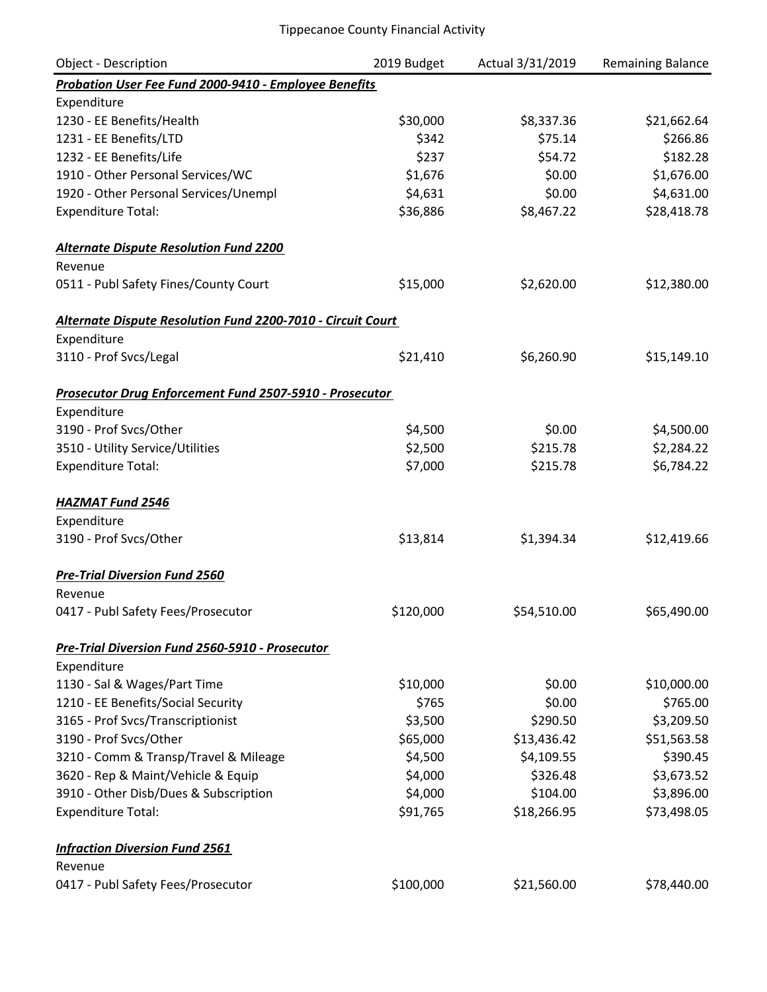| <b>Object - Description</b>                                 | 2019 Budget | Actual 3/31/2019 | Remaining Balance |
|-------------------------------------------------------------|-------------|------------------|-------------------|
| Probation User Fee Fund 2000-9410 - Employee Benefits       |             |                  |                   |
| Expenditure                                                 |             |                  |                   |
| 1230 - EE Benefits/Health                                   | \$30,000    | \$8,337.36       | \$21,662.64       |
| 1231 - EE Benefits/LTD                                      | \$342       | \$75.14          | \$266.86          |
| 1232 - EE Benefits/Life                                     | \$237       | \$54.72          | \$182.28          |
| 1910 - Other Personal Services/WC                           | \$1,676     | \$0.00           | \$1,676.00        |
| 1920 - Other Personal Services/Unempl                       | \$4,631     | \$0.00           | \$4,631.00        |
| <b>Expenditure Total:</b>                                   | \$36,886    | \$8,467.22       | \$28,418.78       |
| <b>Alternate Dispute Resolution Fund 2200</b>               |             |                  |                   |
| Revenue                                                     |             |                  |                   |
| 0511 - Publ Safety Fines/County Court                       | \$15,000    | \$2,620.00       | \$12,380.00       |
| Alternate Dispute Resolution Fund 2200-7010 - Circuit Court |             |                  |                   |
| Expenditure                                                 |             |                  |                   |
| 3110 - Prof Svcs/Legal                                      | \$21,410    | \$6,260.90       | \$15,149.10       |
| Prosecutor Drug Enforcement Fund 2507-5910 - Prosecutor     |             |                  |                   |
| Expenditure                                                 |             |                  |                   |
| 3190 - Prof Svcs/Other                                      | \$4,500     | \$0.00           | \$4,500.00        |
| 3510 - Utility Service/Utilities                            | \$2,500     | \$215.78         | \$2,284.22        |
| <b>Expenditure Total:</b>                                   | \$7,000     | \$215.78         | \$6,784.22        |
| <b>HAZMAT Fund 2546</b>                                     |             |                  |                   |
| Expenditure                                                 |             |                  |                   |
| 3190 - Prof Svcs/Other                                      | \$13,814    | \$1,394.34       | \$12,419.66       |
| <b>Pre-Trial Diversion Fund 2560</b>                        |             |                  |                   |
| Revenue                                                     |             |                  |                   |
| 0417 - Publ Safety Fees/Prosecutor                          | \$120,000   | \$54,510.00      | \$65,490.00       |
| Pre-Trial Diversion Fund 2560-5910 - Prosecutor             |             |                  |                   |
| Expenditure                                                 |             |                  |                   |
| 1130 - Sal & Wages/Part Time                                | \$10,000    | \$0.00           | \$10,000.00       |
| 1210 - EE Benefits/Social Security                          | \$765       | \$0.00           | \$765.00          |
| 3165 - Prof Svcs/Transcriptionist                           | \$3,500     | \$290.50         | \$3,209.50        |
| 3190 - Prof Svcs/Other                                      | \$65,000    | \$13,436.42      | \$51,563.58       |
| 3210 - Comm & Transp/Travel & Mileage                       | \$4,500     | \$4,109.55       | \$390.45          |
| 3620 - Rep & Maint/Vehicle & Equip                          | \$4,000     | \$326.48         | \$3,673.52        |
| 3910 - Other Disb/Dues & Subscription                       | \$4,000     | \$104.00         | \$3,896.00        |
| <b>Expenditure Total:</b>                                   | \$91,765    | \$18,266.95      | \$73,498.05       |
| <b>Infraction Diversion Fund 2561</b>                       |             |                  |                   |
| Revenue                                                     |             |                  |                   |
| 0417 - Publ Safety Fees/Prosecutor                          | \$100,000   | \$21,560.00      | \$78,440.00       |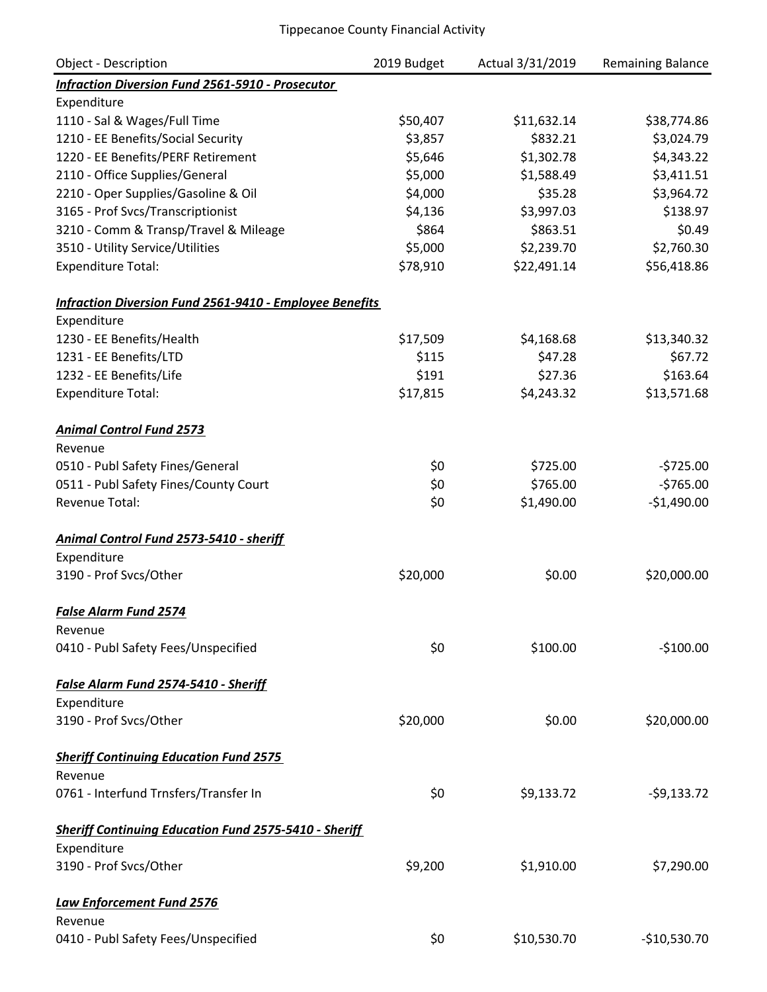| <b>Object - Description</b>                                    | 2019 Budget | Actual 3/31/2019 | Remaining Balance |
|----------------------------------------------------------------|-------------|------------------|-------------------|
| <b>Infraction Diversion Fund 2561-5910 - Prosecutor</b>        |             |                  |                   |
| Expenditure                                                    |             |                  |                   |
| 1110 - Sal & Wages/Full Time                                   | \$50,407    | \$11,632.14      | \$38,774.86       |
| 1210 - EE Benefits/Social Security                             | \$3,857     | \$832.21         | \$3,024.79        |
| 1220 - EE Benefits/PERF Retirement                             | \$5,646     | \$1,302.78       | \$4,343.22        |
| 2110 - Office Supplies/General                                 | \$5,000     | \$1,588.49       | \$3,411.51        |
| 2210 - Oper Supplies/Gasoline & Oil                            | \$4,000     | \$35.28          | \$3,964.72        |
| 3165 - Prof Svcs/Transcriptionist                              | \$4,136     | \$3,997.03       | \$138.97          |
| 3210 - Comm & Transp/Travel & Mileage                          | \$864       | \$863.51         | \$0.49            |
| 3510 - Utility Service/Utilities                               | \$5,000     | \$2,239.70       | \$2,760.30        |
| <b>Expenditure Total:</b>                                      | \$78,910    | \$22,491.14      | \$56,418.86       |
| <b>Infraction Diversion Fund 2561-9410 - Employee Benefits</b> |             |                  |                   |
| Expenditure                                                    |             |                  |                   |
| 1230 - EE Benefits/Health                                      | \$17,509    | \$4,168.68       | \$13,340.32       |
| 1231 - EE Benefits/LTD                                         | \$115       | \$47.28          | \$67.72           |
| 1232 - EE Benefits/Life                                        | \$191       | \$27.36          | \$163.64          |
| <b>Expenditure Total:</b>                                      | \$17,815    | \$4,243.32       | \$13,571.68       |
| <b>Animal Control Fund 2573</b>                                |             |                  |                   |
| Revenue                                                        |             |                  |                   |
| 0510 - Publ Safety Fines/General                               | \$0         | \$725.00         | $-5725.00$        |
| 0511 - Publ Safety Fines/County Court                          | \$0         | \$765.00         | $-5765.00$        |
| <b>Revenue Total:</b>                                          | \$0         | \$1,490.00       | $-$1,490.00$      |
| Animal Control Fund 2573-5410 - sheriff                        |             |                  |                   |
| Expenditure                                                    |             |                  |                   |
| 3190 - Prof Svcs/Other                                         | \$20,000    | \$0.00           | \$20,000.00       |
| False Alarm Fund 2574                                          |             |                  |                   |
| Revenue                                                        |             |                  |                   |
| 0410 - Publ Safety Fees/Unspecified                            | \$0         | \$100.00         | $-$100.00$        |
| False Alarm Fund 2574-5410 - Sheriff                           |             |                  |                   |
| Expenditure                                                    |             |                  |                   |
| 3190 - Prof Svcs/Other                                         | \$20,000    | \$0.00           | \$20,000.00       |
| <b>Sheriff Continuing Education Fund 2575</b>                  |             |                  |                   |
| Revenue                                                        |             |                  |                   |
| 0761 - Interfund Trnsfers/Transfer In                          | \$0         | \$9,133.72       | $-59,133.72$      |
| <b>Sheriff Continuing Education Fund 2575-5410 - Sheriff</b>   |             |                  |                   |
| Expenditure                                                    |             |                  |                   |
| 3190 - Prof Svcs/Other                                         | \$9,200     | \$1,910.00       | \$7,290.00        |
| Law Enforcement Fund 2576                                      |             |                  |                   |
| Revenue                                                        |             |                  |                   |
| 0410 - Publ Safety Fees/Unspecified                            | \$0         | \$10,530.70      | $-$10,530.70$     |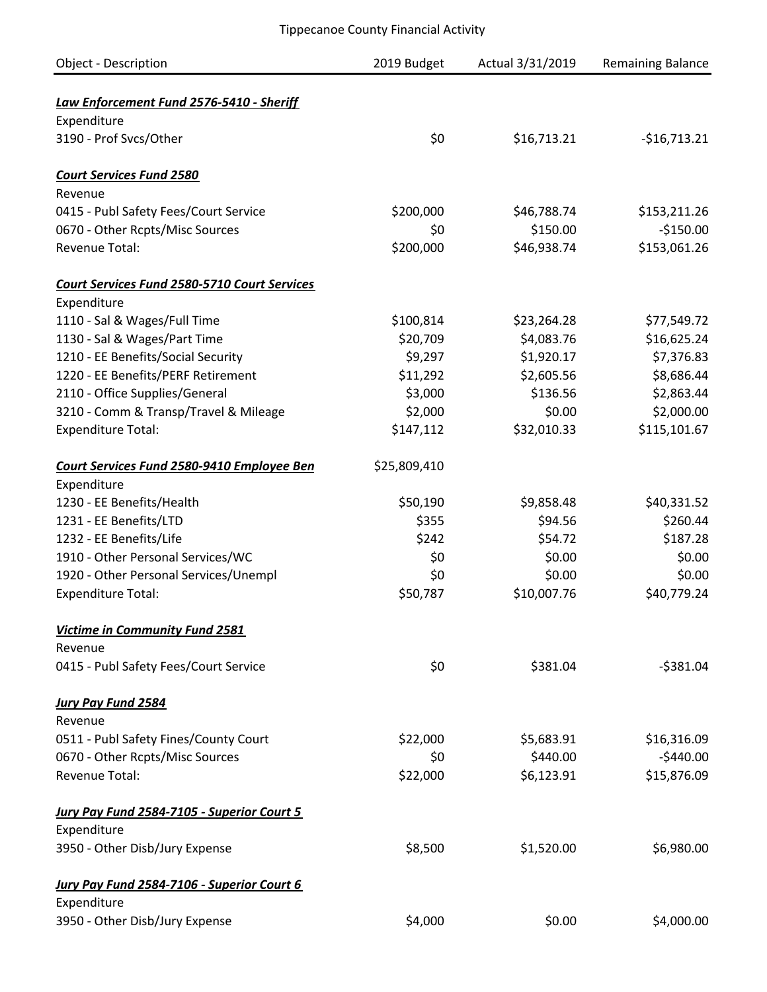| <b>Object - Description</b>                             | 2019 Budget  | Actual 3/31/2019 | <b>Remaining Balance</b> |
|---------------------------------------------------------|--------------|------------------|--------------------------|
|                                                         |              |                  |                          |
| Law Enforcement Fund 2576-5410 - Sheriff<br>Expenditure |              |                  |                          |
| 3190 - Prof Svcs/Other                                  | \$0          | \$16,713.21      | $-$16,713.21$            |
|                                                         |              |                  |                          |
| <b>Court Services Fund 2580</b>                         |              |                  |                          |
| Revenue                                                 |              |                  |                          |
| 0415 - Publ Safety Fees/Court Service                   | \$200,000    | \$46,788.74      | \$153,211.26             |
| 0670 - Other Rcpts/Misc Sources                         | \$0          | \$150.00         | $-$150.00$               |
| <b>Revenue Total:</b>                                   | \$200,000    | \$46,938.74      | \$153,061.26             |
| <b>Court Services Fund 2580-5710 Court Services</b>     |              |                  |                          |
| Expenditure                                             |              |                  |                          |
| 1110 - Sal & Wages/Full Time                            | \$100,814    | \$23,264.28      | \$77,549.72              |
| 1130 - Sal & Wages/Part Time                            | \$20,709     | \$4,083.76       | \$16,625.24              |
| 1210 - EE Benefits/Social Security                      | \$9,297      | \$1,920.17       | \$7,376.83               |
| 1220 - EE Benefits/PERF Retirement                      | \$11,292     | \$2,605.56       | \$8,686.44               |
| 2110 - Office Supplies/General                          | \$3,000      | \$136.56         | \$2,863.44               |
| 3210 - Comm & Transp/Travel & Mileage                   | \$2,000      | \$0.00           | \$2,000.00               |
| <b>Expenditure Total:</b>                               | \$147,112    | \$32,010.33      | \$115,101.67             |
| <b>Court Services Fund 2580-9410 Employee Ben</b>       | \$25,809,410 |                  |                          |
| Expenditure                                             |              |                  |                          |
| 1230 - EE Benefits/Health                               | \$50,190     | \$9,858.48       | \$40,331.52              |
| 1231 - EE Benefits/LTD                                  | \$355        | \$94.56          | \$260.44                 |
| 1232 - EE Benefits/Life                                 | \$242        | \$54.72          | \$187.28                 |
| 1910 - Other Personal Services/WC                       | \$0          | \$0.00           | \$0.00                   |
| 1920 - Other Personal Services/Unempl                   | \$0          | \$0.00           | \$0.00                   |
| <b>Expenditure Total:</b>                               | \$50,787     | \$10,007.76      | \$40,779.24              |
| Victime in Community Fund 2581                          |              |                  |                          |
| Revenue                                                 |              |                  |                          |
| 0415 - Publ Safety Fees/Court Service                   | \$0          | \$381.04         | $-5381.04$               |
| <b>Jury Pay Fund 2584</b>                               |              |                  |                          |
| Revenue                                                 |              |                  |                          |
| 0511 - Publ Safety Fines/County Court                   | \$22,000     | \$5,683.91       | \$16,316.09              |
| 0670 - Other Rcpts/Misc Sources                         | \$0          | \$440.00         | $-$440.00$               |
| <b>Revenue Total:</b>                                   | \$22,000     | \$6,123.91       | \$15,876.09              |
| <b>Jury Pay Fund 2584-7105 - Superior Court 5</b>       |              |                  |                          |
| Expenditure                                             |              |                  |                          |
| 3950 - Other Disb/Jury Expense                          | \$8,500      | \$1,520.00       | \$6,980.00               |
| Jury Pay Fund 2584-7106 - Superior Court 6              |              |                  |                          |
| Expenditure                                             |              |                  |                          |
| 3950 - Other Disb/Jury Expense                          | \$4,000      | \$0.00           | \$4,000.00               |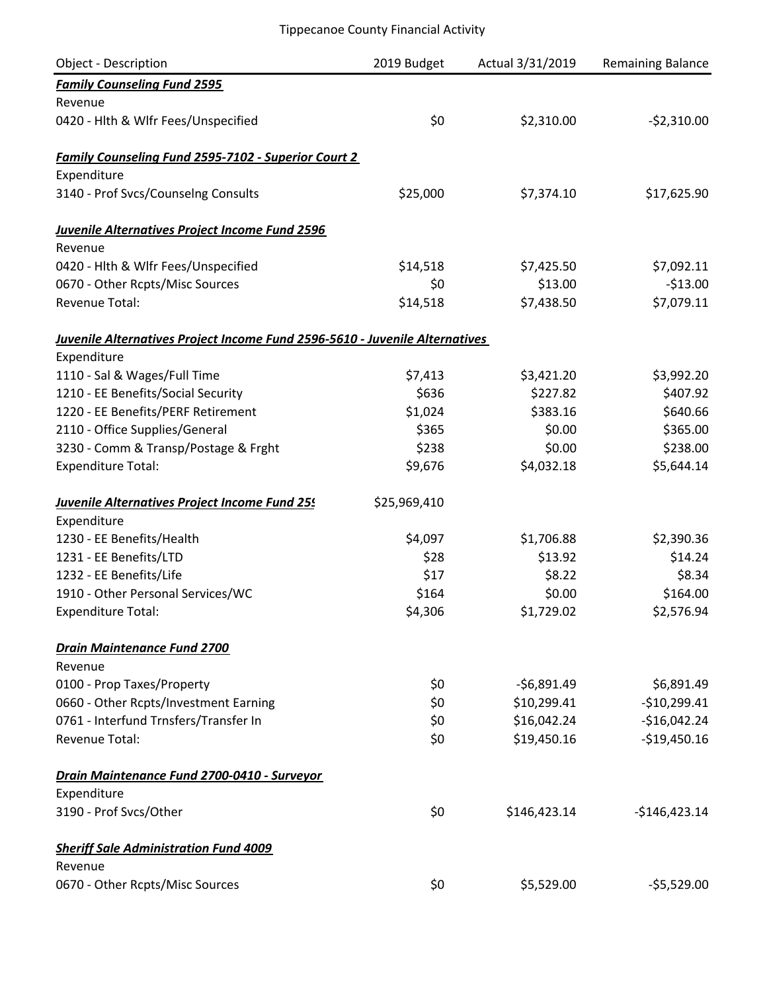| Object - Description                                                        | 2019 Budget  | Actual 3/31/2019 | Remaining Balance |
|-----------------------------------------------------------------------------|--------------|------------------|-------------------|
| <b>Family Counseling Fund 2595</b>                                          |              |                  |                   |
| Revenue                                                                     |              |                  |                   |
| 0420 - Hlth & Wlfr Fees/Unspecified                                         | \$0          | \$2,310.00       | $-52,310.00$      |
| <b>Family Counseling Fund 2595-7102 - Superior Court 2</b>                  |              |                  |                   |
| Expenditure                                                                 |              |                  |                   |
| 3140 - Prof Svcs/Counselng Consults                                         | \$25,000     | \$7,374.10       | \$17,625.90       |
| Juvenile Alternatives Project Income Fund 2596                              |              |                  |                   |
| Revenue                                                                     |              |                  |                   |
| 0420 - Hlth & Wlfr Fees/Unspecified                                         | \$14,518     | \$7,425.50       | \$7,092.11        |
| 0670 - Other Rcpts/Misc Sources                                             | \$0          | \$13.00          | $-$13.00$         |
| Revenue Total:                                                              | \$14,518     | \$7,438.50       | \$7,079.11        |
| Juvenile Alternatives Project Income Fund 2596-5610 - Juvenile Alternatives |              |                  |                   |
| Expenditure                                                                 |              |                  |                   |
| 1110 - Sal & Wages/Full Time                                                | \$7,413      | \$3,421.20       | \$3,992.20        |
| 1210 - EE Benefits/Social Security                                          | \$636        | \$227.82         | \$407.92          |
| 1220 - EE Benefits/PERF Retirement                                          | \$1,024      | \$383.16         | \$640.66          |
| 2110 - Office Supplies/General                                              | \$365        | \$0.00           | \$365.00          |
| 3230 - Comm & Transp/Postage & Frght                                        | \$238        | \$0.00           | \$238.00          |
| <b>Expenditure Total:</b>                                                   | \$9,676      | \$4,032.18       | \$5,644.14        |
| Juvenile Alternatives Project Income Fund 255                               | \$25,969,410 |                  |                   |
| Expenditure                                                                 |              |                  |                   |
| 1230 - EE Benefits/Health                                                   | \$4,097      | \$1,706.88       | \$2,390.36        |
| 1231 - EE Benefits/LTD                                                      | \$28         | \$13.92          | \$14.24           |
| 1232 - EE Benefits/Life                                                     | \$17         | \$8.22           | \$8.34            |
| 1910 - Other Personal Services/WC                                           | \$164        | \$0.00           | \$164.00          |
| <b>Expenditure Total:</b>                                                   | \$4,306      | \$1,729.02       | \$2,576.94        |
| <b>Drain Maintenance Fund 2700</b>                                          |              |                  |                   |
| Revenue                                                                     |              |                  |                   |
| 0100 - Prop Taxes/Property                                                  | \$0          | $-56,891.49$     | \$6,891.49        |
| 0660 - Other Rcpts/Investment Earning                                       | \$0          | \$10,299.41      | $-$10,299.41$     |
| 0761 - Interfund Trnsfers/Transfer In                                       | \$0          | \$16,042.24      | $-$16,042.24$     |
| Revenue Total:                                                              | \$0          | \$19,450.16      | $-$19,450.16$     |
| Drain Maintenance Fund 2700-0410 - Surveyor                                 |              |                  |                   |
| Expenditure                                                                 |              |                  |                   |
| 3190 - Prof Svcs/Other                                                      | \$0          | \$146,423.14     | $-$146,423.14$    |
| <b>Sheriff Sale Administration Fund 4009</b>                                |              |                  |                   |
| Revenue                                                                     |              |                  |                   |
| 0670 - Other Rcpts/Misc Sources                                             | \$0          | \$5,529.00       | $-55,529.00$      |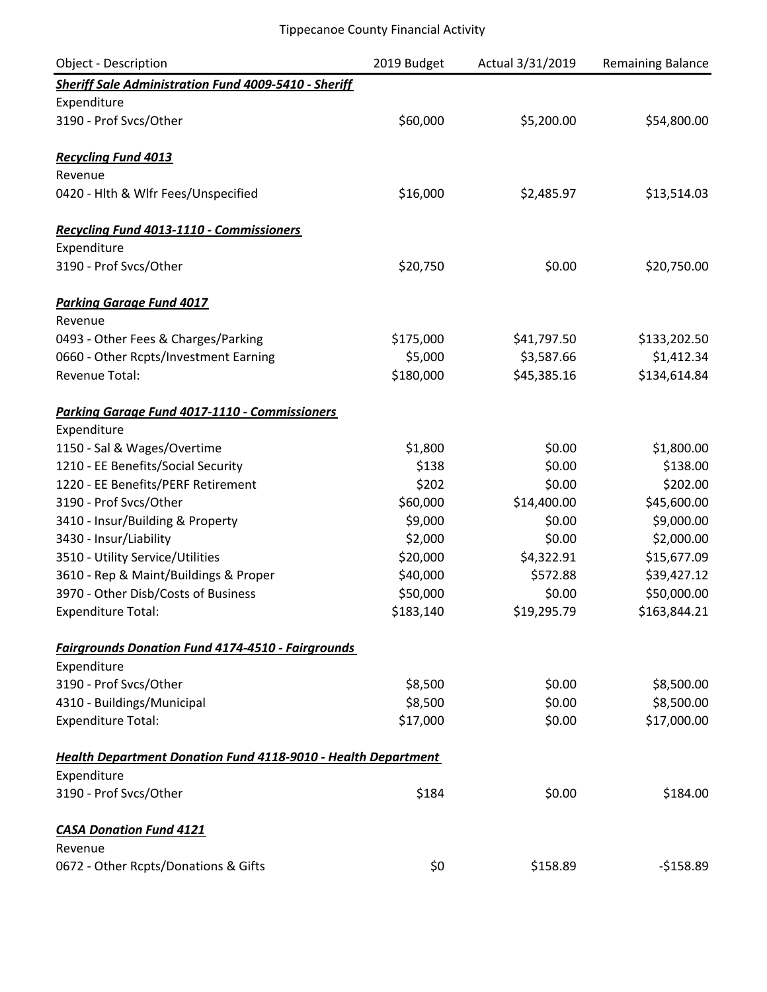| <b>Object - Description</b>                                   | 2019 Budget | Actual 3/31/2019 | <b>Remaining Balance</b> |
|---------------------------------------------------------------|-------------|------------------|--------------------------|
| <b>Sheriff Sale Administration Fund 4009-5410 - Sheriff</b>   |             |                  |                          |
| Expenditure                                                   |             |                  |                          |
| 3190 - Prof Svcs/Other                                        | \$60,000    | \$5,200.00       | \$54,800.00              |
| <b>Recycling Fund 4013</b>                                    |             |                  |                          |
| Revenue                                                       |             |                  |                          |
| 0420 - Hlth & Wlfr Fees/Unspecified                           | \$16,000    | \$2,485.97       | \$13,514.03              |
| Recycling Fund 4013-1110 - Commissioners                      |             |                  |                          |
| Expenditure                                                   |             |                  |                          |
| 3190 - Prof Svcs/Other                                        | \$20,750    | \$0.00           | \$20,750.00              |
| <b>Parking Garage Fund 4017</b>                               |             |                  |                          |
| Revenue                                                       |             |                  |                          |
| 0493 - Other Fees & Charges/Parking                           | \$175,000   | \$41,797.50      | \$133,202.50             |
| 0660 - Other Rcpts/Investment Earning                         | \$5,000     | \$3,587.66       | \$1,412.34               |
| Revenue Total:                                                | \$180,000   | \$45,385.16      | \$134,614.84             |
| <b>Parking Garage Fund 4017-1110 - Commissioners</b>          |             |                  |                          |
| Expenditure                                                   |             |                  |                          |
| 1150 - Sal & Wages/Overtime                                   | \$1,800     | \$0.00           | \$1,800.00               |
| 1210 - EE Benefits/Social Security                            | \$138       | \$0.00           | \$138.00                 |
| 1220 - EE Benefits/PERF Retirement                            | \$202       | \$0.00           | \$202.00                 |
| 3190 - Prof Svcs/Other                                        | \$60,000    | \$14,400.00      | \$45,600.00              |
| 3410 - Insur/Building & Property                              | \$9,000     | \$0.00           | \$9,000.00               |
| 3430 - Insur/Liability                                        | \$2,000     | \$0.00           | \$2,000.00               |
| 3510 - Utility Service/Utilities                              | \$20,000    | \$4,322.91       | \$15,677.09              |
| 3610 - Rep & Maint/Buildings & Proper                         | \$40,000    | \$572.88         | \$39,427.12              |
| 3970 - Other Disb/Costs of Business                           | \$50,000    | \$0.00           | \$50,000.00              |
| <b>Expenditure Total:</b>                                     | \$183,140   | \$19,295.79      | \$163,844.21             |
| <b>Fairgrounds Donation Fund 4174-4510 - Fairgrounds</b>      |             |                  |                          |
| Expenditure                                                   |             |                  |                          |
| 3190 - Prof Svcs/Other                                        | \$8,500     | \$0.00           | \$8,500.00               |
| 4310 - Buildings/Municipal                                    | \$8,500     | \$0.00           | \$8,500.00               |
| <b>Expenditure Total:</b>                                     | \$17,000    | \$0.00           | \$17,000.00              |
| Health Department Donation Fund 4118-9010 - Health Department |             |                  |                          |
| Expenditure                                                   |             |                  |                          |
| 3190 - Prof Svcs/Other                                        | \$184       | \$0.00           | \$184.00                 |
| <b>CASA Donation Fund 4121</b>                                |             |                  |                          |
| Revenue                                                       |             |                  |                          |
| 0672 - Other Rcpts/Donations & Gifts                          | \$0         | \$158.89         | $-5158.89$               |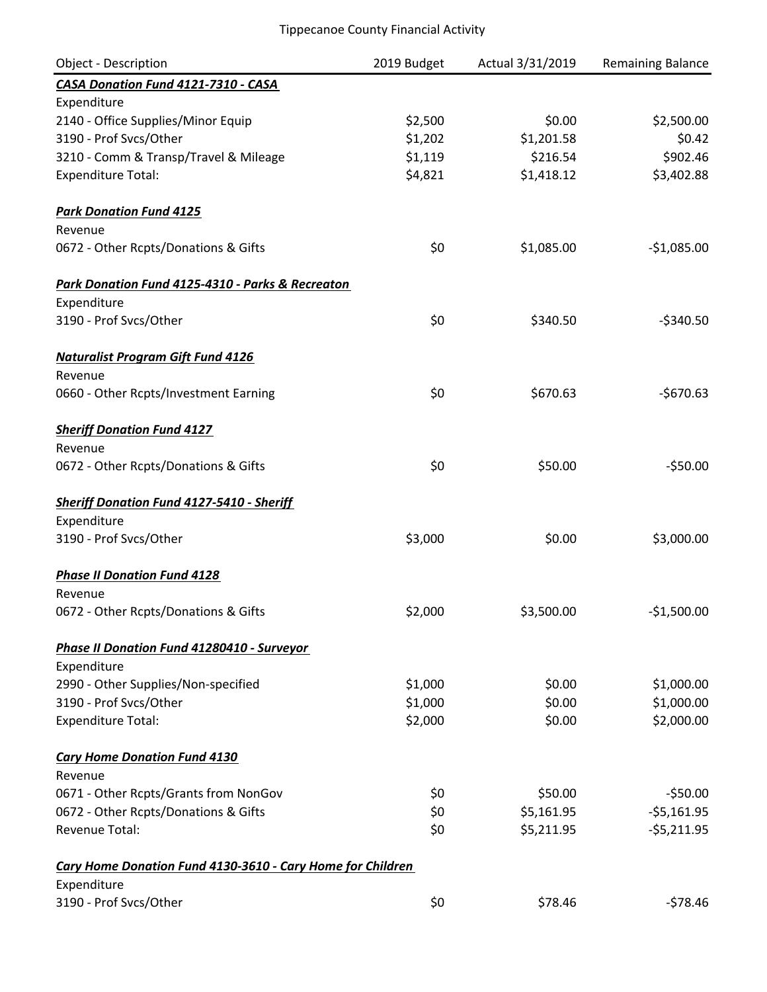| <b>Object - Description</b>                                | 2019 Budget | Actual 3/31/2019 | Remaining Balance |
|------------------------------------------------------------|-------------|------------------|-------------------|
| CASA Donation Fund 4121-7310 - CASA                        |             |                  |                   |
| Expenditure                                                |             |                  |                   |
| 2140 - Office Supplies/Minor Equip                         | \$2,500     | \$0.00           | \$2,500.00        |
| 3190 - Prof Svcs/Other                                     | \$1,202     | \$1,201.58       | \$0.42            |
| 3210 - Comm & Transp/Travel & Mileage                      | \$1,119     | \$216.54         | \$902.46          |
| <b>Expenditure Total:</b>                                  | \$4,821     | \$1,418.12       | \$3,402.88        |
| <b>Park Donation Fund 4125</b>                             |             |                  |                   |
| Revenue                                                    |             |                  |                   |
| 0672 - Other Rcpts/Donations & Gifts                       | \$0         | \$1,085.00       | $-$1,085.00$      |
| Park Donation Fund 4125-4310 - Parks & Recreaton           |             |                  |                   |
| Expenditure                                                |             |                  |                   |
| 3190 - Prof Svcs/Other                                     | \$0         | \$340.50         | $-$340.50$        |
| <b>Naturalist Program Gift Fund 4126</b>                   |             |                  |                   |
| Revenue                                                    |             |                  |                   |
| 0660 - Other Rcpts/Investment Earning                      | \$0         | \$670.63         | $-$670.63$        |
| <b>Sheriff Donation Fund 4127</b>                          |             |                  |                   |
| Revenue                                                    |             |                  |                   |
| 0672 - Other Rcpts/Donations & Gifts                       | \$0         | \$50.00          | $-550.00$         |
| <b>Sheriff Donation Fund 4127-5410 - Sheriff</b>           |             |                  |                   |
| Expenditure                                                |             |                  |                   |
| 3190 - Prof Svcs/Other                                     | \$3,000     | \$0.00           | \$3,000.00        |
| <b>Phase II Donation Fund 4128</b>                         |             |                  |                   |
| Revenue                                                    |             |                  |                   |
| 0672 - Other Rcpts/Donations & Gifts                       | \$2,000     | \$3,500.00       | $-$1,500.00$      |
| Phase II Donation Fund 41280410 - Surveyor                 |             |                  |                   |
| Expenditure                                                |             |                  |                   |
| 2990 - Other Supplies/Non-specified                        | \$1,000     | \$0.00           | \$1,000.00        |
| 3190 - Prof Svcs/Other                                     | \$1,000     | \$0.00           | \$1,000.00        |
| <b>Expenditure Total:</b>                                  | \$2,000     | \$0.00           | \$2,000.00        |
| <b>Cary Home Donation Fund 4130</b>                        |             |                  |                   |
| Revenue                                                    |             |                  |                   |
| 0671 - Other Rcpts/Grants from NonGov                      | \$0         | \$50.00          | $-$50.00$         |
| 0672 - Other Rcpts/Donations & Gifts                       | \$0         | \$5,161.95       | $-55,161.95$      |
| Revenue Total:                                             | \$0         | \$5,211.95       | $-55,211.95$      |
| Cary Home Donation Fund 4130-3610 - Cary Home for Children |             |                  |                   |
| Expenditure                                                |             |                  |                   |
| 3190 - Prof Svcs/Other                                     | \$0         | \$78.46          | $-578.46$         |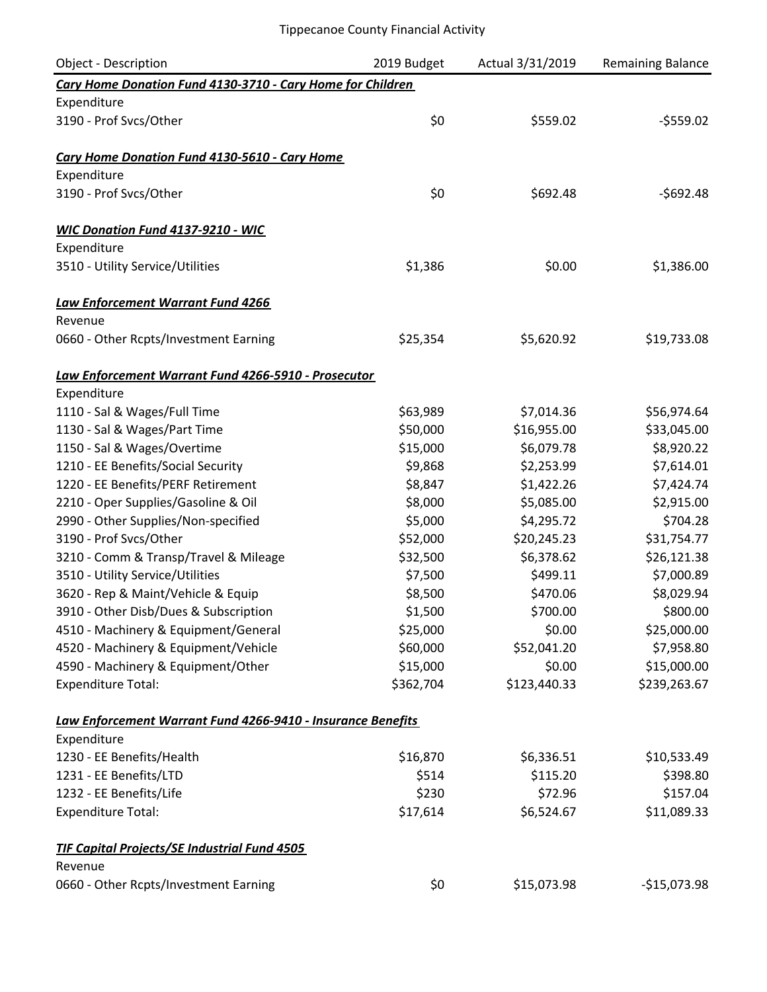| <b>Object - Description</b>                                 | 2019 Budget | Actual 3/31/2019 | <b>Remaining Balance</b> |
|-------------------------------------------------------------|-------------|------------------|--------------------------|
| Cary Home Donation Fund 4130-3710 - Cary Home for Children  |             |                  |                          |
| Expenditure                                                 |             |                  |                          |
| 3190 - Prof Svcs/Other                                      | \$0         | \$559.02         | $-5559.02$               |
| Cary Home Donation Fund 4130-5610 - Cary Home               |             |                  |                          |
| Expenditure                                                 |             |                  |                          |
| 3190 - Prof Svcs/Other                                      | \$0         | \$692.48         | $-$692.48$               |
| <b>WIC Donation Fund 4137-9210 - WIC</b>                    |             |                  |                          |
| Expenditure                                                 |             |                  |                          |
| 3510 - Utility Service/Utilities                            | \$1,386     | \$0.00           | \$1,386.00               |
| <b>Law Enforcement Warrant Fund 4266</b>                    |             |                  |                          |
| Revenue                                                     |             |                  |                          |
| 0660 - Other Rcpts/Investment Earning                       | \$25,354    | \$5,620.92       | \$19,733.08              |
| Law Enforcement Warrant Fund 4266-5910 - Prosecutor         |             |                  |                          |
| Expenditure                                                 |             |                  |                          |
| 1110 - Sal & Wages/Full Time                                | \$63,989    | \$7,014.36       | \$56,974.64              |
| 1130 - Sal & Wages/Part Time                                | \$50,000    | \$16,955.00      | \$33,045.00              |
| 1150 - Sal & Wages/Overtime                                 | \$15,000    | \$6,079.78       | \$8,920.22               |
| 1210 - EE Benefits/Social Security                          | \$9,868     | \$2,253.99       | \$7,614.01               |
| 1220 - EE Benefits/PERF Retirement                          | \$8,847     | \$1,422.26       | \$7,424.74               |
| 2210 - Oper Supplies/Gasoline & Oil                         | \$8,000     | \$5,085.00       | \$2,915.00               |
| 2990 - Other Supplies/Non-specified                         | \$5,000     | \$4,295.72       | \$704.28                 |
| 3190 - Prof Svcs/Other                                      | \$52,000    | \$20,245.23      | \$31,754.77              |
| 3210 - Comm & Transp/Travel & Mileage                       | \$32,500    | \$6,378.62       | \$26,121.38              |
| 3510 - Utility Service/Utilities                            | \$7,500     | \$499.11         | \$7,000.89               |
| 3620 - Rep & Maint/Vehicle & Equip                          | \$8,500     | \$470.06         | \$8,029.94               |
| 3910 - Other Disb/Dues & Subscription                       | \$1,500     | \$700.00         | \$800.00                 |
| 4510 - Machinery & Equipment/General                        | \$25,000    | \$0.00           | \$25,000.00              |
| 4520 - Machinery & Equipment/Vehicle                        | \$60,000    | \$52,041.20      | \$7,958.80               |
| 4590 - Machinery & Equipment/Other                          | \$15,000    | \$0.00           | \$15,000.00              |
| <b>Expenditure Total:</b>                                   | \$362,704   | \$123,440.33     | \$239,263.67             |
| Law Enforcement Warrant Fund 4266-9410 - Insurance Benefits |             |                  |                          |
| Expenditure                                                 |             |                  |                          |
| 1230 - EE Benefits/Health                                   | \$16,870    | \$6,336.51       | \$10,533.49              |
| 1231 - EE Benefits/LTD                                      | \$514       | \$115.20         | \$398.80                 |
| 1232 - EE Benefits/Life                                     | \$230       | \$72.96          | \$157.04                 |
| <b>Expenditure Total:</b>                                   | \$17,614    | \$6,524.67       | \$11,089.33              |
| <b>TIF Capital Projects/SE Industrial Fund 4505</b>         |             |                  |                          |
| Revenue                                                     |             |                  |                          |
| 0660 - Other Rcpts/Investment Earning                       | \$0         | \$15,073.98      | $-$15,073.98$            |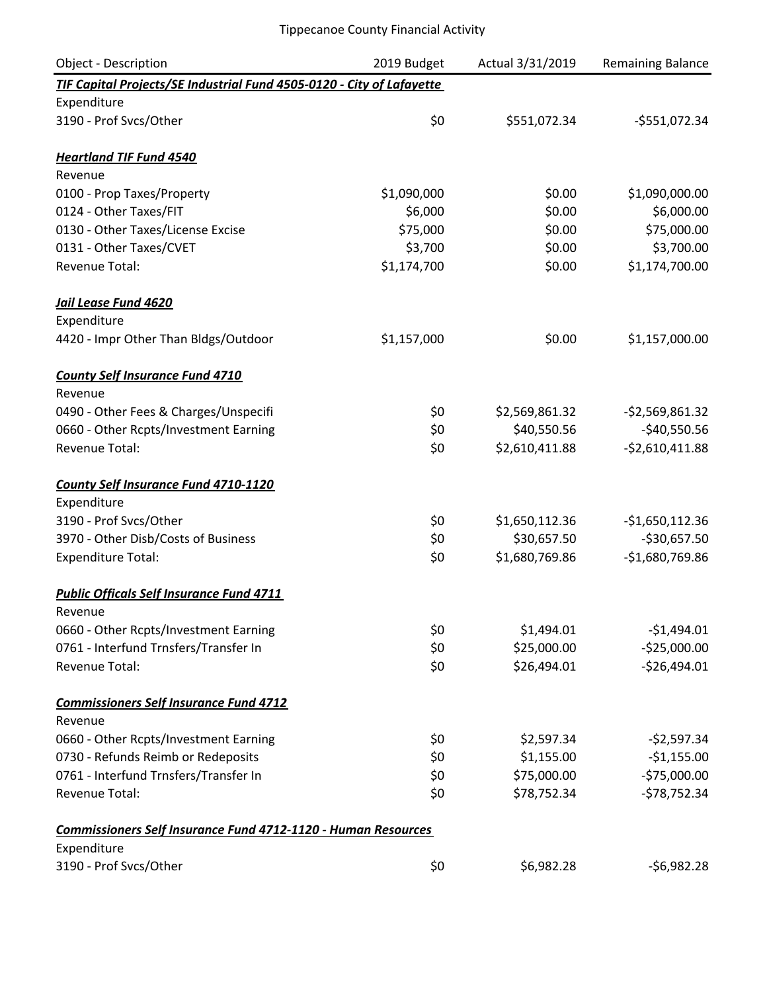| Object - Description                                                  | 2019 Budget | Actual 3/31/2019 | Remaining Balance |
|-----------------------------------------------------------------------|-------------|------------------|-------------------|
| TIF Capital Projects/SE Industrial Fund 4505-0120 - City of Lafayette |             |                  |                   |
| Expenditure                                                           |             |                  |                   |
| 3190 - Prof Svcs/Other                                                | \$0         | \$551,072.34     | $-5551,072.34$    |
| <b>Heartland TIF Fund 4540</b>                                        |             |                  |                   |
| Revenue                                                               |             |                  |                   |
| 0100 - Prop Taxes/Property                                            | \$1,090,000 | \$0.00           | \$1,090,000.00    |
| 0124 - Other Taxes/FIT                                                | \$6,000     | \$0.00           | \$6,000.00        |
| 0130 - Other Taxes/License Excise                                     | \$75,000    | \$0.00           | \$75,000.00       |
| 0131 - Other Taxes/CVET                                               | \$3,700     | \$0.00           | \$3,700.00        |
| <b>Revenue Total:</b>                                                 | \$1,174,700 | \$0.00           | \$1,174,700.00    |
| Jail Lease Fund 4620                                                  |             |                  |                   |
| Expenditure                                                           |             |                  |                   |
| 4420 - Impr Other Than Bldgs/Outdoor                                  | \$1,157,000 | \$0.00           | \$1,157,000.00    |
| <b>County Self Insurance Fund 4710</b>                                |             |                  |                   |
| Revenue                                                               |             |                  |                   |
| 0490 - Other Fees & Charges/Unspecifi                                 | \$0         | \$2,569,861.32   | $-52,569,861.32$  |
| 0660 - Other Rcpts/Investment Earning                                 | \$0         | \$40,550.56      | $-$40,550.56$     |
| Revenue Total:                                                        | \$0         | \$2,610,411.88   | $-52,610,411.88$  |
| <b>County Self Insurance Fund 4710-1120</b>                           |             |                  |                   |
| Expenditure                                                           |             |                  |                   |
| 3190 - Prof Svcs/Other                                                | \$0         | \$1,650,112.36   | $-$1,650,112.36$  |
| 3970 - Other Disb/Costs of Business                                   | \$0         | \$30,657.50      | $-$30,657.50$     |
| <b>Expenditure Total:</b>                                             | \$0         | \$1,680,769.86   | $-$1,680,769.86$  |
| <b>Public Officals Self Insurance Fund 4711</b>                       |             |                  |                   |
| Revenue                                                               |             |                  |                   |
| 0660 - Other Rcpts/Investment Earning                                 | \$0         | \$1,494.01       | $-$1,494.01$      |
| 0761 - Interfund Trnsfers/Transfer In                                 | \$0         | \$25,000.00      | $-$25,000.00$     |
| <b>Revenue Total:</b>                                                 | \$0         | \$26,494.01      | $-526,494.01$     |
| <b>Commissioners Self Insurance Fund 4712</b>                         |             |                  |                   |
| Revenue                                                               |             |                  |                   |
| 0660 - Other Rcpts/Investment Earning                                 | \$0         | \$2,597.34       | $-52,597.34$      |
| 0730 - Refunds Reimb or Redeposits                                    | \$0         | \$1,155.00       | $-$1,155.00$      |
| 0761 - Interfund Trnsfers/Transfer In                                 | \$0         | \$75,000.00      | $-575,000.00$     |
| Revenue Total:                                                        | \$0         | \$78,752.34      | $-578,752.34$     |
| <b>Commissioners Self Insurance Fund 4712-1120 - Human Resources</b>  |             |                  |                   |
| Expenditure                                                           |             |                  |                   |
| 3190 - Prof Svcs/Other                                                | \$0         | \$6,982.28       | $-56,982.28$      |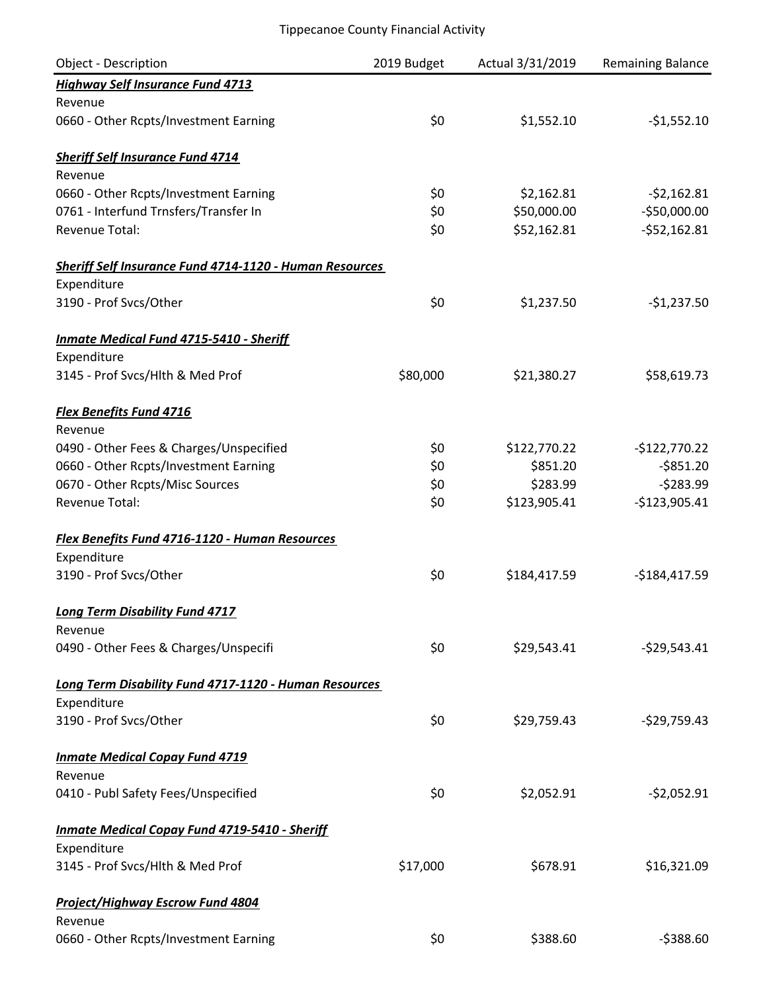| Object - Description                                           | 2019 Budget | Actual 3/31/2019 | Remaining Balance |
|----------------------------------------------------------------|-------------|------------------|-------------------|
| <b>Highway Self Insurance Fund 4713</b>                        |             |                  |                   |
| Revenue                                                        |             |                  |                   |
| 0660 - Other Rcpts/Investment Earning                          | \$0         | \$1,552.10       | $-$1,552.10$      |
| <b>Sheriff Self Insurance Fund 4714</b>                        |             |                  |                   |
| Revenue                                                        |             |                  |                   |
| 0660 - Other Rcpts/Investment Earning                          | \$0         | \$2,162.81       | $-52,162.81$      |
| 0761 - Interfund Trnsfers/Transfer In                          | \$0         | \$50,000.00      | $-$50,000.00$     |
| <b>Revenue Total:</b>                                          | \$0         | \$52,162.81      | $-552,162.81$     |
| <b>Sheriff Self Insurance Fund 4714-1120 - Human Resources</b> |             |                  |                   |
| Expenditure                                                    |             |                  |                   |
| 3190 - Prof Svcs/Other                                         | \$0         | \$1,237.50       | $-$1,237.50$      |
| <b>Inmate Medical Fund 4715-5410 - Sheriff</b>                 |             |                  |                   |
| Expenditure                                                    |             |                  |                   |
| 3145 - Prof Svcs/Hlth & Med Prof                               | \$80,000    | \$21,380.27      | \$58,619.73       |
| <b>Flex Benefits Fund 4716</b>                                 |             |                  |                   |
| Revenue                                                        |             |                  |                   |
| 0490 - Other Fees & Charges/Unspecified                        | \$0         | \$122,770.22     | $-$122,770.22$    |
| 0660 - Other Rcpts/Investment Earning                          | \$0         | \$851.20         | $-$ \$851.20      |
| 0670 - Other Rcpts/Misc Sources                                | \$0         | \$283.99         | $-5283.99$        |
| <b>Revenue Total:</b>                                          | \$0         | \$123,905.41     | $-$123,905.41$    |
| Flex Benefits Fund 4716-1120 - Human Resources                 |             |                  |                   |
| Expenditure                                                    |             |                  |                   |
| 3190 - Prof Svcs/Other                                         | \$0         | \$184,417.59     | $-$184,417.59$    |
| <b>Long Term Disability Fund 4717</b>                          |             |                  |                   |
| Revenue                                                        |             |                  |                   |
| 0490 - Other Fees & Charges/Unspecifi                          | \$0         | \$29,543.41      | $-529,543.41$     |
| Long Term Disability Fund 4717-1120 - Human Resources          |             |                  |                   |
| Expenditure                                                    |             |                  |                   |
| 3190 - Prof Svcs/Other                                         | \$0         | \$29,759.43      | $-$29,759.43$     |
| <b>Inmate Medical Copay Fund 4719</b>                          |             |                  |                   |
| Revenue                                                        |             |                  |                   |
| 0410 - Publ Safety Fees/Unspecified                            | \$0         | \$2,052.91       | $-52,052.91$      |
| <b>Inmate Medical Copay Fund 4719-5410 - Sheriff</b>           |             |                  |                   |
| Expenditure                                                    |             |                  |                   |
| 3145 - Prof Svcs/Hlth & Med Prof                               | \$17,000    | \$678.91         | \$16,321.09       |
| <b>Project/Highway Escrow Fund 4804</b>                        |             |                  |                   |
| Revenue                                                        |             |                  |                   |
| 0660 - Other Rcpts/Investment Earning                          | \$0         | \$388.60         | $-5388.60$        |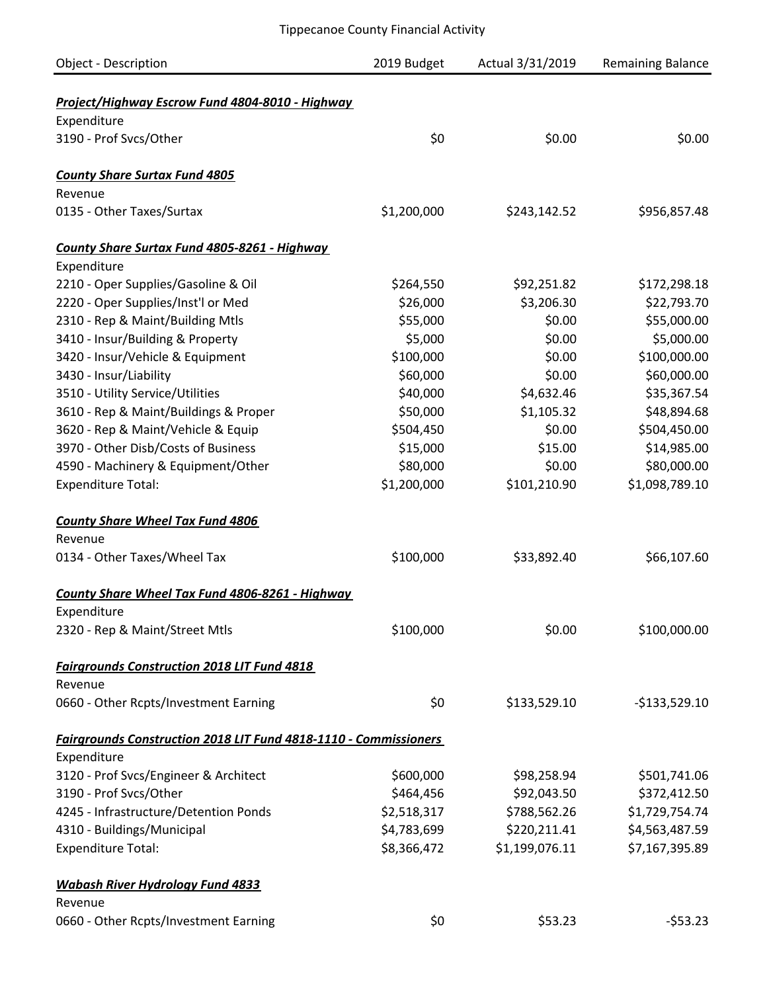| <b>Object - Description</b>                                      | 2019 Budget | Actual 3/31/2019 | <b>Remaining Balance</b> |
|------------------------------------------------------------------|-------------|------------------|--------------------------|
| Project/Highway Escrow Fund 4804-8010 - Highway                  |             |                  |                          |
| Expenditure                                                      |             |                  |                          |
| 3190 - Prof Svcs/Other                                           | \$0         | \$0.00           | \$0.00                   |
|                                                                  |             |                  |                          |
| <b>County Share Surtax Fund 4805</b>                             |             |                  |                          |
| Revenue                                                          |             |                  |                          |
| 0135 - Other Taxes/Surtax                                        | \$1,200,000 | \$243,142.52     | \$956,857.48             |
| County Share Surtax Fund 4805-8261 - Highway                     |             |                  |                          |
| Expenditure                                                      |             |                  |                          |
| 2210 - Oper Supplies/Gasoline & Oil                              | \$264,550   | \$92,251.82      | \$172,298.18             |
| 2220 - Oper Supplies/Inst'l or Med                               | \$26,000    | \$3,206.30       | \$22,793.70              |
| 2310 - Rep & Maint/Building Mtls                                 | \$55,000    | \$0.00           | \$55,000.00              |
| 3410 - Insur/Building & Property                                 | \$5,000     | \$0.00           | \$5,000.00               |
| 3420 - Insur/Vehicle & Equipment                                 | \$100,000   | \$0.00           | \$100,000.00             |
| 3430 - Insur/Liability                                           | \$60,000    | \$0.00           | \$60,000.00              |
| 3510 - Utility Service/Utilities                                 | \$40,000    | \$4,632.46       | \$35,367.54              |
| 3610 - Rep & Maint/Buildings & Proper                            | \$50,000    | \$1,105.32       | \$48,894.68              |
| 3620 - Rep & Maint/Vehicle & Equip                               | \$504,450   | \$0.00           | \$504,450.00             |
| 3970 - Other Disb/Costs of Business                              | \$15,000    | \$15.00          | \$14,985.00              |
| 4590 - Machinery & Equipment/Other                               | \$80,000    | \$0.00           | \$80,000.00              |
|                                                                  | \$1,200,000 |                  |                          |
| <b>Expenditure Total:</b>                                        |             | \$101,210.90     | \$1,098,789.10           |
| <b>County Share Wheel Tax Fund 4806</b>                          |             |                  |                          |
| Revenue                                                          |             |                  |                          |
| 0134 - Other Taxes/Wheel Tax                                     | \$100,000   | \$33,892.40      | \$66,107.60              |
| County Share Wheel Tax Fund 4806-8261 - Highway                  |             |                  |                          |
| Expenditure                                                      |             |                  |                          |
| 2320 - Rep & Maint/Street Mtls                                   | \$100,000   | \$0.00           | \$100,000.00             |
| <b>Fairgrounds Construction 2018 LIT Fund 4818</b>               |             |                  |                          |
| Revenue                                                          |             |                  |                          |
| 0660 - Other Rcpts/Investment Earning                            | \$0         | \$133,529.10     | $-$133,529.10$           |
| Fairgrounds Construction 2018 LIT Fund 4818-1110 - Commissioners |             |                  |                          |
| Expenditure                                                      |             |                  |                          |
| 3120 - Prof Svcs/Engineer & Architect                            | \$600,000   | \$98,258.94      | \$501,741.06             |
| 3190 - Prof Svcs/Other                                           | \$464,456   | \$92,043.50      | \$372,412.50             |
| 4245 - Infrastructure/Detention Ponds                            | \$2,518,317 | \$788,562.26     | \$1,729,754.74           |
| 4310 - Buildings/Municipal                                       | \$4,783,699 | \$220,211.41     | \$4,563,487.59           |
| <b>Expenditure Total:</b>                                        | \$8,366,472 | \$1,199,076.11   | \$7,167,395.89           |
|                                                                  |             |                  |                          |
| <b>Wabash River Hydrology Fund 4833</b>                          |             |                  |                          |
| Revenue                                                          |             |                  |                          |
| 0660 - Other Rcpts/Investment Earning                            | \$0         | \$53.23          | $-553.23$                |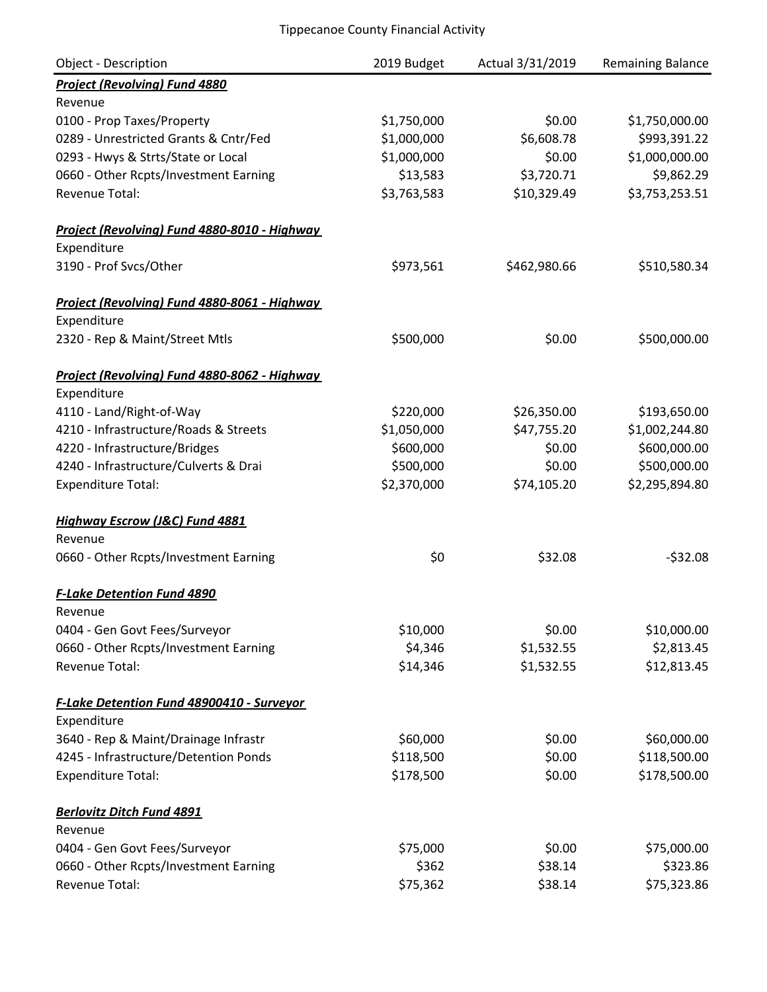| Object - Description                             | 2019 Budget | Actual 3/31/2019 | Remaining Balance |
|--------------------------------------------------|-------------|------------------|-------------------|
| <b>Project (Revolving) Fund 4880</b>             |             |                  |                   |
| Revenue                                          |             |                  |                   |
| 0100 - Prop Taxes/Property                       | \$1,750,000 | \$0.00           | \$1,750,000.00    |
| 0289 - Unrestricted Grants & Cntr/Fed            | \$1,000,000 | \$6,608.78       | \$993,391.22      |
| 0293 - Hwys & Strts/State or Local               | \$1,000,000 | \$0.00           | \$1,000,000.00    |
| 0660 - Other Rcpts/Investment Earning            | \$13,583    | \$3,720.71       | \$9,862.29        |
| <b>Revenue Total:</b>                            | \$3,763,583 | \$10,329.49      | \$3,753,253.51    |
| Project (Revolving) Fund 4880-8010 - Highway     |             |                  |                   |
| Expenditure                                      |             |                  |                   |
| 3190 - Prof Svcs/Other                           | \$973,561   | \$462,980.66     | \$510,580.34      |
| Project (Revolving) Fund 4880-8061 - Highway     |             |                  |                   |
| Expenditure                                      |             |                  |                   |
| 2320 - Rep & Maint/Street Mtls                   | \$500,000   | \$0.00           | \$500,000.00      |
| Project (Revolving) Fund 4880-8062 - Highway     |             |                  |                   |
| Expenditure                                      |             |                  |                   |
| 4110 - Land/Right-of-Way                         | \$220,000   | \$26,350.00      | \$193,650.00      |
| 4210 - Infrastructure/Roads & Streets            | \$1,050,000 | \$47,755.20      | \$1,002,244.80    |
| 4220 - Infrastructure/Bridges                    | \$600,000   | \$0.00           | \$600,000.00      |
| 4240 - Infrastructure/Culverts & Drai            | \$500,000   | \$0.00           | \$500,000.00      |
| <b>Expenditure Total:</b>                        | \$2,370,000 | \$74,105.20      | \$2,295,894.80    |
| Highway Escrow (J&C) Fund 4881                   |             |                  |                   |
| Revenue                                          |             |                  |                   |
| 0660 - Other Rcpts/Investment Earning            | \$0         | \$32.08          | $-532.08$         |
| <b>F-Lake Detention Fund 4890</b>                |             |                  |                   |
| Revenue                                          |             |                  |                   |
| 0404 - Gen Govt Fees/Surveyor                    | \$10,000    | \$0.00           | \$10,000.00       |
| 0660 - Other Rcpts/Investment Earning            | \$4,346     | \$1,532.55       | \$2,813.45        |
| <b>Revenue Total:</b>                            | \$14,346    | \$1,532.55       | \$12,813.45       |
| <b>F-Lake Detention Fund 48900410 - Surveyor</b> |             |                  |                   |
| Expenditure                                      |             |                  |                   |
| 3640 - Rep & Maint/Drainage Infrastr             | \$60,000    | \$0.00           | \$60,000.00       |
| 4245 - Infrastructure/Detention Ponds            | \$118,500   | \$0.00           | \$118,500.00      |
| <b>Expenditure Total:</b>                        | \$178,500   | \$0.00           | \$178,500.00      |
| <b>Berlovitz Ditch Fund 4891</b>                 |             |                  |                   |
| Revenue                                          |             |                  |                   |
| 0404 - Gen Govt Fees/Surveyor                    | \$75,000    | \$0.00           | \$75,000.00       |
| 0660 - Other Rcpts/Investment Earning            | \$362       | \$38.14          | \$323.86          |
| Revenue Total:                                   | \$75,362    | \$38.14          | \$75,323.86       |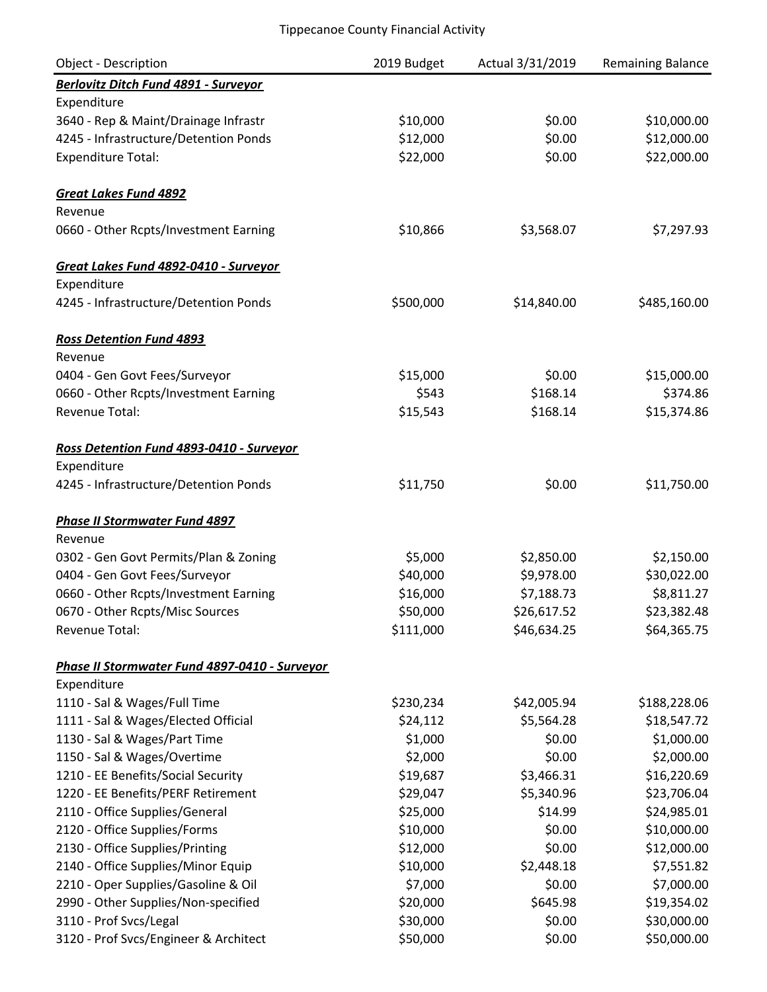| <b>Object - Description</b>                   | 2019 Budget | Actual 3/31/2019 | Remaining Balance |
|-----------------------------------------------|-------------|------------------|-------------------|
| Berlovitz Ditch Fund 4891 - Surveyor          |             |                  |                   |
| Expenditure                                   |             |                  |                   |
| 3640 - Rep & Maint/Drainage Infrastr          | \$10,000    | \$0.00           | \$10,000.00       |
| 4245 - Infrastructure/Detention Ponds         | \$12,000    | \$0.00           | \$12,000.00       |
| <b>Expenditure Total:</b>                     | \$22,000    | \$0.00           | \$22,000.00       |
| <b>Great Lakes Fund 4892</b>                  |             |                  |                   |
| Revenue                                       |             |                  |                   |
| 0660 - Other Rcpts/Investment Earning         | \$10,866    | \$3,568.07       | \$7,297.93        |
| Great Lakes Fund 4892-0410 - Surveyor         |             |                  |                   |
| Expenditure                                   |             |                  |                   |
| 4245 - Infrastructure/Detention Ponds         | \$500,000   | \$14,840.00      | \$485,160.00      |
| <b>Ross Detention Fund 4893</b>               |             |                  |                   |
| Revenue                                       |             |                  |                   |
| 0404 - Gen Govt Fees/Surveyor                 | \$15,000    | \$0.00           | \$15,000.00       |
| 0660 - Other Rcpts/Investment Earning         | \$543       | \$168.14         | \$374.86          |
| Revenue Total:                                | \$15,543    | \$168.14         | \$15,374.86       |
| Ross Detention Fund 4893-0410 - Surveyor      |             |                  |                   |
| Expenditure                                   |             |                  |                   |
| 4245 - Infrastructure/Detention Ponds         | \$11,750    | \$0.00           | \$11,750.00       |
| <b>Phase II Stormwater Fund 4897</b>          |             |                  |                   |
| Revenue                                       |             |                  |                   |
| 0302 - Gen Govt Permits/Plan & Zoning         | \$5,000     | \$2,850.00       | \$2,150.00        |
| 0404 - Gen Govt Fees/Surveyor                 | \$40,000    | \$9,978.00       | \$30,022.00       |
| 0660 - Other Rcpts/Investment Earning         | \$16,000    | \$7,188.73       | \$8,811.27        |
| 0670 - Other Rcpts/Misc Sources               | \$50,000    | \$26,617.52      | \$23,382.48       |
| Revenue Total:                                | \$111,000   | \$46,634.25      | \$64,365.75       |
| Phase II Stormwater Fund 4897-0410 - Surveyor |             |                  |                   |
| Expenditure                                   |             |                  |                   |
| 1110 - Sal & Wages/Full Time                  | \$230,234   | \$42,005.94      | \$188,228.06      |
| 1111 - Sal & Wages/Elected Official           | \$24,112    | \$5,564.28       | \$18,547.72       |
| 1130 - Sal & Wages/Part Time                  | \$1,000     | \$0.00           | \$1,000.00        |
| 1150 - Sal & Wages/Overtime                   | \$2,000     | \$0.00           | \$2,000.00        |
| 1210 - EE Benefits/Social Security            | \$19,687    | \$3,466.31       | \$16,220.69       |
| 1220 - EE Benefits/PERF Retirement            | \$29,047    | \$5,340.96       | \$23,706.04       |
| 2110 - Office Supplies/General                | \$25,000    | \$14.99          | \$24,985.01       |
| 2120 - Office Supplies/Forms                  | \$10,000    | \$0.00           | \$10,000.00       |
| 2130 - Office Supplies/Printing               | \$12,000    | \$0.00           | \$12,000.00       |
| 2140 - Office Supplies/Minor Equip            | \$10,000    | \$2,448.18       | \$7,551.82        |
| 2210 - Oper Supplies/Gasoline & Oil           | \$7,000     | \$0.00           | \$7,000.00        |
| 2990 - Other Supplies/Non-specified           | \$20,000    | \$645.98         | \$19,354.02       |
| 3110 - Prof Svcs/Legal                        | \$30,000    | \$0.00           | \$30,000.00       |
| 3120 - Prof Svcs/Engineer & Architect         | \$50,000    | \$0.00           | \$50,000.00       |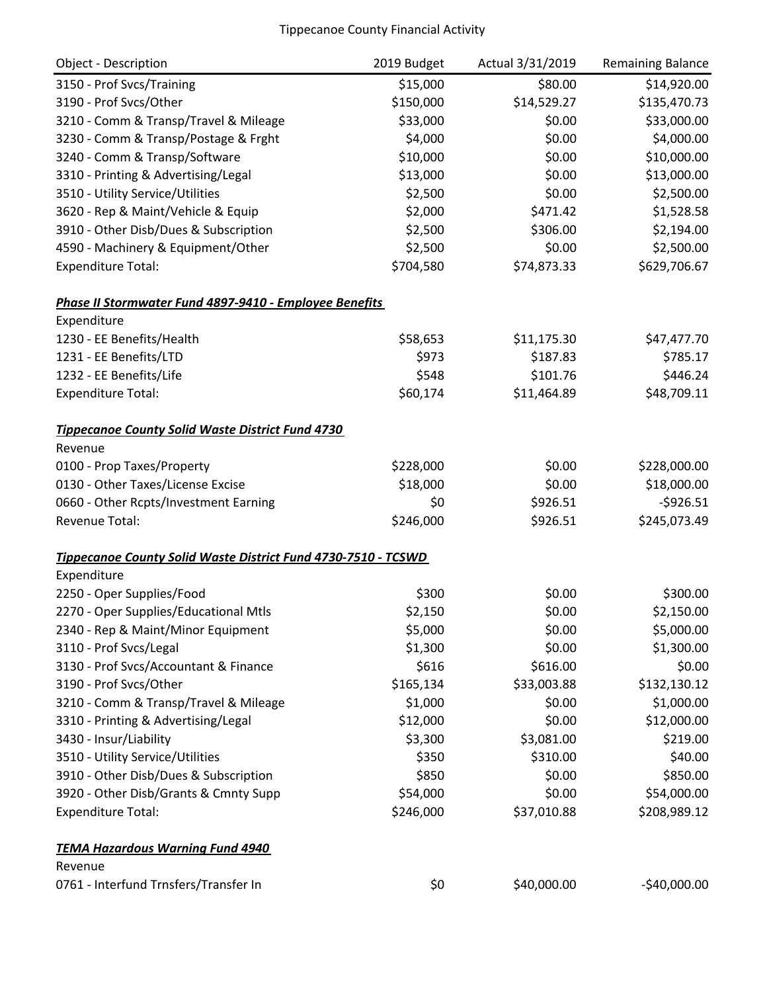| <b>Object - Description</b>                                   | 2019 Budget | Actual 3/31/2019 | <b>Remaining Balance</b> |
|---------------------------------------------------------------|-------------|------------------|--------------------------|
| 3150 - Prof Svcs/Training                                     | \$15,000    | \$80.00          | \$14,920.00              |
| 3190 - Prof Svcs/Other                                        | \$150,000   | \$14,529.27      | \$135,470.73             |
| 3210 - Comm & Transp/Travel & Mileage                         | \$33,000    | \$0.00           | \$33,000.00              |
| 3230 - Comm & Transp/Postage & Frght                          | \$4,000     | \$0.00           | \$4,000.00               |
| 3240 - Comm & Transp/Software                                 | \$10,000    | \$0.00           | \$10,000.00              |
| 3310 - Printing & Advertising/Legal                           | \$13,000    | \$0.00           | \$13,000.00              |
| 3510 - Utility Service/Utilities                              | \$2,500     | \$0.00           | \$2,500.00               |
| 3620 - Rep & Maint/Vehicle & Equip                            | \$2,000     | \$471.42         | \$1,528.58               |
| 3910 - Other Disb/Dues & Subscription                         | \$2,500     | \$306.00         | \$2,194.00               |
| 4590 - Machinery & Equipment/Other                            | \$2,500     | \$0.00           | \$2,500.00               |
| <b>Expenditure Total:</b>                                     | \$704,580   | \$74,873.33      | \$629,706.67             |
| Phase II Stormwater Fund 4897-9410 - Employee Benefits        |             |                  |                          |
| Expenditure                                                   |             |                  |                          |
| 1230 - EE Benefits/Health                                     | \$58,653    | \$11,175.30      | \$47,477.70              |
| 1231 - EE Benefits/LTD                                        | \$973       | \$187.83         | \$785.17                 |
| 1232 - EE Benefits/Life                                       | \$548       | \$101.76         | \$446.24                 |
| <b>Expenditure Total:</b>                                     | \$60,174    | \$11,464.89      | \$48,709.11              |
| <b>Tippecanoe County Solid Waste District Fund 4730</b>       |             |                  |                          |
| Revenue                                                       |             |                  |                          |
| 0100 - Prop Taxes/Property                                    | \$228,000   | \$0.00           | \$228,000.00             |
| 0130 - Other Taxes/License Excise                             | \$18,000    | \$0.00           | \$18,000.00              |
| 0660 - Other Rcpts/Investment Earning                         | \$0         | \$926.51         | $-5926.51$               |
| Revenue Total:                                                | \$246,000   | \$926.51         | \$245,073.49             |
| Tippecanoe County Solid Waste District Fund 4730-7510 - TCSWD |             |                  |                          |
| Expenditure                                                   |             |                  |                          |
| 2250 - Oper Supplies/Food                                     | \$300       | \$0.00           | \$300.00                 |
| 2270 - Oper Supplies/Educational Mtls                         | \$2,150     | \$0.00           | \$2,150.00               |
| 2340 - Rep & Maint/Minor Equipment                            | \$5,000     | \$0.00           | \$5,000.00               |
| 3110 - Prof Svcs/Legal                                        | \$1,300     | \$0.00           | \$1,300.00               |
| 3130 - Prof Svcs/Accountant & Finance                         | \$616       | \$616.00         | \$0.00                   |
| 3190 - Prof Svcs/Other                                        | \$165,134   | \$33,003.88      | \$132,130.12             |
| 3210 - Comm & Transp/Travel & Mileage                         | \$1,000     | \$0.00           | \$1,000.00               |
| 3310 - Printing & Advertising/Legal                           | \$12,000    | \$0.00           | \$12,000.00              |
| 3430 - Insur/Liability                                        | \$3,300     | \$3,081.00       | \$219.00                 |
| 3510 - Utility Service/Utilities                              | \$350       | \$310.00         | \$40.00                  |
| 3910 - Other Disb/Dues & Subscription                         | \$850       | \$0.00           | \$850.00                 |
| 3920 - Other Disb/Grants & Cmnty Supp                         | \$54,000    | \$0.00           | \$54,000.00              |
| <b>Expenditure Total:</b>                                     | \$246,000   | \$37,010.88      | \$208,989.12             |
| <b>TEMA Hazardous Warning Fund 4940</b>                       |             |                  |                          |
| Revenue                                                       |             |                  |                          |
| 0761 - Interfund Trnsfers/Transfer In                         | \$0         | \$40,000.00      | $-$40,000.00$            |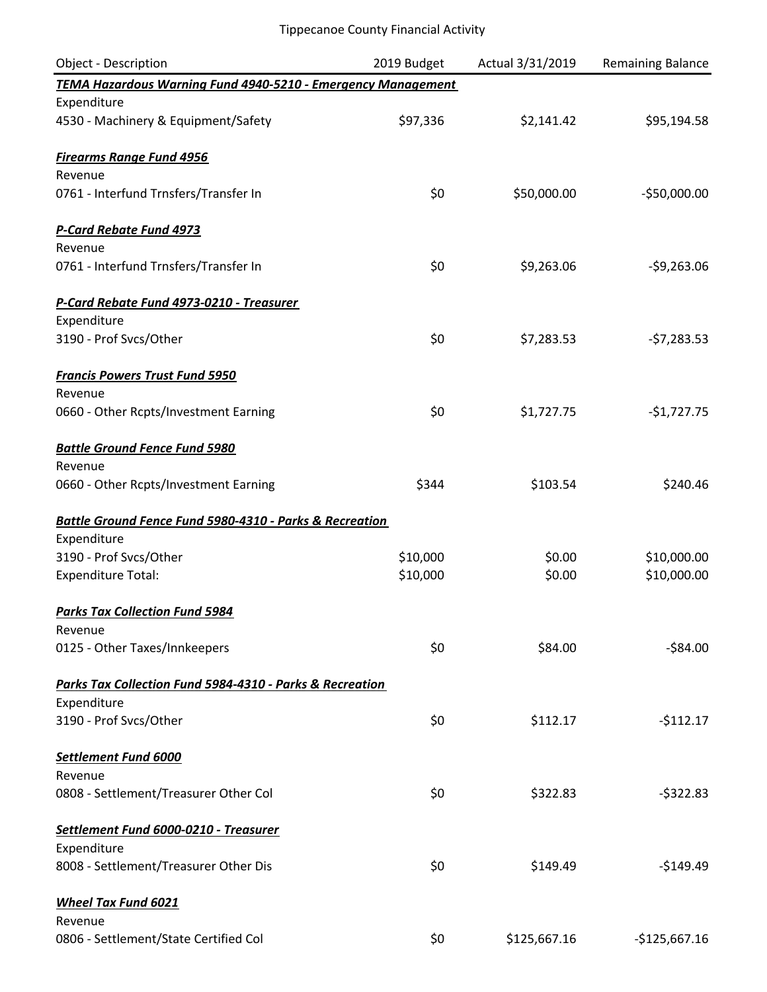| Object - Description                                               | 2019 Budget | Actual 3/31/2019 | <b>Remaining Balance</b> |
|--------------------------------------------------------------------|-------------|------------------|--------------------------|
| TEMA Hazardous Warning Fund 4940-5210 - Emergency Management       |             |                  |                          |
| Expenditure                                                        |             |                  |                          |
| 4530 - Machinery & Equipment/Safety                                | \$97,336    | \$2,141.42       | \$95,194.58              |
| <b>Firearms Range Fund 4956</b>                                    |             |                  |                          |
| Revenue                                                            |             |                  |                          |
| 0761 - Interfund Trnsfers/Transfer In                              | \$0         | \$50,000.00      | $-$50,000.00$            |
| <b>P-Card Rebate Fund 4973</b>                                     |             |                  |                          |
| Revenue                                                            |             |                  |                          |
| 0761 - Interfund Trnsfers/Transfer In                              | \$0         | \$9,263.06       | $-59,263.06$             |
| P-Card Rebate Fund 4973-0210 - Treasurer                           |             |                  |                          |
| Expenditure                                                        |             |                  |                          |
| 3190 - Prof Svcs/Other                                             | \$0         | \$7,283.53       | $-57,283.53$             |
| <b>Francis Powers Trust Fund 5950</b>                              |             |                  |                          |
| Revenue                                                            |             |                  |                          |
| 0660 - Other Rcpts/Investment Earning                              | \$0         | \$1,727.75       | $-$1,727.75$             |
| <b>Battle Ground Fence Fund 5980</b>                               |             |                  |                          |
| Revenue                                                            |             |                  |                          |
| 0660 - Other Rcpts/Investment Earning                              | \$344       | \$103.54         | \$240.46                 |
| <b>Battle Ground Fence Fund 5980-4310 - Parks &amp; Recreation</b> |             |                  |                          |
| Expenditure                                                        |             |                  |                          |
| 3190 - Prof Svcs/Other                                             | \$10,000    | \$0.00           | \$10,000.00              |
| <b>Expenditure Total:</b>                                          | \$10,000    | \$0.00           | \$10,000.00              |
| <b>Parks Tax Collection Fund 5984</b>                              |             |                  |                          |
| Revenue                                                            |             |                  |                          |
| 0125 - Other Taxes/Innkeepers                                      | \$0         | \$84.00          | $-$84.00$                |
| Parks Tax Collection Fund 5984-4310 - Parks & Recreation           |             |                  |                          |
| Expenditure                                                        |             |                  |                          |
| 3190 - Prof Svcs/Other                                             | \$0         | \$112.17         | $-$112.17$               |
| Settlement Fund 6000                                               |             |                  |                          |
| Revenue                                                            |             |                  |                          |
| 0808 - Settlement/Treasurer Other Col                              | \$0         | \$322.83         | $-5322.83$               |
| Settlement Fund 6000-0210 - Treasurer                              |             |                  |                          |
| Expenditure                                                        |             |                  |                          |
| 8008 - Settlement/Treasurer Other Dis                              | \$0         | \$149.49         | $-$149.49$               |
| <b>Wheel Tax Fund 6021</b>                                         |             |                  |                          |
| Revenue                                                            |             |                  |                          |
| 0806 - Settlement/State Certified Col                              | \$0         | \$125,667.16     | $-$125,667.16$           |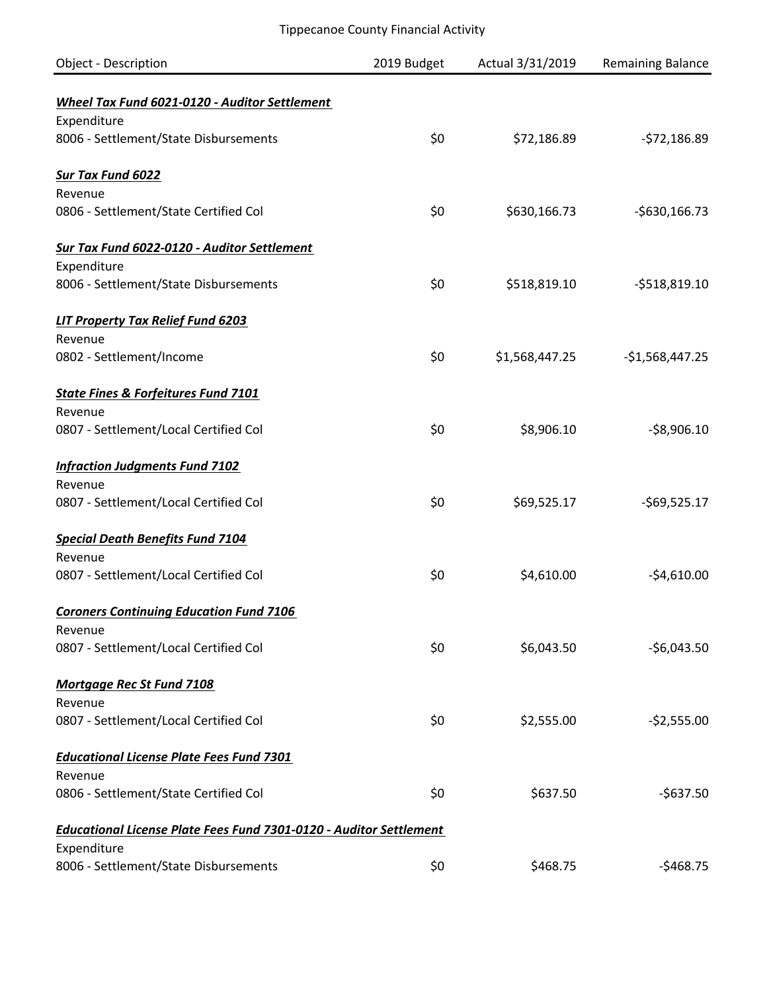| Object - Description                                                                     | 2019 Budget | Actual 3/31/2019 | <b>Remaining Balance</b> |
|------------------------------------------------------------------------------------------|-------------|------------------|--------------------------|
| Wheel Tax Fund 6021-0120 - Auditor Settlement                                            |             |                  |                          |
| Expenditure                                                                              |             |                  |                          |
| 8006 - Settlement/State Disbursements                                                    | \$0         | \$72,186.89      | $-572,186.89$            |
| <b>Sur Tax Fund 6022</b>                                                                 |             |                  |                          |
| Revenue                                                                                  |             |                  |                          |
| 0806 - Settlement/State Certified Col                                                    | \$0         | \$630,166.73     | $-$630,166.73$           |
| Sur Tax Fund 6022-0120 - Auditor Settlement                                              |             |                  |                          |
| Expenditure                                                                              |             |                  |                          |
| 8006 - Settlement/State Disbursements                                                    | \$0         | \$518,819.10     | $-5518,819.10$           |
| <b>LIT Property Tax Relief Fund 6203</b>                                                 |             |                  |                          |
| Revenue                                                                                  |             |                  |                          |
| 0802 - Settlement/Income                                                                 | \$0         | \$1,568,447.25   | $-$1,568,447.25$         |
| <b>State Fines &amp; Forfeitures Fund 7101</b>                                           |             |                  |                          |
| Revenue                                                                                  |             |                  |                          |
| 0807 - Settlement/Local Certified Col                                                    | \$0         | \$8,906.10       | $-$8,906.10$             |
| <b>Infraction Judgments Fund 7102</b>                                                    |             |                  |                          |
| Revenue                                                                                  |             |                  |                          |
| 0807 - Settlement/Local Certified Col                                                    | \$0         | \$69,525.17      | $-569,525.17$            |
| <b>Special Death Benefits Fund 7104</b>                                                  |             |                  |                          |
| Revenue                                                                                  |             |                  |                          |
| 0807 - Settlement/Local Certified Col                                                    | \$0         | \$4,610.00       | $-$4,610.00$             |
| <b>Coroners Continuing Education Fund 7106</b>                                           |             |                  |                          |
| Revenue                                                                                  |             |                  |                          |
| 0807 - Settlement/Local Certified Col                                                    | \$0         | \$6,043.50       | $-56,043.50$             |
| <b>Mortgage Rec St Fund 7108</b>                                                         |             |                  |                          |
| Revenue                                                                                  |             |                  |                          |
| 0807 - Settlement/Local Certified Col                                                    | \$0         | \$2,555.00       | $-52,555.00$             |
| <b>Educational License Plate Fees Fund 7301</b>                                          |             |                  |                          |
| Revenue                                                                                  |             |                  |                          |
| 0806 - Settlement/State Certified Col                                                    | \$0         | \$637.50         | $-5637.50$               |
| <b>Educational License Plate Fees Fund 7301-0120 - Auditor Settlement</b><br>Expenditure |             |                  |                          |
| 8006 - Settlement/State Disbursements                                                    | \$0         | \$468.75         | $-$468.75$               |
|                                                                                          |             |                  |                          |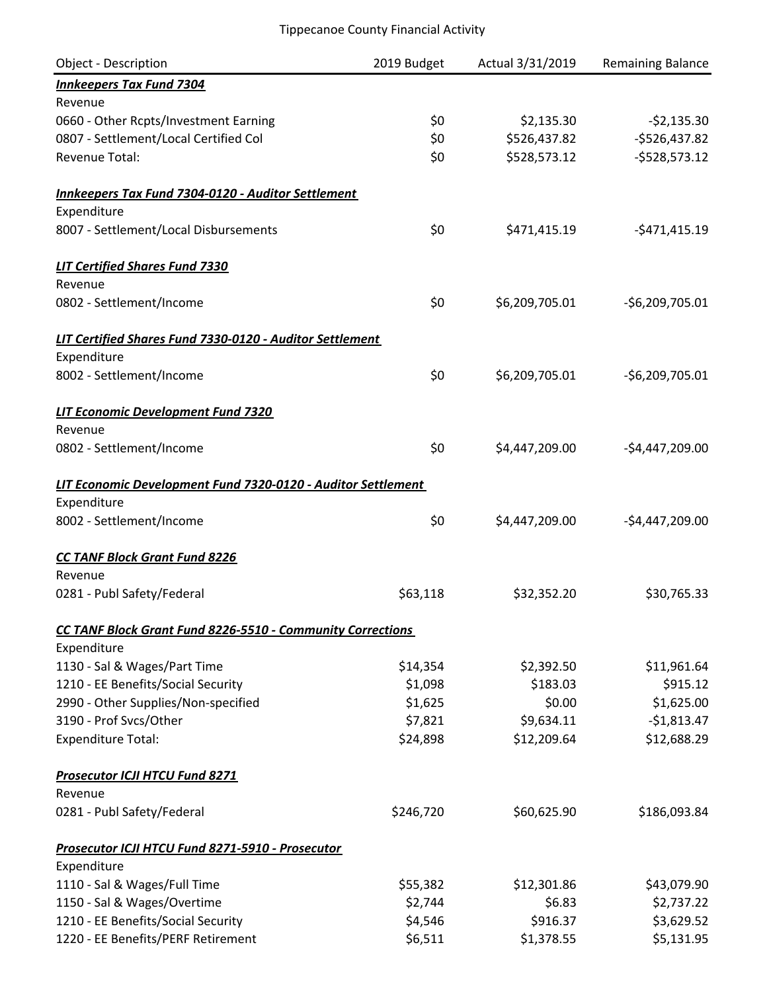| <b>Object - Description</b>                                  | 2019 Budget | Actual 3/31/2019 | <b>Remaining Balance</b> |
|--------------------------------------------------------------|-------------|------------------|--------------------------|
| <b>Innkeepers Tax Fund 7304</b>                              |             |                  |                          |
| Revenue                                                      |             |                  |                          |
| 0660 - Other Rcpts/Investment Earning                        | \$0         | \$2,135.30       | $-52,135.30$             |
| 0807 - Settlement/Local Certified Col                        | \$0         | \$526,437.82     | $-$526,437.82$           |
| <b>Revenue Total:</b>                                        | \$0         | \$528,573.12     | $-5528,573.12$           |
| <b>Innkeepers Tax Fund 7304-0120 - Auditor Settlement</b>    |             |                  |                          |
| Expenditure                                                  |             |                  |                          |
| 8007 - Settlement/Local Disbursements                        | \$0         | \$471,415.19     | $-5471,415.19$           |
| <b>LIT Certified Shares Fund 7330</b>                        |             |                  |                          |
| Revenue                                                      |             |                  |                          |
| 0802 - Settlement/Income                                     | \$0         | \$6,209,705.01   | $-56,209,705.01$         |
| LIT Certified Shares Fund 7330-0120 - Auditor Settlement     |             |                  |                          |
| Expenditure                                                  |             |                  |                          |
| 8002 - Settlement/Income                                     | \$0         | \$6,209,705.01   | $-$6,209,705.01$         |
| <b>LIT Economic Development Fund 7320</b>                    |             |                  |                          |
| Revenue                                                      |             |                  |                          |
| 0802 - Settlement/Income                                     | \$0         | \$4,447,209.00   | $-$4,447,209.00$         |
| LIT Economic Development Fund 7320-0120 - Auditor Settlement |             |                  |                          |
| Expenditure                                                  |             |                  |                          |
| 8002 - Settlement/Income                                     | \$0         | \$4,447,209.00   | $-$4,447,209.00$         |
| <b>CC TANF Block Grant Fund 8226</b>                         |             |                  |                          |
| Revenue                                                      |             |                  |                          |
| 0281 - Publ Safety/Federal                                   | \$63,118    | \$32,352.20      | \$30,765.33              |
| CC TANF Block Grant Fund 8226-5510 - Community Corrections   |             |                  |                          |
| Expenditure                                                  |             |                  |                          |
| 1130 - Sal & Wages/Part Time                                 | \$14,354    | \$2,392.50       | \$11,961.64              |
| 1210 - EE Benefits/Social Security                           | \$1,098     | \$183.03         | \$915.12                 |
| 2990 - Other Supplies/Non-specified                          | \$1,625     | \$0.00           | \$1,625.00               |
| 3190 - Prof Svcs/Other                                       | \$7,821     | \$9,634.11       | $-$1,813.47$             |
| <b>Expenditure Total:</b>                                    | \$24,898    | \$12,209.64      | \$12,688.29              |
| <b>Prosecutor ICJI HTCU Fund 8271</b>                        |             |                  |                          |
| Revenue                                                      |             |                  |                          |
| 0281 - Publ Safety/Federal                                   | \$246,720   | \$60,625.90      | \$186,093.84             |
| Prosecutor ICJI HTCU Fund 8271-5910 - Prosecutor             |             |                  |                          |
| Expenditure                                                  |             |                  |                          |
| 1110 - Sal & Wages/Full Time                                 | \$55,382    | \$12,301.86      | \$43,079.90              |
| 1150 - Sal & Wages/Overtime                                  | \$2,744     | \$6.83           | \$2,737.22               |
| 1210 - EE Benefits/Social Security                           | \$4,546     | \$916.37         | \$3,629.52               |
| 1220 - EE Benefits/PERF Retirement                           | \$6,511     | \$1,378.55       | \$5,131.95               |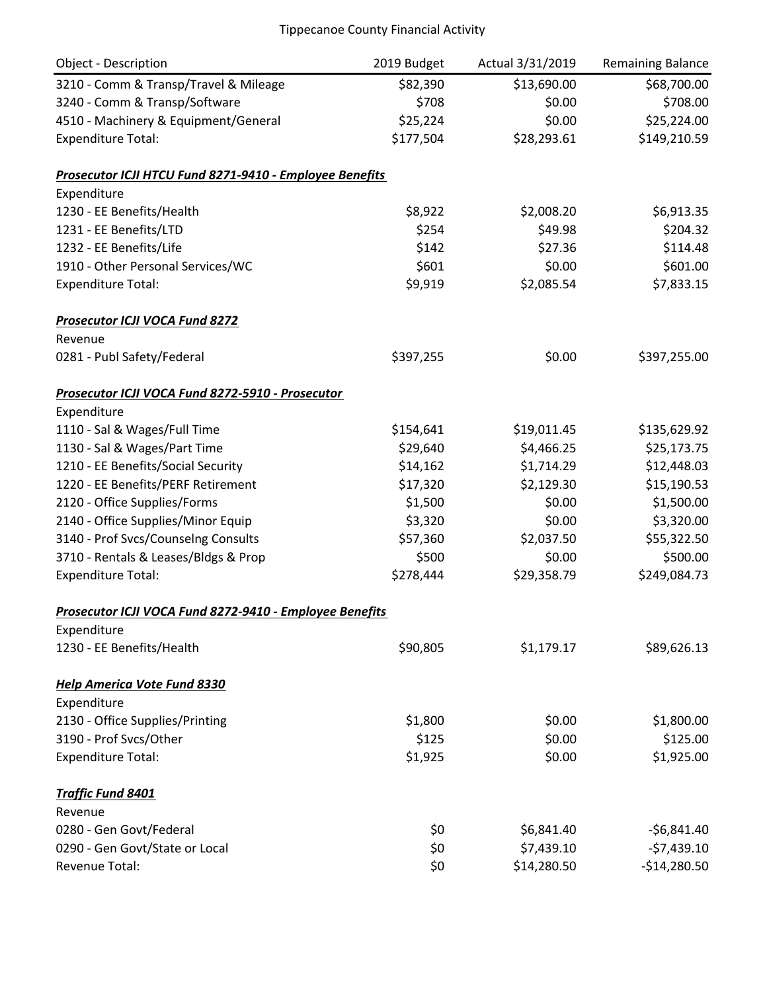| <b>Object - Description</b>                             | 2019 Budget | Actual 3/31/2019 | <b>Remaining Balance</b> |
|---------------------------------------------------------|-------------|------------------|--------------------------|
| 3210 - Comm & Transp/Travel & Mileage                   | \$82,390    | \$13,690.00      | \$68,700.00              |
| 3240 - Comm & Transp/Software                           | \$708       | \$0.00           | \$708.00                 |
| 4510 - Machinery & Equipment/General                    | \$25,224    | \$0.00           | \$25,224.00              |
| <b>Expenditure Total:</b>                               | \$177,504   | \$28,293.61      | \$149,210.59             |
| Prosecutor ICJI HTCU Fund 8271-9410 - Employee Benefits |             |                  |                          |
| Expenditure                                             |             |                  |                          |
| 1230 - EE Benefits/Health                               | \$8,922     | \$2,008.20       | \$6,913.35               |
| 1231 - EE Benefits/LTD                                  | \$254       | \$49.98          | \$204.32                 |
| 1232 - EE Benefits/Life                                 | \$142       | \$27.36          | \$114.48                 |
| 1910 - Other Personal Services/WC                       | \$601       | \$0.00           | \$601.00                 |
| <b>Expenditure Total:</b>                               | \$9,919     | \$2,085.54       | \$7,833.15               |
| <b>Prosecutor ICJI VOCA Fund 8272</b>                   |             |                  |                          |
| Revenue                                                 |             |                  |                          |
| 0281 - Publ Safety/Federal                              | \$397,255   | \$0.00           | \$397,255.00             |
| Prosecutor ICJI VOCA Fund 8272-5910 - Prosecutor        |             |                  |                          |
| Expenditure                                             |             |                  |                          |
| 1110 - Sal & Wages/Full Time                            | \$154,641   | \$19,011.45      | \$135,629.92             |
| 1130 - Sal & Wages/Part Time                            | \$29,640    | \$4,466.25       | \$25,173.75              |
| 1210 - EE Benefits/Social Security                      | \$14,162    | \$1,714.29       | \$12,448.03              |
| 1220 - EE Benefits/PERF Retirement                      | \$17,320    | \$2,129.30       | \$15,190.53              |
| 2120 - Office Supplies/Forms                            | \$1,500     | \$0.00           | \$1,500.00               |
| 2140 - Office Supplies/Minor Equip                      | \$3,320     | \$0.00           | \$3,320.00               |
| 3140 - Prof Svcs/Counselng Consults                     | \$57,360    | \$2,037.50       | \$55,322.50              |
| 3710 - Rentals & Leases/Bldgs & Prop                    | \$500       | \$0.00           | \$500.00                 |
| <b>Expenditure Total:</b>                               | \$278,444   | \$29,358.79      | \$249,084.73             |
| Prosecutor ICJI VOCA Fund 8272-9410 - Employee Benefits |             |                  |                          |
| Expenditure                                             |             |                  |                          |
| 1230 - EE Benefits/Health                               | \$90,805    | \$1,179.17       | \$89,626.13              |
| <b>Help America Vote Fund 8330</b>                      |             |                  |                          |
| Expenditure                                             |             |                  |                          |
| 2130 - Office Supplies/Printing                         | \$1,800     | \$0.00           | \$1,800.00               |
| 3190 - Prof Svcs/Other                                  | \$125       | \$0.00           | \$125.00                 |
| <b>Expenditure Total:</b>                               | \$1,925     | \$0.00           | \$1,925.00               |
| <b>Traffic Fund 8401</b>                                |             |                  |                          |
| Revenue                                                 |             |                  |                          |
| 0280 - Gen Govt/Federal                                 | \$0         | \$6,841.40       | $-56,841.40$             |
| 0290 - Gen Govt/State or Local                          | \$0         | \$7,439.10       | $-57,439.10$             |
| Revenue Total:                                          | \$0         | \$14,280.50      | $-$14,280.50$            |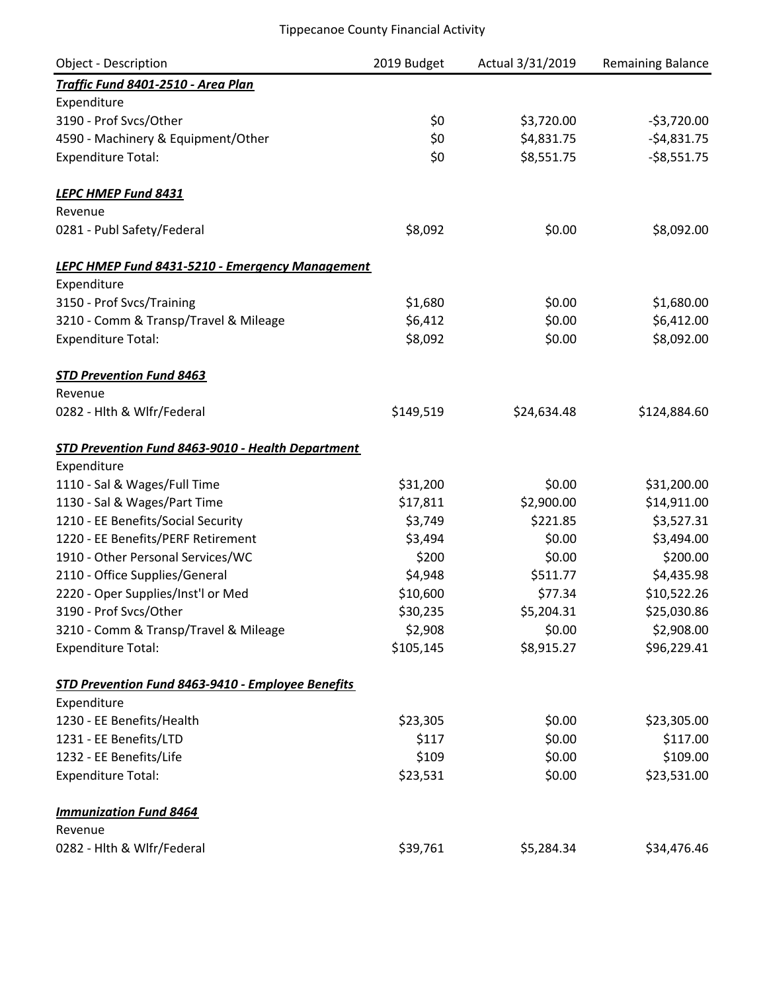| Object - Description                                   | 2019 Budget | Actual 3/31/2019 | <b>Remaining Balance</b> |
|--------------------------------------------------------|-------------|------------------|--------------------------|
| Traffic Fund 8401-2510 - Area Plan                     |             |                  |                          |
| Expenditure                                            |             |                  |                          |
| 3190 - Prof Svcs/Other                                 | \$0         | \$3,720.00       | $-53,720.00$             |
| 4590 - Machinery & Equipment/Other                     | \$0         | \$4,831.75       | $-$4,831.75$             |
| <b>Expenditure Total:</b>                              | \$0         | \$8,551.75       | $-58,551.75$             |
| LEPC HMEP Fund 8431                                    |             |                  |                          |
| Revenue                                                |             |                  |                          |
| 0281 - Publ Safety/Federal                             | \$8,092     | \$0.00           | \$8,092.00               |
| <b>LEPC HMEP Fund 8431-5210 - Emergency Management</b> |             |                  |                          |
| Expenditure                                            |             |                  |                          |
| 3150 - Prof Svcs/Training                              | \$1,680     | \$0.00           | \$1,680.00               |
| 3210 - Comm & Transp/Travel & Mileage                  | \$6,412     | \$0.00           | \$6,412.00               |
| <b>Expenditure Total:</b>                              | \$8,092     | \$0.00           | \$8,092.00               |
| <b>STD Prevention Fund 8463</b>                        |             |                  |                          |
| Revenue                                                |             |                  |                          |
| 0282 - Hith & Wifr/Federal                             | \$149,519   | \$24,634.48      | \$124,884.60             |
| STD Prevention Fund 8463-9010 - Health Department      |             |                  |                          |
| Expenditure                                            |             |                  |                          |
| 1110 - Sal & Wages/Full Time                           | \$31,200    | \$0.00           | \$31,200.00              |
| 1130 - Sal & Wages/Part Time                           | \$17,811    | \$2,900.00       | \$14,911.00              |
| 1210 - EE Benefits/Social Security                     | \$3,749     | \$221.85         | \$3,527.31               |
| 1220 - EE Benefits/PERF Retirement                     | \$3,494     | \$0.00           | \$3,494.00               |
| 1910 - Other Personal Services/WC                      | \$200       | \$0.00           | \$200.00                 |
| 2110 - Office Supplies/General                         | \$4,948     | \$511.77         | \$4,435.98               |
| 2220 - Oper Supplies/Inst'l or Med                     | \$10,600    | \$77.34          | \$10,522.26              |
| 3190 - Prof Svcs/Other                                 | \$30,235    | \$5,204.31       | \$25,030.86              |
| 3210 - Comm & Transp/Travel & Mileage                  | \$2,908     | \$0.00           | \$2,908.00               |
| <b>Expenditure Total:</b>                              | \$105,145   | \$8,915.27       | \$96,229.41              |
| STD Prevention Fund 8463-9410 - Employee Benefits      |             |                  |                          |
| Expenditure                                            |             |                  |                          |
| 1230 - EE Benefits/Health                              | \$23,305    | \$0.00           | \$23,305.00              |
| 1231 - EE Benefits/LTD                                 | \$117       | \$0.00           | \$117.00                 |
| 1232 - EE Benefits/Life                                | \$109       | \$0.00           | \$109.00                 |
| <b>Expenditure Total:</b>                              | \$23,531    | \$0.00           | \$23,531.00              |
| <b>Immunization Fund 8464</b>                          |             |                  |                          |
| Revenue                                                |             |                  |                          |
| 0282 - Hlth & Wlfr/Federal                             | \$39,761    | \$5,284.34       | \$34,476.46              |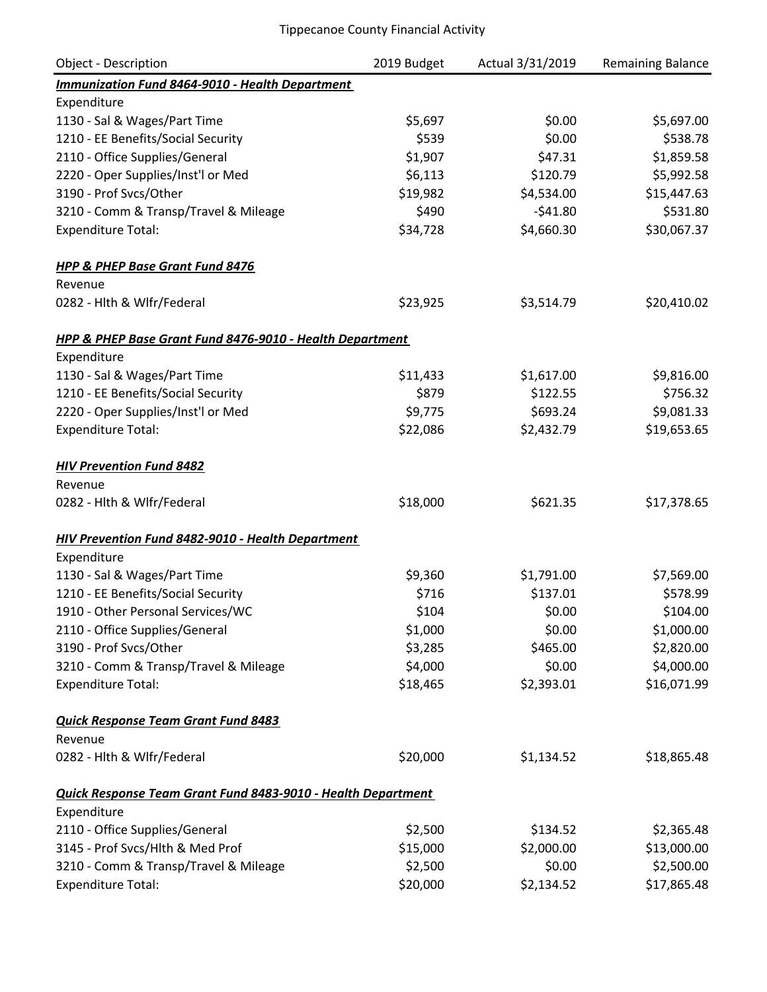| <b>Object - Description</b>                                  | 2019 Budget | Actual 3/31/2019 | <b>Remaining Balance</b> |
|--------------------------------------------------------------|-------------|------------------|--------------------------|
| <b>Immunization Fund 8464-9010 - Health Department</b>       |             |                  |                          |
| Expenditure                                                  |             |                  |                          |
| 1130 - Sal & Wages/Part Time                                 | \$5,697     | \$0.00           | \$5,697.00               |
| 1210 - EE Benefits/Social Security                           | \$539       | \$0.00           | \$538.78                 |
| 2110 - Office Supplies/General                               | \$1,907     | \$47.31          | \$1,859.58               |
| 2220 - Oper Supplies/Inst'l or Med                           | \$6,113     | \$120.79         | \$5,992.58               |
| 3190 - Prof Svcs/Other                                       | \$19,982    | \$4,534.00       | \$15,447.63              |
| 3210 - Comm & Transp/Travel & Mileage                        | \$490       | $-541.80$        | \$531.80                 |
| <b>Expenditure Total:</b>                                    | \$34,728    | \$4,660.30       | \$30,067.37              |
| <b>HPP &amp; PHEP Base Grant Fund 8476</b>                   |             |                  |                          |
| Revenue                                                      |             |                  |                          |
| 0282 - Hlth & Wlfr/Federal                                   | \$23,925    | \$3,514.79       | \$20,410.02              |
| HPP & PHEP Base Grant Fund 8476-9010 - Health Department     |             |                  |                          |
| Expenditure                                                  |             |                  |                          |
| 1130 - Sal & Wages/Part Time                                 | \$11,433    | \$1,617.00       | \$9,816.00               |
| 1210 - EE Benefits/Social Security                           | \$879       | \$122.55         | \$756.32                 |
| 2220 - Oper Supplies/Inst'l or Med                           | \$9,775     | \$693.24         | \$9,081.33               |
| <b>Expenditure Total:</b>                                    | \$22,086    | \$2,432.79       | \$19,653.65              |
| <b>HIV Prevention Fund 8482</b>                              |             |                  |                          |
| Revenue                                                      |             |                  |                          |
| 0282 - Hith & Wifr/Federal                                   | \$18,000    | \$621.35         | \$17,378.65              |
| <b>HIV Prevention Fund 8482-9010 - Health Department</b>     |             |                  |                          |
| Expenditure                                                  |             |                  |                          |
| 1130 - Sal & Wages/Part Time                                 | \$9,360     | \$1,791.00       | \$7,569.00               |
| 1210 - EE Benefits/Social Security                           | \$716       | \$137.01         | \$578.99                 |
| 1910 - Other Personal Services/WC                            | \$104       | \$0.00           | \$104.00                 |
| 2110 - Office Supplies/General                               | \$1,000     | \$0.00           | \$1,000.00               |
| 3190 - Prof Svcs/Other                                       | \$3,285     | \$465.00         | \$2,820.00               |
| 3210 - Comm & Transp/Travel & Mileage                        | \$4,000     | \$0.00           | \$4,000.00               |
| <b>Expenditure Total:</b>                                    | \$18,465    | \$2,393.01       | \$16,071.99              |
| <b>Quick Response Team Grant Fund 8483</b>                   |             |                  |                          |
| Revenue                                                      |             |                  |                          |
| 0282 - Hlth & Wlfr/Federal                                   | \$20,000    | \$1,134.52       | \$18,865.48              |
| Quick Response Team Grant Fund 8483-9010 - Health Department |             |                  |                          |
| Expenditure                                                  |             |                  |                          |
| 2110 - Office Supplies/General                               | \$2,500     | \$134.52         | \$2,365.48               |
| 3145 - Prof Svcs/Hlth & Med Prof                             | \$15,000    | \$2,000.00       | \$13,000.00              |
| 3210 - Comm & Transp/Travel & Mileage                        | \$2,500     | \$0.00           | \$2,500.00               |
| <b>Expenditure Total:</b>                                    | \$20,000    | \$2,134.52       | \$17,865.48              |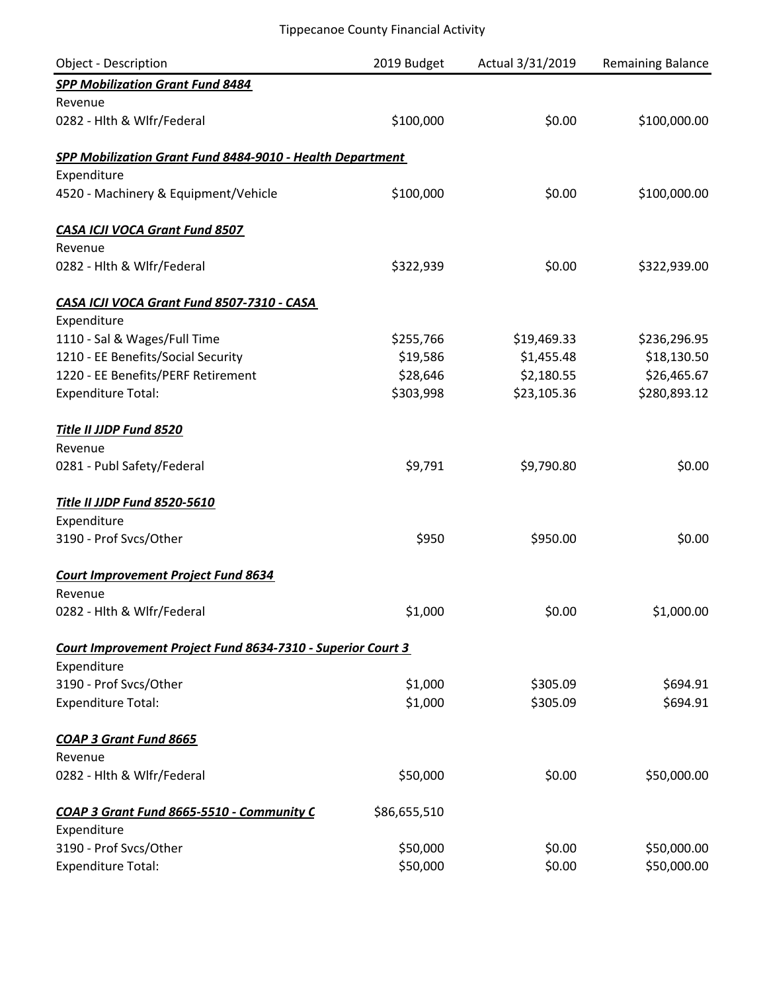| <b>Object - Description</b>                                 | 2019 Budget  | Actual 3/31/2019 | <b>Remaining Balance</b> |
|-------------------------------------------------------------|--------------|------------------|--------------------------|
| <b>SPP Mobilization Grant Fund 8484</b>                     |              |                  |                          |
| Revenue                                                     |              |                  |                          |
| 0282 - Hlth & Wlfr/Federal                                  | \$100,000    | \$0.00           | \$100,000.00             |
| SPP Mobilization Grant Fund 8484-9010 - Health Department   |              |                  |                          |
| Expenditure                                                 |              |                  |                          |
| 4520 - Machinery & Equipment/Vehicle                        | \$100,000    | \$0.00           | \$100,000.00             |
| <b>CASA ICJI VOCA Grant Fund 8507</b>                       |              |                  |                          |
| Revenue                                                     |              |                  |                          |
| 0282 - Hlth & Wlfr/Federal                                  | \$322,939    | \$0.00           | \$322,939.00             |
| CASA ICJI VOCA Grant Fund 8507-7310 - CASA                  |              |                  |                          |
| Expenditure                                                 |              |                  |                          |
| 1110 - Sal & Wages/Full Time                                | \$255,766    | \$19,469.33      | \$236,296.95             |
| 1210 - EE Benefits/Social Security                          | \$19,586     | \$1,455.48       | \$18,130.50              |
| 1220 - EE Benefits/PERF Retirement                          | \$28,646     | \$2,180.55       | \$26,465.67              |
| <b>Expenditure Total:</b>                                   | \$303,998    | \$23,105.36      | \$280,893.12             |
| Title II JJDP Fund 8520                                     |              |                  |                          |
| Revenue                                                     |              |                  |                          |
| 0281 - Publ Safety/Federal                                  | \$9,791      | \$9,790.80       | \$0.00                   |
| Title II JJDP Fund 8520-5610                                |              |                  |                          |
| Expenditure                                                 |              |                  |                          |
| 3190 - Prof Svcs/Other                                      | \$950        | \$950.00         | \$0.00                   |
| <b>Court Improvement Project Fund 8634</b>                  |              |                  |                          |
| Revenue                                                     |              |                  |                          |
| 0282 - Hith & Wifr/Federal                                  | \$1,000      | \$0.00           | \$1,000.00               |
| Court Improvement Project Fund 8634-7310 - Superior Court 3 |              |                  |                          |
| Expenditure                                                 |              |                  |                          |
| 3190 - Prof Svcs/Other                                      | \$1,000      | \$305.09         | \$694.91                 |
| <b>Expenditure Total:</b>                                   | \$1,000      | \$305.09         | \$694.91                 |
| <b>COAP 3 Grant Fund 8665</b>                               |              |                  |                          |
| Revenue                                                     |              |                  |                          |
| 0282 - Hlth & Wlfr/Federal                                  | \$50,000     | \$0.00           | \$50,000.00              |
| COAP 3 Grant Fund 8665-5510 - Community C                   | \$86,655,510 |                  |                          |
| Expenditure                                                 |              |                  |                          |
| 3190 - Prof Svcs/Other                                      | \$50,000     | \$0.00           | \$50,000.00              |
| <b>Expenditure Total:</b>                                   | \$50,000     | \$0.00           | \$50,000.00              |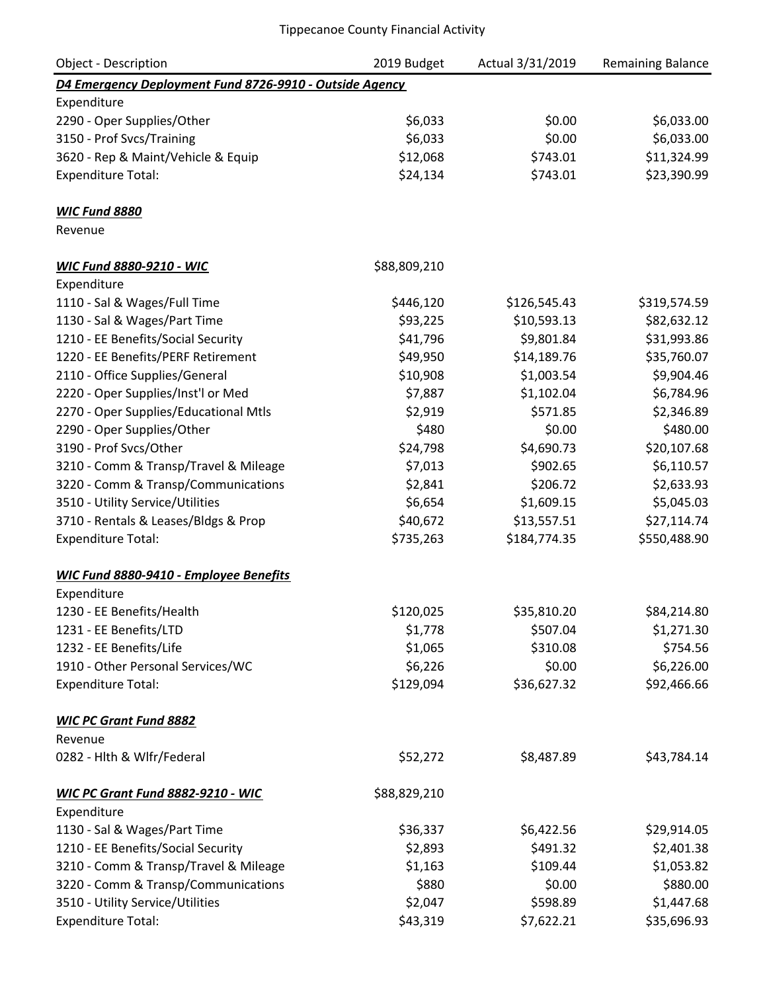| Object - Description                                    | 2019 Budget  | Actual 3/31/2019 | <b>Remaining Balance</b> |
|---------------------------------------------------------|--------------|------------------|--------------------------|
| D4 Emergency Deployment Fund 8726-9910 - Outside Agency |              |                  |                          |
| Expenditure                                             |              |                  |                          |
| 2290 - Oper Supplies/Other                              | \$6,033      | \$0.00           | \$6,033.00               |
| 3150 - Prof Svcs/Training                               | \$6,033      | \$0.00           | \$6,033.00               |
| 3620 - Rep & Maint/Vehicle & Equip                      | \$12,068     | \$743.01         | \$11,324.99              |
| <b>Expenditure Total:</b>                               | \$24,134     | \$743.01         | \$23,390.99              |
| <b>WIC Fund 8880</b>                                    |              |                  |                          |
| Revenue                                                 |              |                  |                          |
| <b>WIC Fund 8880-9210 - WIC</b>                         | \$88,809,210 |                  |                          |
| Expenditure                                             |              |                  |                          |
| 1110 - Sal & Wages/Full Time                            | \$446,120    | \$126,545.43     | \$319,574.59             |
| 1130 - Sal & Wages/Part Time                            | \$93,225     | \$10,593.13      | \$82,632.12              |
| 1210 - EE Benefits/Social Security                      | \$41,796     | \$9,801.84       | \$31,993.86              |
| 1220 - EE Benefits/PERF Retirement                      | \$49,950     | \$14,189.76      | \$35,760.07              |
| 2110 - Office Supplies/General                          | \$10,908     | \$1,003.54       | \$9,904.46               |
| 2220 - Oper Supplies/Inst'l or Med                      | \$7,887      | \$1,102.04       | \$6,784.96               |
| 2270 - Oper Supplies/Educational Mtls                   | \$2,919      | \$571.85         | \$2,346.89               |
| 2290 - Oper Supplies/Other                              | \$480        | \$0.00           | \$480.00                 |
| 3190 - Prof Svcs/Other                                  | \$24,798     | \$4,690.73       | \$20,107.68              |
| 3210 - Comm & Transp/Travel & Mileage                   | \$7,013      | \$902.65         | \$6,110.57               |
| 3220 - Comm & Transp/Communications                     | \$2,841      | \$206.72         | \$2,633.93               |
| 3510 - Utility Service/Utilities                        | \$6,654      | \$1,609.15       | \$5,045.03               |
| 3710 - Rentals & Leases/Bldgs & Prop                    | \$40,672     | \$13,557.51      | \$27,114.74              |
| <b>Expenditure Total:</b>                               | \$735,263    | \$184,774.35     | \$550,488.90             |
| WIC Fund 8880-9410 - Employee Benefits                  |              |                  |                          |
| Expenditure                                             |              |                  |                          |
| 1230 - EE Benefits/Health                               | \$120,025    | \$35,810.20      | \$84,214.80              |
| 1231 - EE Benefits/LTD                                  | \$1,778      | \$507.04         | \$1,271.30               |
| 1232 - EE Benefits/Life                                 | \$1,065      | \$310.08         | \$754.56                 |
| 1910 - Other Personal Services/WC                       | \$6,226      | \$0.00           | \$6,226.00               |
| <b>Expenditure Total:</b>                               | \$129,094    | \$36,627.32      | \$92,466.66              |
| <b>WIC PC Grant Fund 8882</b>                           |              |                  |                          |
| Revenue                                                 |              |                  |                          |
| 0282 - Hlth & Wlfr/Federal                              | \$52,272     | \$8,487.89       | \$43,784.14              |
| WIC PC Grant Fund 8882-9210 - WIC                       | \$88,829,210 |                  |                          |
| Expenditure                                             |              |                  |                          |
| 1130 - Sal & Wages/Part Time                            | \$36,337     | \$6,422.56       | \$29,914.05              |
| 1210 - EE Benefits/Social Security                      | \$2,893      | \$491.32         | \$2,401.38               |
| 3210 - Comm & Transp/Travel & Mileage                   | \$1,163      | \$109.44         | \$1,053.82               |
| 3220 - Comm & Transp/Communications                     | \$880        | \$0.00           | \$880.00                 |
| 3510 - Utility Service/Utilities                        | \$2,047      | \$598.89         | \$1,447.68               |
| <b>Expenditure Total:</b>                               | \$43,319     | \$7,622.21       | \$35,696.93              |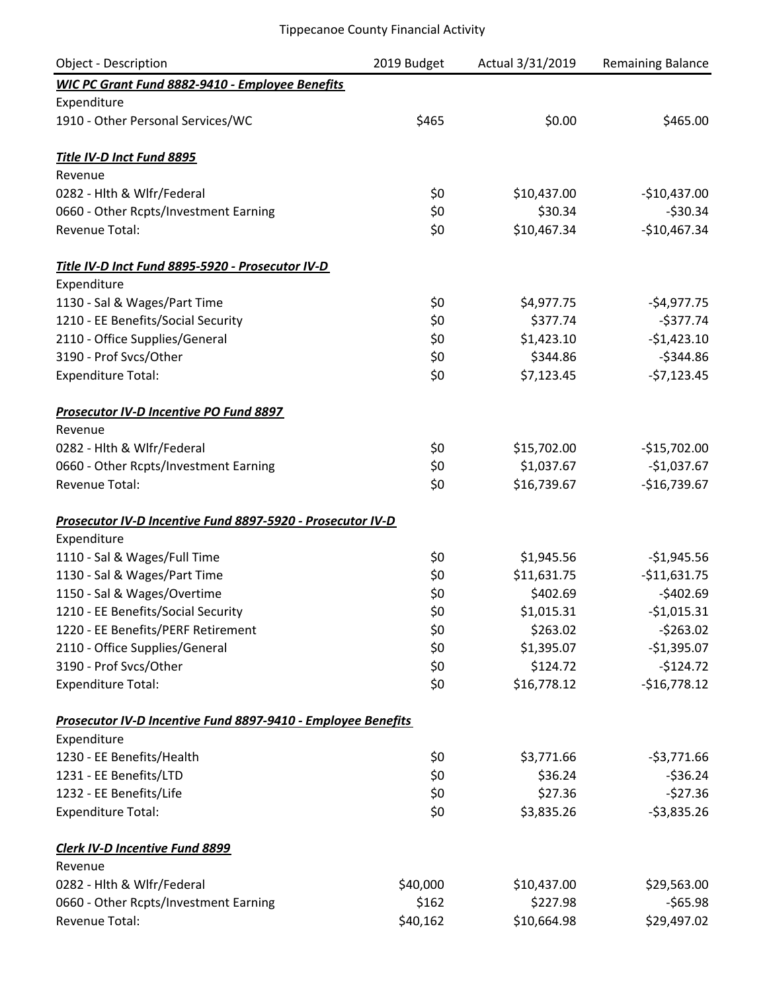| <b>Object - Description</b>                                  | 2019 Budget | Actual 3/31/2019 | Remaining Balance |
|--------------------------------------------------------------|-------------|------------------|-------------------|
| WIC PC Grant Fund 8882-9410 - Employee Benefits              |             |                  |                   |
| Expenditure                                                  |             |                  |                   |
| 1910 - Other Personal Services/WC                            | \$465       | \$0.00           | \$465.00          |
| Title IV-D Inct Fund 8895                                    |             |                  |                   |
| Revenue                                                      |             |                  |                   |
| 0282 - Hlth & Wlfr/Federal                                   | \$0         | \$10,437.00      | $-$10,437.00$     |
| 0660 - Other Rcpts/Investment Earning                        | \$0         | \$30.34          | $-530.34$         |
| <b>Revenue Total:</b>                                        | \$0         | \$10,467.34      | $-$10,467.34$     |
| Title IV-D Inct Fund 8895-5920 - Prosecutor IV-D             |             |                  |                   |
| Expenditure                                                  |             |                  |                   |
| 1130 - Sal & Wages/Part Time                                 | \$0         | \$4,977.75       | $-$4,977.75$      |
| 1210 - EE Benefits/Social Security                           | \$0         | \$377.74         | $-$377.74$        |
| 2110 - Office Supplies/General                               | \$0         | \$1,423.10       | $-$1,423.10$      |
| 3190 - Prof Svcs/Other                                       | \$0         | \$344.86         | $-$344.86$        |
| <b>Expenditure Total:</b>                                    | \$0         | \$7,123.45       | $-57,123.45$      |
| Prosecutor IV-D Incentive PO Fund 8897                       |             |                  |                   |
| Revenue                                                      |             |                  |                   |
| 0282 - Hlth & Wlfr/Federal                                   | \$0         | \$15,702.00      | $-$15,702.00$     |
| 0660 - Other Rcpts/Investment Earning                        | \$0         | \$1,037.67       | $-$1,037.67$      |
| <b>Revenue Total:</b>                                        | \$0         | \$16,739.67      | $-$16,739.67$     |
| Prosecutor IV-D Incentive Fund 8897-5920 - Prosecutor IV-D   |             |                  |                   |
| Expenditure                                                  |             |                  |                   |
| 1110 - Sal & Wages/Full Time                                 | \$0         | \$1,945.56       | $-$1,945.56$      |
| 1130 - Sal & Wages/Part Time                                 | \$0         | \$11,631.75      | $-$11,631.75$     |
| 1150 - Sal & Wages/Overtime                                  | \$0         | \$402.69         | $-$402.69$        |
| 1210 - EE Benefits/Social Security                           | \$0         | \$1,015.31       | $-$1,015.31$      |
| 1220 - EE Benefits/PERF Retirement                           | \$0         | \$263.02         | $-5263.02$        |
| 2110 - Office Supplies/General                               | \$0         | \$1,395.07       | $-$1,395.07$      |
| 3190 - Prof Svcs/Other                                       | \$0         | \$124.72         | $-$124.72$        |
| <b>Expenditure Total:</b>                                    | \$0         | \$16,778.12      | $-$16,778.12$     |
| Prosecutor IV-D Incentive Fund 8897-9410 - Employee Benefits |             |                  |                   |
| Expenditure                                                  |             |                  |                   |
| 1230 - EE Benefits/Health                                    | \$0         | \$3,771.66       | $-53,771.66$      |
| 1231 - EE Benefits/LTD                                       | \$0         | \$36.24          | $-536.24$         |
| 1232 - EE Benefits/Life                                      | \$0         | \$27.36          | $-$27.36$         |
| <b>Expenditure Total:</b>                                    | \$0         | \$3,835.26       | $-53,835.26$      |
| <b>Clerk IV-D Incentive Fund 8899</b>                        |             |                  |                   |
| Revenue                                                      |             |                  |                   |
| 0282 - Hlth & Wlfr/Federal                                   | \$40,000    | \$10,437.00      | \$29,563.00       |
| 0660 - Other Rcpts/Investment Earning                        | \$162       | \$227.98         | $-565.98$         |
| Revenue Total:                                               | \$40,162    | \$10,664.98      | \$29,497.02       |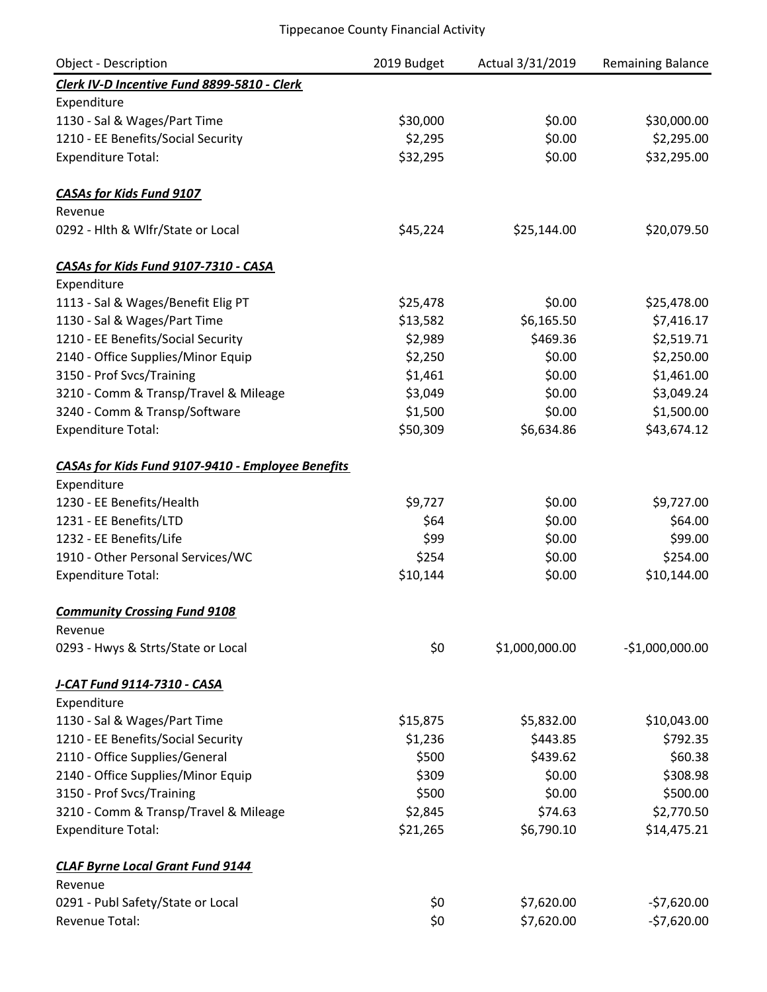| Object - Description                              | 2019 Budget | Actual 3/31/2019 | Remaining Balance |
|---------------------------------------------------|-------------|------------------|-------------------|
| Clerk IV-D Incentive Fund 8899-5810 - Clerk       |             |                  |                   |
| Expenditure                                       |             |                  |                   |
| 1130 - Sal & Wages/Part Time                      | \$30,000    | \$0.00           | \$30,000.00       |
| 1210 - EE Benefits/Social Security                | \$2,295     | \$0.00           | \$2,295.00        |
| <b>Expenditure Total:</b>                         | \$32,295    | \$0.00           | \$32,295.00       |
| <b>CASAs for Kids Fund 9107</b>                   |             |                  |                   |
| Revenue                                           |             |                  |                   |
| 0292 - Hlth & Wlfr/State or Local                 | \$45,224    | \$25,144.00      | \$20,079.50       |
| CASAs for Kids Fund 9107-7310 - CASA              |             |                  |                   |
| Expenditure                                       |             |                  |                   |
| 1113 - Sal & Wages/Benefit Elig PT                | \$25,478    | \$0.00           | \$25,478.00       |
| 1130 - Sal & Wages/Part Time                      | \$13,582    | \$6,165.50       | \$7,416.17        |
| 1210 - EE Benefits/Social Security                | \$2,989     | \$469.36         | \$2,519.71        |
| 2140 - Office Supplies/Minor Equip                | \$2,250     | \$0.00           | \$2,250.00        |
| 3150 - Prof Svcs/Training                         | \$1,461     | \$0.00           | \$1,461.00        |
| 3210 - Comm & Transp/Travel & Mileage             | \$3,049     | \$0.00           | \$3,049.24        |
| 3240 - Comm & Transp/Software                     | \$1,500     | \$0.00           | \$1,500.00        |
| <b>Expenditure Total:</b>                         | \$50,309    | \$6,634.86       | \$43,674.12       |
| CASAs for Kids Fund 9107-9410 - Employee Benefits |             |                  |                   |
| Expenditure                                       |             |                  |                   |
| 1230 - EE Benefits/Health                         | \$9,727     | \$0.00           | \$9,727.00        |
| 1231 - EE Benefits/LTD                            | \$64        | \$0.00           | \$64.00           |
| 1232 - EE Benefits/Life                           | \$99        | \$0.00           | \$99.00           |
| 1910 - Other Personal Services/WC                 | \$254       | \$0.00           | \$254.00          |
| <b>Expenditure Total:</b>                         | \$10,144    | \$0.00           | \$10,144.00       |
| <b>Community Crossing Fund 9108</b>               |             |                  |                   |
| Revenue                                           |             |                  |                   |
| 0293 - Hwys & Strts/State or Local                | \$0         | \$1,000,000.00   | $-$1,000,000.00$  |
| J-CAT Fund 9114-7310 - CASA                       |             |                  |                   |
| Expenditure                                       |             |                  |                   |
| 1130 - Sal & Wages/Part Time                      | \$15,875    | \$5,832.00       | \$10,043.00       |
| 1210 - EE Benefits/Social Security                | \$1,236     | \$443.85         | \$792.35          |
| 2110 - Office Supplies/General                    | \$500       | \$439.62         | \$60.38           |
| 2140 - Office Supplies/Minor Equip                | \$309       | \$0.00           | \$308.98          |
| 3150 - Prof Svcs/Training                         | \$500       | \$0.00           | \$500.00          |
| 3210 - Comm & Transp/Travel & Mileage             | \$2,845     | \$74.63          | \$2,770.50        |
| <b>Expenditure Total:</b>                         | \$21,265    | \$6,790.10       | \$14,475.21       |
| <b>CLAF Byrne Local Grant Fund 9144</b>           |             |                  |                   |
| Revenue                                           |             |                  |                   |
| 0291 - Publ Safety/State or Local                 | \$0         | \$7,620.00       | $-57,620.00$      |
| Revenue Total:                                    | \$0         | \$7,620.00       | $-57,620.00$      |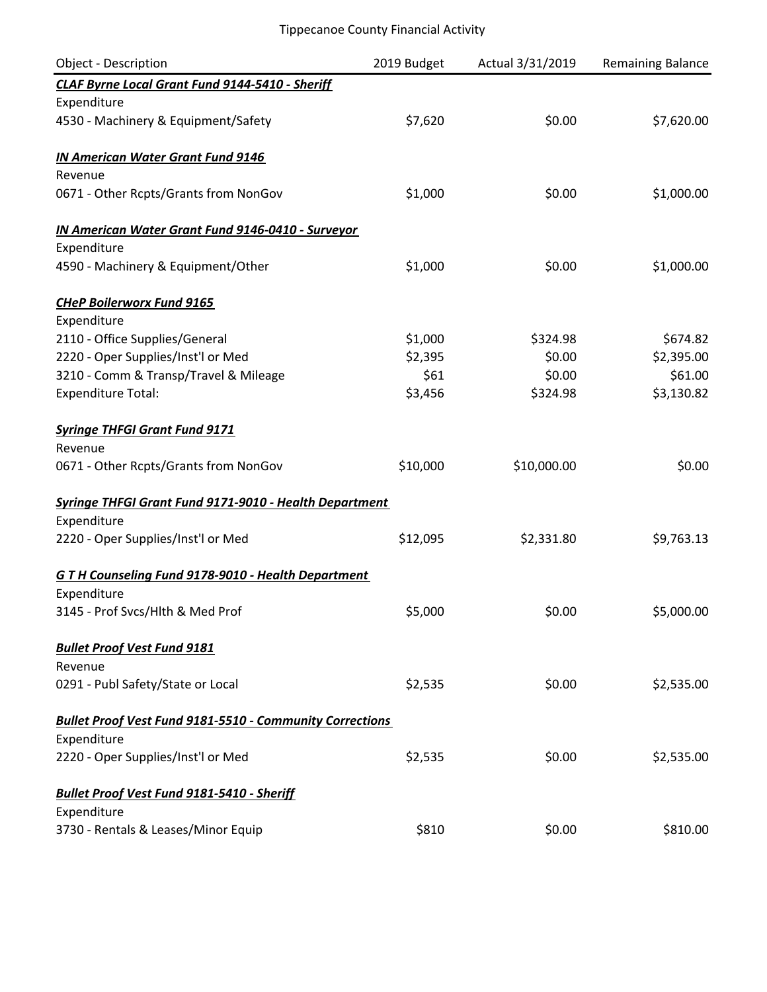| <b>Object - Description</b>                                     | 2019 Budget | Actual 3/31/2019 | <b>Remaining Balance</b> |
|-----------------------------------------------------------------|-------------|------------------|--------------------------|
| CLAF Byrne Local Grant Fund 9144-5410 - Sheriff                 |             |                  |                          |
| Expenditure                                                     |             |                  |                          |
| 4530 - Machinery & Equipment/Safety                             | \$7,620     | \$0.00           | \$7,620.00               |
| <b>IN American Water Grant Fund 9146</b>                        |             |                  |                          |
| Revenue                                                         |             |                  |                          |
| 0671 - Other Rcpts/Grants from NonGov                           | \$1,000     | \$0.00           | \$1,000.00               |
| <b>IN American Water Grant Fund 9146-0410 - Surveyor</b>        |             |                  |                          |
| Expenditure                                                     |             |                  |                          |
| 4590 - Machinery & Equipment/Other                              | \$1,000     | \$0.00           | \$1,000.00               |
| <b>CHeP Boilerworx Fund 9165</b>                                |             |                  |                          |
| Expenditure                                                     |             |                  |                          |
| 2110 - Office Supplies/General                                  | \$1,000     | \$324.98         | \$674.82                 |
| 2220 - Oper Supplies/Inst'l or Med                              | \$2,395     | \$0.00           | \$2,395.00               |
| 3210 - Comm & Transp/Travel & Mileage                           | \$61        | \$0.00           | \$61.00                  |
| <b>Expenditure Total:</b>                                       | \$3,456     | \$324.98         | \$3,130.82               |
| <b>Syringe THFGI Grant Fund 9171</b>                            |             |                  |                          |
| Revenue                                                         |             |                  |                          |
| 0671 - Other Rcpts/Grants from NonGov                           | \$10,000    | \$10,000.00      | \$0.00                   |
| <b>Syringe THFGI Grant Fund 9171-9010 - Health Department</b>   |             |                  |                          |
| Expenditure                                                     |             |                  |                          |
| 2220 - Oper Supplies/Inst'l or Med                              | \$12,095    | \$2,331.80       | \$9,763.13               |
| <b>GTH Counseling Fund 9178-9010 - Health Department</b>        |             |                  |                          |
| Expenditure                                                     |             |                  |                          |
| 3145 - Prof Svcs/Hlth & Med Prof                                | \$5,000     | \$0.00           | \$5,000.00               |
| <b>Bullet Proof Vest Fund 9181</b>                              |             |                  |                          |
| Revenue                                                         |             |                  |                          |
| 0291 - Publ Safety/State or Local                               | \$2,535     | \$0.00           | \$2,535.00               |
| <b>Bullet Proof Vest Fund 9181-5510 - Community Corrections</b> |             |                  |                          |
| Expenditure                                                     |             |                  |                          |
| 2220 - Oper Supplies/Inst'l or Med                              | \$2,535     | \$0.00           | \$2,535.00               |
| <b>Bullet Proof Vest Fund 9181-5410 - Sheriff</b>               |             |                  |                          |
| Expenditure                                                     |             |                  |                          |
| 3730 - Rentals & Leases/Minor Equip                             | \$810       | \$0.00           | \$810.00                 |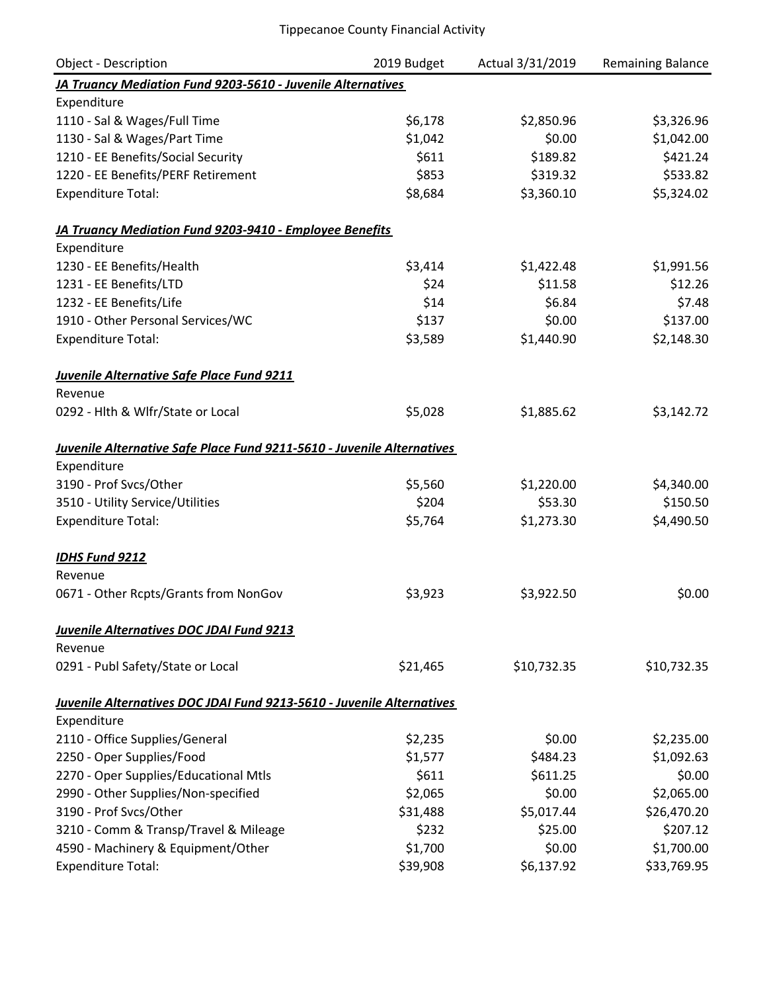| <b>Object - Description</b>                                            | 2019 Budget | Actual 3/31/2019 | <b>Remaining Balance</b> |
|------------------------------------------------------------------------|-------------|------------------|--------------------------|
| JA Truancy Mediation Fund 9203-5610 - Juvenile Alternatives            |             |                  |                          |
| Expenditure                                                            |             |                  |                          |
| 1110 - Sal & Wages/Full Time                                           | \$6,178     | \$2,850.96       | \$3,326.96               |
| 1130 - Sal & Wages/Part Time                                           | \$1,042     | \$0.00           | \$1,042.00               |
| 1210 - EE Benefits/Social Security                                     | \$611       | \$189.82         | \$421.24                 |
| 1220 - EE Benefits/PERF Retirement                                     | \$853       | \$319.32         | \$533.82                 |
| <b>Expenditure Total:</b>                                              | \$8,684     | \$3,360.10       | \$5,324.02               |
| JA Truancy Mediation Fund 9203-9410 - Employee Benefits                |             |                  |                          |
| Expenditure                                                            |             |                  |                          |
| 1230 - EE Benefits/Health                                              | \$3,414     | \$1,422.48       | \$1,991.56               |
| 1231 - EE Benefits/LTD                                                 | \$24        | \$11.58          | \$12.26                  |
| 1232 - EE Benefits/Life                                                | \$14        | \$6.84           | \$7.48                   |
| 1910 - Other Personal Services/WC                                      | \$137       | \$0.00           | \$137.00                 |
| <b>Expenditure Total:</b>                                              | \$3,589     | \$1,440.90       | \$2,148.30               |
| <b>Juvenile Alternative Safe Place Fund 9211</b>                       |             |                  |                          |
| Revenue                                                                |             |                  |                          |
| 0292 - Hlth & Wlfr/State or Local                                      | \$5,028     | \$1,885.62       | \$3,142.72               |
| Juvenile Alternative Safe Place Fund 9211-5610 - Juvenile Alternatives |             |                  |                          |
| Expenditure                                                            |             |                  |                          |
| 3190 - Prof Svcs/Other                                                 | \$5,560     | \$1,220.00       | \$4,340.00               |
| 3510 - Utility Service/Utilities                                       | \$204       | \$53.30          | \$150.50                 |
| <b>Expenditure Total:</b>                                              | \$5,764     | \$1,273.30       | \$4,490.50               |
| <b>IDHS Fund 9212</b>                                                  |             |                  |                          |
| Revenue                                                                |             |                  |                          |
| 0671 - Other Rcpts/Grants from NonGov                                  | \$3,923     | \$3,922.50       | \$0.00                   |
| Juvenile Alternatives DOC JDAI Fund 9213                               |             |                  |                          |
| Revenue                                                                |             |                  |                          |
| 0291 - Publ Safety/State or Local                                      | \$21,465    | \$10,732.35      | \$10,732.35              |
| Juvenile Alternatives DOC JDAI Fund 9213-5610 - Juvenile Alternatives  |             |                  |                          |
| Expenditure                                                            |             |                  |                          |
| 2110 - Office Supplies/General                                         | \$2,235     | \$0.00           | \$2,235.00               |
| 2250 - Oper Supplies/Food                                              | \$1,577     | \$484.23         | \$1,092.63               |
| 2270 - Oper Supplies/Educational Mtls                                  | \$611       | \$611.25         | \$0.00                   |
| 2990 - Other Supplies/Non-specified                                    | \$2,065     | \$0.00           | \$2,065.00               |
| 3190 - Prof Svcs/Other                                                 | \$31,488    | \$5,017.44       | \$26,470.20              |
| 3210 - Comm & Transp/Travel & Mileage                                  | \$232       | \$25.00          | \$207.12                 |
| 4590 - Machinery & Equipment/Other                                     | \$1,700     | \$0.00           | \$1,700.00               |
| <b>Expenditure Total:</b>                                              | \$39,908    | \$6,137.92       | \$33,769.95              |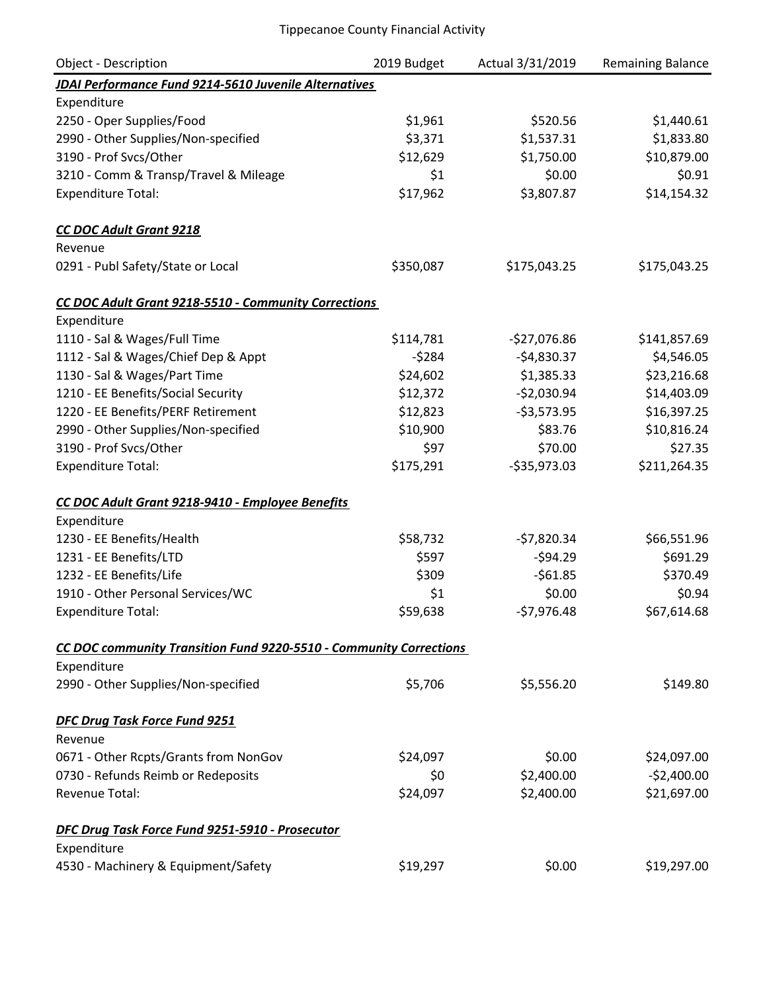| <b>Object - Description</b>                                        | 2019 Budget | Actual 3/31/2019 | Remaining Balance |
|--------------------------------------------------------------------|-------------|------------------|-------------------|
| JDAI Performance Fund 9214-5610 Juvenile Alternatives              |             |                  |                   |
| Expenditure                                                        |             |                  |                   |
| 2250 - Oper Supplies/Food                                          | \$1,961     | \$520.56         | \$1,440.61        |
| 2990 - Other Supplies/Non-specified                                | \$3,371     | \$1,537.31       | \$1,833.80        |
| 3190 - Prof Svcs/Other                                             | \$12,629    | \$1,750.00       | \$10,879.00       |
| 3210 - Comm & Transp/Travel & Mileage                              | \$1         | \$0.00           | \$0.91            |
| <b>Expenditure Total:</b>                                          | \$17,962    | \$3,807.87       | \$14,154.32       |
| <b>CC DOC Adult Grant 9218</b>                                     |             |                  |                   |
| Revenue                                                            |             |                  |                   |
| 0291 - Publ Safety/State or Local                                  | \$350,087   | \$175,043.25     | \$175,043.25      |
| CC DOC Adult Grant 9218-5510 - Community Corrections               |             |                  |                   |
| Expenditure                                                        |             |                  |                   |
| 1110 - Sal & Wages/Full Time                                       | \$114,781   | $-$27,076.86$    | \$141,857.69      |
| 1112 - Sal & Wages/Chief Dep & Appt                                | $-5284$     | $-$4,830.37$     | \$4,546.05        |
| 1130 - Sal & Wages/Part Time                                       | \$24,602    | \$1,385.33       | \$23,216.68       |
| 1210 - EE Benefits/Social Security                                 | \$12,372    | $-52,030.94$     | \$14,403.09       |
| 1220 - EE Benefits/PERF Retirement                                 | \$12,823    | $-53,573.95$     | \$16,397.25       |
| 2990 - Other Supplies/Non-specified                                | \$10,900    | \$83.76          | \$10,816.24       |
| 3190 - Prof Svcs/Other                                             | \$97        | \$70.00          | \$27.35           |
| <b>Expenditure Total:</b>                                          | \$175,291   | $-535,973.03$    | \$211,264.35      |
| CC DOC Adult Grant 9218-9410 - Employee Benefits                   |             |                  |                   |
| Expenditure                                                        |             |                  |                   |
| 1230 - EE Benefits/Health                                          | \$58,732    | $-57,820.34$     | \$66,551.96       |
| 1231 - EE Benefits/LTD                                             | \$597       | $-594.29$        | \$691.29          |
| 1232 - EE Benefits/Life                                            | \$309       | $-561.85$        | \$370.49          |
| 1910 - Other Personal Services/WC                                  | \$1         | \$0.00           | \$0.94            |
| <b>Expenditure Total:</b>                                          | \$59,638    | $-57,976.48$     | \$67,614.68       |
| CC DOC community Transition Fund 9220-5510 - Community Corrections |             |                  |                   |
| Expenditure                                                        |             |                  |                   |
| 2990 - Other Supplies/Non-specified                                | \$5,706     | \$5,556.20       | \$149.80          |
| DFC Drug Task Force Fund 9251                                      |             |                  |                   |
| Revenue                                                            |             |                  |                   |
| 0671 - Other Rcpts/Grants from NonGov                              | \$24,097    | \$0.00           | \$24,097.00       |
| 0730 - Refunds Reimb or Redeposits                                 | \$0         | \$2,400.00       | $-52,400.00$      |
| Revenue Total:                                                     | \$24,097    | \$2,400.00       | \$21,697.00       |
| DFC Drug Task Force Fund 9251-5910 - Prosecutor                    |             |                  |                   |
| Expenditure                                                        |             |                  |                   |
| 4530 - Machinery & Equipment/Safety                                | \$19,297    | \$0.00           | \$19,297.00       |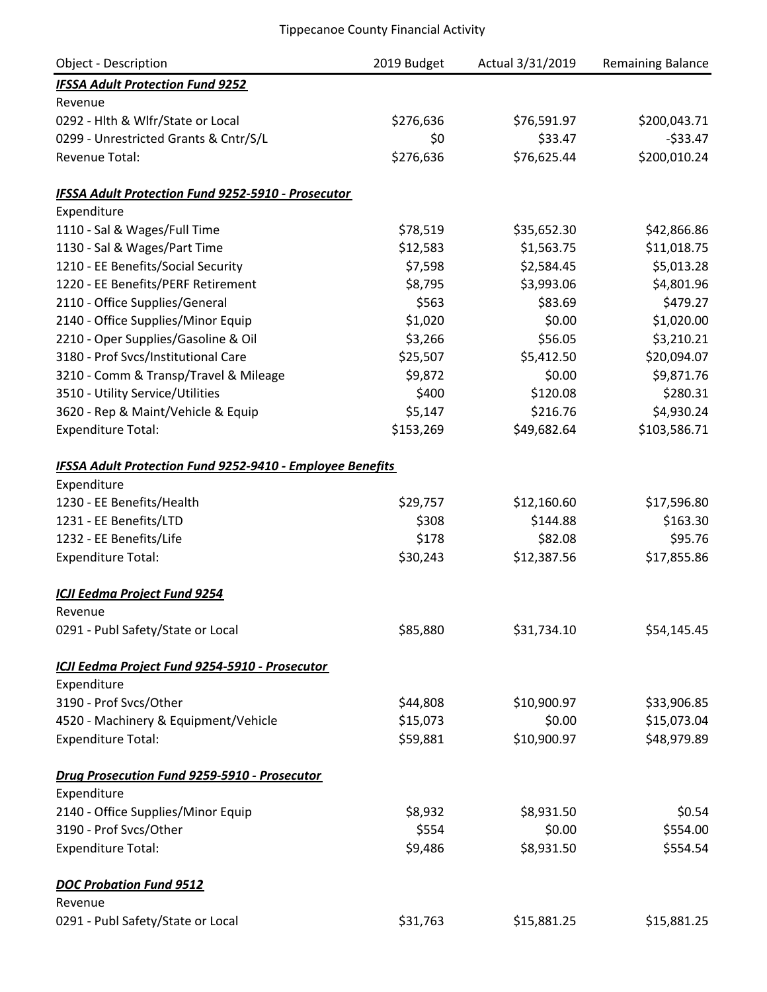| <b>Object - Description</b>                                      | 2019 Budget | Actual 3/31/2019 | <b>Remaining Balance</b> |
|------------------------------------------------------------------|-------------|------------------|--------------------------|
| <b>IFSSA Adult Protection Fund 9252</b>                          |             |                  |                          |
| Revenue                                                          |             |                  |                          |
| 0292 - Hlth & Wlfr/State or Local                                | \$276,636   | \$76,591.97      | \$200,043.71             |
| 0299 - Unrestricted Grants & Cntr/S/L                            | \$0         | \$33.47          | $-533.47$                |
| Revenue Total:                                                   | \$276,636   | \$76,625.44      | \$200,010.24             |
| <b>IFSSA Adult Protection Fund 9252-5910 - Prosecutor</b>        |             |                  |                          |
| Expenditure                                                      |             |                  |                          |
| 1110 - Sal & Wages/Full Time                                     | \$78,519    | \$35,652.30      | \$42,866.86              |
| 1130 - Sal & Wages/Part Time                                     | \$12,583    | \$1,563.75       | \$11,018.75              |
| 1210 - EE Benefits/Social Security                               | \$7,598     | \$2,584.45       | \$5,013.28               |
| 1220 - EE Benefits/PERF Retirement                               | \$8,795     | \$3,993.06       | \$4,801.96               |
| 2110 - Office Supplies/General                                   | \$563       | \$83.69          | \$479.27                 |
| 2140 - Office Supplies/Minor Equip                               | \$1,020     | \$0.00           | \$1,020.00               |
| 2210 - Oper Supplies/Gasoline & Oil                              | \$3,266     | \$56.05          | \$3,210.21               |
| 3180 - Prof Svcs/Institutional Care                              | \$25,507    | \$5,412.50       | \$20,094.07              |
| 3210 - Comm & Transp/Travel & Mileage                            | \$9,872     | \$0.00           | \$9,871.76               |
| 3510 - Utility Service/Utilities                                 | \$400       | \$120.08         | \$280.31                 |
| 3620 - Rep & Maint/Vehicle & Equip                               | \$5,147     | \$216.76         | \$4,930.24               |
| <b>Expenditure Total:</b>                                        | \$153,269   | \$49,682.64      | \$103,586.71             |
| <b>IFSSA Adult Protection Fund 9252-9410 - Employee Benefits</b> |             |                  |                          |
| Expenditure                                                      |             |                  |                          |
| 1230 - EE Benefits/Health                                        | \$29,757    | \$12,160.60      | \$17,596.80              |
| 1231 - EE Benefits/LTD                                           | \$308       | \$144.88         | \$163.30                 |
| 1232 - EE Benefits/Life                                          | \$178       | \$82.08          | \$95.76                  |
| <b>Expenditure Total:</b>                                        | \$30,243    | \$12,387.56      | \$17,855.86              |
| ICJI Eedma Project Fund 9254                                     |             |                  |                          |
| Revenue                                                          |             |                  |                          |
| 0291 - Publ Safety/State or Local                                | \$85,880    | \$31,734.10      | \$54,145.45              |
| ICJI Eedma Project Fund 9254-5910 - Prosecutor                   |             |                  |                          |
| Expenditure                                                      |             |                  |                          |
| 3190 - Prof Svcs/Other                                           | \$44,808    | \$10,900.97      | \$33,906.85              |
| 4520 - Machinery & Equipment/Vehicle                             | \$15,073    | \$0.00           | \$15,073.04              |
| <b>Expenditure Total:</b>                                        | \$59,881    | \$10,900.97      | \$48,979.89              |
| Drug Prosecution Fund 9259-5910 - Prosecutor                     |             |                  |                          |
| Expenditure                                                      |             |                  |                          |
| 2140 - Office Supplies/Minor Equip                               | \$8,932     | \$8,931.50       | \$0.54                   |
| 3190 - Prof Svcs/Other                                           | \$554       | \$0.00           | \$554.00                 |
| <b>Expenditure Total:</b>                                        | \$9,486     | \$8,931.50       | \$554.54                 |
| <b>DOC Probation Fund 9512</b>                                   |             |                  |                          |
| Revenue                                                          |             |                  |                          |
| 0291 - Publ Safety/State or Local                                | \$31,763    | \$15,881.25      | \$15,881.25              |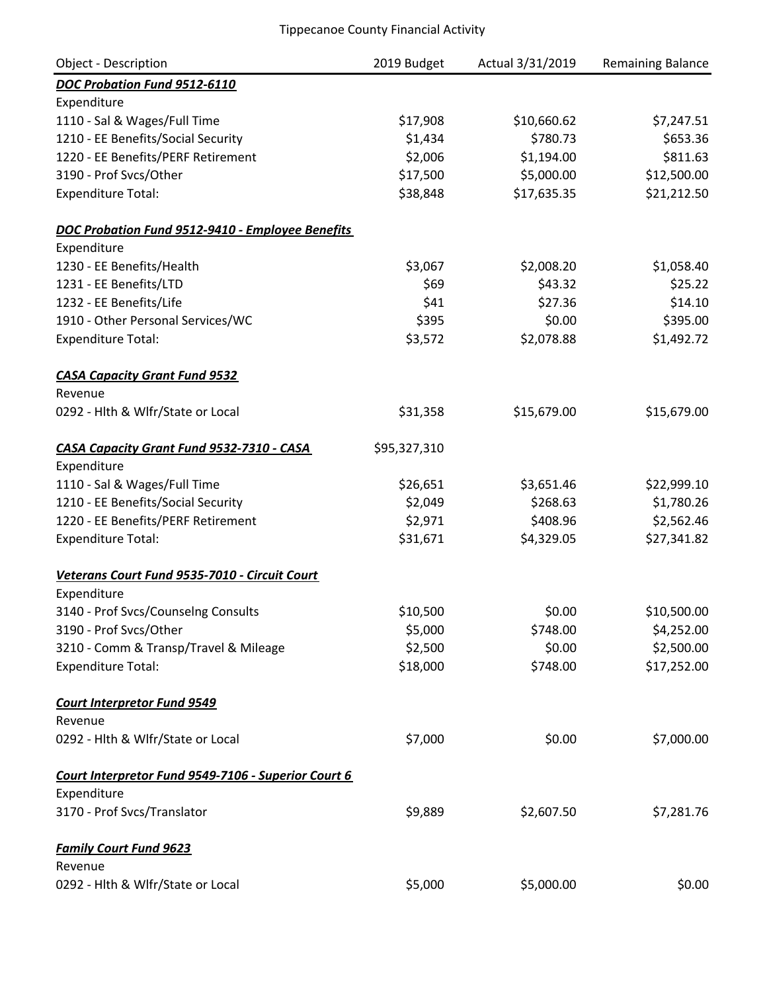| <b>Object - Description</b>                         | 2019 Budget  | Actual 3/31/2019 | Remaining Balance |
|-----------------------------------------------------|--------------|------------------|-------------------|
| DOC Probation Fund 9512-6110                        |              |                  |                   |
| Expenditure                                         |              |                  |                   |
| 1110 - Sal & Wages/Full Time                        | \$17,908     | \$10,660.62      | \$7,247.51        |
| 1210 - EE Benefits/Social Security                  | \$1,434      | \$780.73         | \$653.36          |
| 1220 - EE Benefits/PERF Retirement                  | \$2,006      | \$1,194.00       | \$811.63          |
| 3190 - Prof Svcs/Other                              | \$17,500     | \$5,000.00       | \$12,500.00       |
| <b>Expenditure Total:</b>                           | \$38,848     | \$17,635.35      | \$21,212.50       |
| DOC Probation Fund 9512-9410 - Employee Benefits    |              |                  |                   |
| Expenditure                                         |              |                  |                   |
| 1230 - EE Benefits/Health                           | \$3,067      | \$2,008.20       | \$1,058.40        |
| 1231 - EE Benefits/LTD                              | \$69         | \$43.32          | \$25.22           |
| 1232 - EE Benefits/Life                             | \$41         | \$27.36          | \$14.10           |
| 1910 - Other Personal Services/WC                   | \$395        | \$0.00           | \$395.00          |
| <b>Expenditure Total:</b>                           | \$3,572      | \$2,078.88       | \$1,492.72        |
| <b>CASA Capacity Grant Fund 9532</b>                |              |                  |                   |
| Revenue                                             |              |                  |                   |
| 0292 - Hlth & Wlfr/State or Local                   | \$31,358     | \$15,679.00      | \$15,679.00       |
| CASA Capacity Grant Fund 9532-7310 - CASA           | \$95,327,310 |                  |                   |
| Expenditure                                         |              |                  |                   |
| 1110 - Sal & Wages/Full Time                        | \$26,651     | \$3,651.46       | \$22,999.10       |
| 1210 - EE Benefits/Social Security                  | \$2,049      | \$268.63         | \$1,780.26        |
| 1220 - EE Benefits/PERF Retirement                  | \$2,971      | \$408.96         | \$2,562.46        |
| <b>Expenditure Total:</b>                           | \$31,671     | \$4,329.05       | \$27,341.82       |
| Veterans Court Fund 9535-7010 - Circuit Court       |              |                  |                   |
| Expenditure                                         |              |                  |                   |
| 3140 - Prof Svcs/Counselng Consults                 | \$10,500     | \$0.00           | \$10,500.00       |
| 3190 - Prof Svcs/Other                              | \$5,000      | \$748.00         | \$4,252.00        |
| 3210 - Comm & Transp/Travel & Mileage               | \$2,500      | \$0.00           | \$2,500.00        |
| <b>Expenditure Total:</b>                           | \$18,000     | \$748.00         | \$17,252.00       |
| <b>Court Interpretor Fund 9549</b>                  |              |                  |                   |
| Revenue                                             |              |                  |                   |
| 0292 - Hlth & Wlfr/State or Local                   | \$7,000      | \$0.00           | \$7,000.00        |
| Court Interpretor Fund 9549-7106 - Superior Court 6 |              |                  |                   |
| Expenditure                                         |              |                  |                   |
| 3170 - Prof Svcs/Translator                         | \$9,889      | \$2,607.50       | \$7,281.76        |
| <b>Family Court Fund 9623</b>                       |              |                  |                   |
| Revenue                                             |              |                  |                   |
| 0292 - Hlth & Wlfr/State or Local                   | \$5,000      | \$5,000.00       | \$0.00            |